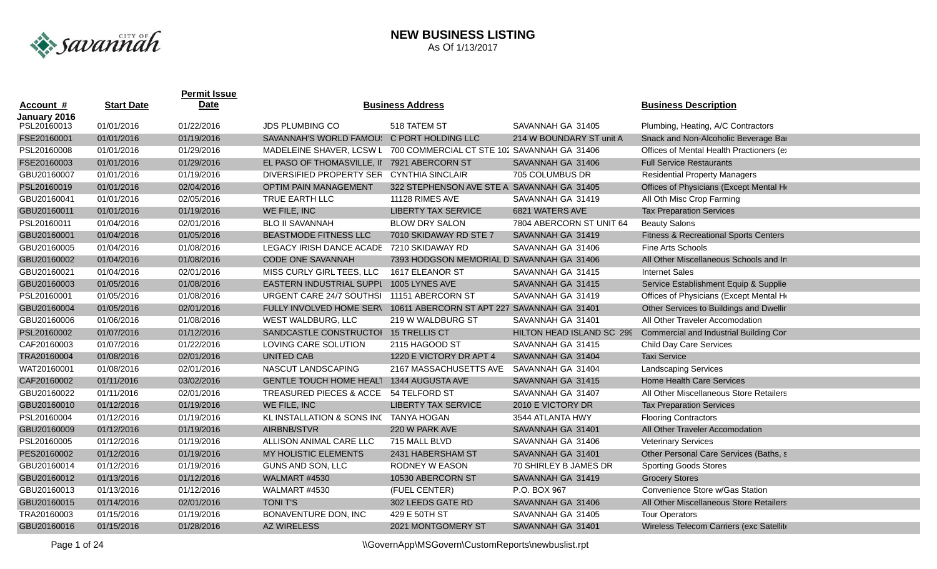

|              |                   | <b>Permit Issue</b> |                                                                      |                                             |                           |                                                  |
|--------------|-------------------|---------------------|----------------------------------------------------------------------|---------------------------------------------|---------------------------|--------------------------------------------------|
| Account #    | <b>Start Date</b> | <b>Date</b>         |                                                                      | <b>Business Address</b>                     |                           | <b>Business Description</b>                      |
| January 2016 |                   |                     |                                                                      |                                             |                           |                                                  |
| PSL20160013  | 01/01/2016        | 01/22/2016          | <b>JDS PLUMBING CO</b>                                               | 518 TATEM ST                                | SAVANNAH GA 31405         | Plumbing, Heating, A/C Contractors               |
| FSE20160001  | 01/01/2016        | 01/19/2016          | SAVANNAH'S WORLD FAMOU!                                              | C PORT HOLDING LLC                          | 214 W BOUNDARY ST unit A  | Snack and Non-Alcoholic Beverage Bar             |
| PSL20160008  | 01/01/2016        | 01/29/2016          | MADELEINE SHAVER, LCSW L                                             | 700 COMMERCIAL CT STE 102 SAVANNAH GA 31406 |                           | Offices of Mental Health Practioners (e)         |
| FSE20160003  | 01/01/2016        | 01/29/2016          | EL PASO OF THOMASVILLE, II                                           | 7921 ABERCORN ST                            | SAVANNAH GA 31406         | <b>Full Service Restaurants</b>                  |
| GBU20160007  | 01/01/2016        | 01/19/2016          | <b>DIVERSIFIED PROPERTY SER</b>                                      | CYNTHIA SINCLAIR                            | 705 COLUMBUS DR           | <b>Residential Property Managers</b>             |
| PSL20160019  | 01/01/2016        | 02/04/2016          | <b>OPTIM PAIN MANAGEMENT</b>                                         | 322 STEPHENSON AVE STE A SAVANNAH GA 31405  |                           | Offices of Physicians (Except Mental He          |
| GBU20160041  | 01/01/2016        | 02/05/2016          | TRUE EARTH LLC                                                       | 11128 RIMES AVE                             | SAVANNAH GA 31419         | All Oth Misc Crop Farming                        |
| GBU20160011  | 01/01/2016        | 01/19/2016          | WE FILE, INC                                                         | <b>LIBERTY TAX SERVICE</b>                  | 6821 WATERS AVE           | <b>Tax Preparation Services</b>                  |
| PSL20160011  | 01/04/2016        | 02/01/2016          | <b>BLO II SAVANNAH</b>                                               | <b>BLOW DRY SALON</b>                       | 7804 ABERCORN ST UNIT 64  | <b>Beauty Salons</b>                             |
| GBU20160001  | 01/04/2016        | 01/05/2016          | <b>BEASTMODE FITNESS LLC</b>                                         | 7010 SKIDAWAY RD STE 7                      | SAVANNAH GA 31419         | <b>Fitness &amp; Recreational Sports Centers</b> |
| GBU20160005  | 01/04/2016        | 01/08/2016          | LEGACY IRISH DANCE ACADE 7210 SKIDAWAY RD                            |                                             | SAVANNAH GA 31406         | Fine Arts Schools                                |
| GBU20160002  | 01/04/2016        | 01/08/2016          | CODE ONE SAVANNAH                                                    | 7393 HODGSON MEMORIAL D SAVANNAH GA 31406   |                           | All Other Miscellaneous Schools and In           |
| GBU20160021  | 01/04/2016        | 02/01/2016          | MISS CURLY GIRL TEES, LLC                                            | 1617 ELEANOR ST                             | SAVANNAH GA 31415         | <b>Internet Sales</b>                            |
| GBU20160003  | 01/05/2016        | 01/08/2016          | EASTERN INDUSTRIAL SUPPL 1005 LYNES AVE                              |                                             | SAVANNAH GA 31415         | Service Establishment Equip & Supplie            |
| PSL20160001  | 01/05/2016        | 01/08/2016          | URGENT CARE 24/7 SOUTHSI 11151 ABERCORN ST                           |                                             | SAVANNAH GA 31419         | Offices of Physicians (Except Mental He          |
| GBU20160004  | 01/05/2016        | 02/01/2016          | FULLY INVOLVED HOME SER\ 10611 ABERCORN ST APT 227 SAVANNAH GA 31401 |                                             |                           | Other Services to Buildings and Dwellir          |
| GBU20160006  | 01/06/2016        | 01/08/2016          | WEST WALDBURG, LLC                                                   | 219 W WALDBURG ST                           | SAVANNAH GA 31401         | All Other Traveler Accomodation                  |
| PSL20160002  | 01/07/2016        | 01/12/2016          | SANDCASTLE CONSTRUCTOI 15 TRELLIS CT                                 |                                             | HILTON HEAD ISLAND SC 299 | <b>Commercial and Industrial Building Cor</b>    |
| CAF20160003  | 01/07/2016        | 01/22/2016          | LOVING CARE SOLUTION                                                 | 2115 HAGOOD ST                              | SAVANNAH GA 31415         | <b>Child Day Care Services</b>                   |
| TRA20160004  | 01/08/2016        | 02/01/2016          | UNITED CAB                                                           | 1220 E VICTORY DR APT 4                     | SAVANNAH GA 31404         | <b>Taxi Service</b>                              |
| WAT20160001  | 01/08/2016        | 02/01/2016          | NASCUT LANDSCAPING                                                   | 2167 MASSACHUSETTS AVE                      | SAVANNAH GA 31404         | <b>Landscaping Services</b>                      |
| CAF20160002  | 01/11/2016        | 03/02/2016          | GENTLE TOUCH HOME HEAL1 1344 AUGUSTA AVE                             |                                             | SAVANNAH GA 31415         | <b>Home Health Care Services</b>                 |
| GBU20160022  | 01/11/2016        | 02/01/2016          | <b>TREASURED PIECES &amp; ACCE</b>                                   | 54 TELFORD ST                               | SAVANNAH GA 31407         | All Other Miscellaneous Store Retailers          |
| GBU20160010  | 01/12/2016        | 01/19/2016          | WE FILE, INC                                                         | <b>LIBERTY TAX SERVICE</b>                  | 2010 E VICTORY DR         | <b>Tax Preparation Services</b>                  |
| PSL20160004  | 01/12/2016        | 01/19/2016          | KL INSTALLATION & SONS INC TANYA HOGAN                               |                                             | 3544 ATLANTA HWY          | <b>Flooring Contractors</b>                      |
| GBU20160009  | 01/12/2016        | 01/19/2016          | AIRBNB/STVR                                                          | 220 W PARK AVE                              | SAVANNAH GA 31401         | All Other Traveler Accomodation                  |
| PSL20160005  | 01/12/2016        | 01/19/2016          | ALLISON ANIMAL CARE LLC                                              | 715 MALL BLVD                               | SAVANNAH GA 31406         | <b>Veterinary Services</b>                       |
| PES20160002  | 01/12/2016        | 01/19/2016          | <b>MY HOLISTIC ELEMENTS</b>                                          | 2431 HABERSHAM ST                           | SAVANNAH GA 31401         | Other Personal Care Services (Baths, s           |
| GBU20160014  | 01/12/2016        | 01/19/2016          | GUNS AND SON, LLC                                                    | RODNEY W EASON                              | 70 SHIRLEY B JAMES DR     | <b>Sporting Goods Stores</b>                     |
| GBU20160012  | 01/13/2016        | 01/12/2016          | WALMART #4530                                                        | 10530 ABERCORN ST                           | SAVANNAH GA 31419         | <b>Grocery Stores</b>                            |
| GBU20160013  | 01/13/2016        | 01/12/2016          | WALMART #4530                                                        | (FUEL CENTER)                               | P.O. BOX 967              | Convenience Store w/Gas Station                  |
| GBU20160015  | 01/14/2016        | 02/01/2016          | <b>TONIT'S</b>                                                       | 302 LEEDS GATE RD                           | SAVANNAH GA 31406         | All Other Miscellaneous Store Retailers          |
| TRA20160003  | 01/15/2016        | 01/19/2016          | BONAVENTURE DON, INC                                                 | 429 E 50TH ST                               | SAVANNAH GA 31405         | <b>Tour Operators</b>                            |
| GBU20160016  | 01/15/2016        | 01/28/2016          | <b>AZ WIRELESS</b>                                                   | 2021 MONTGOMERY ST                          | SAVANNAH GA 31401         | Wireless Telecom Carriers (exc Satellite         |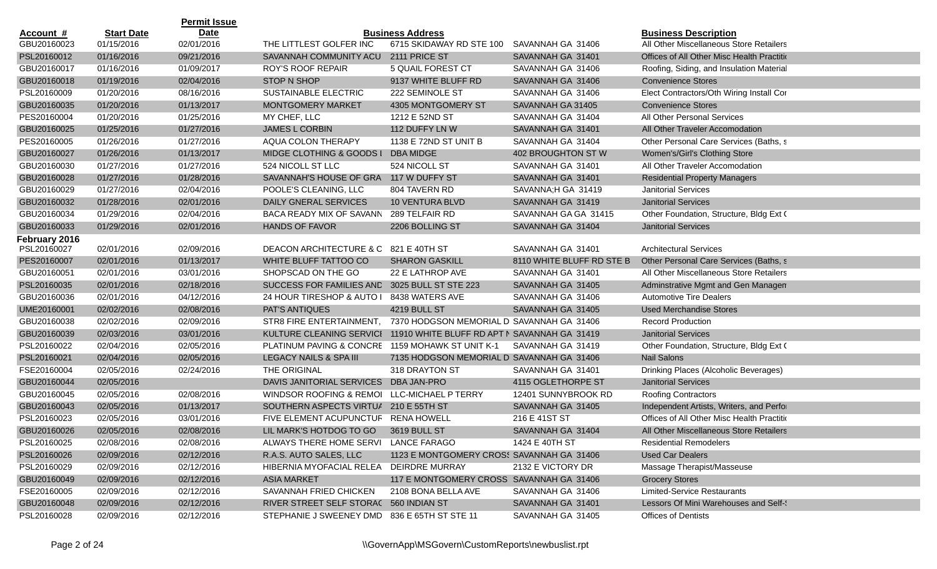|               |                   | <b>Permit Issue</b> |                                                                       |                                            |                           |                                            |
|---------------|-------------------|---------------------|-----------------------------------------------------------------------|--------------------------------------------|---------------------------|--------------------------------------------|
| Account #     | <b>Start Date</b> | <b>Date</b>         |                                                                       | <b>Business Address</b>                    |                           | <b>Business Description</b>                |
| GBU20160023   | 01/15/2016        | 02/01/2016          | THE LITTLEST GOLFER INC                                               | 6715 SKIDAWAY RD STE 100 SAVANNAH GA 31406 |                           | All Other Miscellaneous Store Retailers    |
| PSL20160012   | 01/16/2016        | 09/21/2016          | SAVANNAH COMMUNITY ACU                                                | 2111 PRICE ST                              | SAVANNAH GA 31401         | Offices of All Other Misc Health Practitio |
| GBU20160017   | 01/16/2016        | 01/09/2017          | <b>ROY'S ROOF REPAIR</b>                                              | 5 QUAIL FOREST CT                          | SAVANNAH GA 31406         | Roofing, Siding, and Insulation Material   |
| GBU20160018   | 01/19/2016        | 02/04/2016          | STOP N SHOP                                                           | 9137 WHITE BLUFF RD                        | SAVANNAH GA 31406         | <b>Convenience Stores</b>                  |
| PSL20160009   | 01/20/2016        | 08/16/2016          | SUSTAINABLE ELECTRIC                                                  | 222 SEMINOLE ST                            | SAVANNAH GA 31406         | Elect Contractors/Oth Wiring Install Cor   |
| GBU20160035   | 01/20/2016        | 01/13/2017          | <b>MONTGOMERY MARKET</b>                                              | 4305 MONTGOMERY ST                         | SAVANNAH GA 31405         | <b>Convenience Stores</b>                  |
| PES20160004   | 01/20/2016        | 01/25/2016          | MY CHEF, LLC                                                          | 1212 E 52ND ST                             | SAVANNAH GA 31404         | All Other Personal Services                |
| GBU20160025   | 01/25/2016        | 01/27/2016          | <b>JAMES L CORBIN</b>                                                 | 112 DUFFY LN W                             | SAVANNAH GA 31401         | All Other Traveler Accomodation            |
| PES20160005   | 01/26/2016        | 01/27/2016          | AQUA COLON THERAPY                                                    | 1138 E 72ND ST UNIT B                      | SAVANNAH GA 31404         | Other Personal Care Services (Baths, s     |
| GBU20160027   | 01/26/2016        | 01/13/2017          | MIDGE CLOTHING & GOODS I                                              | DBA MIDGE                                  | 402 BROUGHTON ST W        | Women's/Girl's Clothing Store              |
| GBU20160030   | 01/27/2016        | 01/27/2016          | 524 NICOLL ST LLC                                                     | 524 NICOLL ST                              | SAVANNAH GA 31401         | All Other Traveler Accomodation            |
| GBU20160028   | 01/27/2016        | 01/28/2016          | SAVANNAH'S HOUSE OF GRA 117 W DUFFY ST                                |                                            | SAVANNAH GA 31401         | <b>Residential Property Managers</b>       |
| GBU20160029   | 01/27/2016        | 02/04/2016          | POOLE'S CLEANING, LLC                                                 | 804 TAVERN RD                              | SAVANNA;H GA 31419        | <b>Janitorial Services</b>                 |
| GBU20160032   | 01/28/2016        | 02/01/2016          | <b>DAILY GNERAL SERVICES</b>                                          | <b>10 VENTURA BLVD</b>                     | SAVANNAH GA 31419         | <b>Janitorial Services</b>                 |
| GBU20160034   | 01/29/2016        | 02/04/2016          | BACA READY MIX OF SAVANN                                              | 289 TELFAIR RD                             | SAVANNAH GA GA 31415      | Other Foundation, Structure, Bldg Ext (    |
| GBU20160033   | 01/29/2016        | 02/01/2016          | <b>HANDS OF FAVOR</b>                                                 | 2206 BOLLING ST                            | SAVANNAH GA 31404         | <b>Janitorial Services</b>                 |
| February 2016 |                   |                     |                                                                       |                                            |                           |                                            |
| PSL20160027   | 02/01/2016        | 02/09/2016          | DEACON ARCHITECTURE & C 821 E 40TH ST                                 |                                            | SAVANNAH GA 31401         | <b>Architectural Services</b>              |
| PES20160007   | 02/01/2016        | 01/13/2017          | WHITE BLUFF TATTOO CO                                                 | <b>SHARON GASKILL</b>                      | 8110 WHITE BLUFF RD STE B | Other Personal Care Services (Baths, s     |
| GBU20160051   | 02/01/2016        | 03/01/2016          | SHOPSCAD ON THE GO                                                    | 22 E LATHROP AVE                           | SAVANNAH GA 31401         | All Other Miscellaneous Store Retailers    |
| PSL20160035   | 02/01/2016        | 02/18/2016          | SUCCESS FOR FAMILIES AND 3025 BULL ST STE 223                         |                                            | SAVANNAH GA 31405         | Adminstrative Mgmt and Gen Managen         |
| GBU20160036   | 02/01/2016        | 04/12/2016          | 24 HOUR TIRESHOP & AUTO I                                             | 8438 WATERS AVE                            | SAVANNAH GA 31406         | <b>Automotive Tire Dealers</b>             |
| UME20160001   | 02/02/2016        | 02/08/2016          | <b>PAT'S ANTIQUES</b>                                                 | 4219 BULL ST                               | SAVANNAH GA 31405         | <b>Used Merchandise Stores</b>             |
| GBU20160038   | 02/02/2016        | 02/09/2016          | STR8 FIRE ENTERTAINMENT,                                              | 7370 HODGSON MEMORIAL D SAVANNAH GA 31406  |                           | <b>Record Production</b>                   |
| GBU20160039   | 02/03/2016        | 03/01/2016          | KULTURE CLEANING SERVICI 11910 WHITE BLUFF RD APT N SAVANNAH GA 31419 |                                            |                           | <b>Janitorial Services</b>                 |
| PSL20160022   | 02/04/2016        | 02/05/2016          | PLATINUM PAVING & CONCRE 1159 MOHAWK ST UNIT K-1                      |                                            | SAVANNAH GA 31419         | Other Foundation, Structure, Bldg Ext (    |
| PSL20160021   | 02/04/2016        | 02/05/2016          | LEGACY NAILS & SPA III                                                | 7135 HODGSON MEMORIAL D SAVANNAH GA 31406  |                           | <b>Nail Salons</b>                         |
| FSE20160004   | 02/05/2016        | 02/24/2016          | THE ORIGINAL                                                          | 318 DRAYTON ST                             | SAVANNAH GA 31401         | Drinking Places (Alcoholic Beverages)      |
| GBU20160044   | 02/05/2016        |                     | DAVIS JANITORIAL SERVICES                                             | DBA JAN-PRO                                | 4115 OGLETHORPE ST        | <b>Janitorial Services</b>                 |
| GBU20160045   | 02/05/2016        | 02/08/2016          | WINDSOR ROOFING & REMOI                                               | LLC-MICHAEL P TERRY                        | 12401 SUNNYBROOK RD       | <b>Roofing Contractors</b>                 |
| GBU20160043   | 02/05/2016        | 01/13/2017          | SOUTHERN ASPECTS VIRTUA 210 E 55TH ST                                 |                                            | SAVANNAH GA 31405         | Independent Artists, Writers, and Perfor   |
| PSL20160023   | 02/05/2016        | 03/01/2016          | FIVE ELEMENT ACUPUNCTUF RENA HOWELL                                   |                                            | 216 E 41ST ST             | Offices of All Other Misc Health Practitio |
| GBU20160026   | 02/05/2016        | 02/08/2016          | LIL MARK'S HOTDOG TO GO                                               | 3619 BULL ST                               | SAVANNAH GA 31404         | All Other Miscellaneous Store Retailers    |
| PSL20160025   | 02/08/2016        | 02/08/2016          | ALWAYS THERE HOME SERVI LANCE FARAGO                                  |                                            | 1424 E 40TH ST            | <b>Residential Remodelers</b>              |
| PSL20160026   | 02/09/2016        | 02/12/2016          | R.A.S. AUTO SALES, LLC                                                | 1123 E MONTGOMERY CROSS SAVANNAH GA 31406  |                           | <b>Used Car Dealers</b>                    |
| PSL20160029   | 02/09/2016        | 02/12/2016          | HIBERNIA MYOFACIAL RELEA DEIRDRE MURRAY                               |                                            | 2132 E VICTORY DR         | Massage Therapist/Masseuse                 |
| GBU20160049   | 02/09/2016        | 02/12/2016          | <b>ASIA MARKET</b>                                                    | 117 E MONTGOMERY CROSS SAVANNAH GA 31406   |                           | <b>Grocery Stores</b>                      |
| FSE20160005   | 02/09/2016        | 02/12/2016          | SAVANNAH FRIED CHICKEN                                                | 2108 BONA BELLA AVE                        | SAVANNAH GA 31406         | <b>Limited-Service Restaurants</b>         |
| GBU20160048   | 02/09/2016        | 02/12/2016          | RIVER STREET SELF STORAC 560 INDIAN ST                                |                                            | SAVANNAH GA 31401         | Lessors Of Mini Warehouses and Self-       |
| PSL20160028   | 02/09/2016        | 02/12/2016          | STEPHANIE J SWEENEY DMD 836 E 65TH ST STE 11                          |                                            | SAVANNAH GA 31405         | Offices of Dentists                        |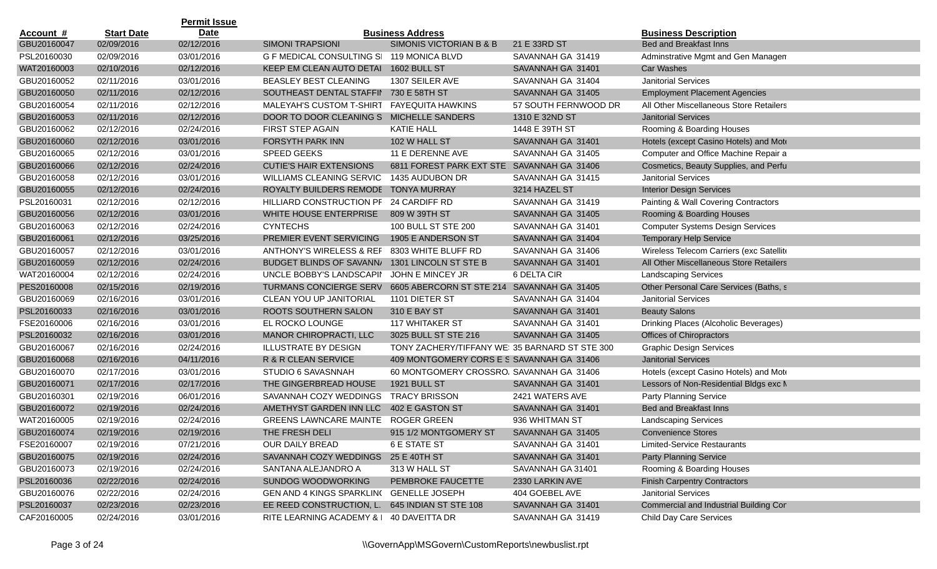|                  |                   | <b>Permit Issue</b> |                                           |                                                |                      |                                          |
|------------------|-------------------|---------------------|-------------------------------------------|------------------------------------------------|----------------------|------------------------------------------|
| <u>Account #</u> | <b>Start Date</b> | <b>Date</b>         |                                           | <b>Business Address</b>                        |                      | <b>Business Description</b>              |
| GBU20160047      | 02/09/2016        | 02/12/2016          | <b>SIMONI TRAPSIONI</b>                   | SIMONIS VICTORIAN B & B                        | 21 E 33RD ST         | <b>Bed and Breakfast Inns</b>            |
| PSL20160030      | 02/09/2016        | 03/01/2016          | G F MEDICAL CONSULTING SI 119 MONICA BLVD |                                                | SAVANNAH GA 31419    | Adminstrative Mgmt and Gen Managen       |
| WAT20160003      | 02/10/2016        | 02/12/2016          | KEEP EM CLEAN AUTO DETAI 1602 BULL ST     |                                                | SAVANNAH GA 31401    | <b>Car Washes</b>                        |
| GBU20160052      | 02/11/2016        | 03/01/2016          | <b>BEASLEY BEST CLEANING</b>              | 1307 SEILER AVE                                | SAVANNAH GA 31404    | <b>Janitorial Services</b>               |
| GBU20160050      | 02/11/2016        | 02/12/2016          | SOUTHEAST DENTAL STAFFII                  | 730 E 58TH ST                                  | SAVANNAH GA 31405    | <b>Employment Placement Agencies</b>     |
| GBU20160054      | 02/11/2016        | 02/12/2016          | MALEYAH'S CUSTOM T-SHIRT                  | <b>FAYEQUITA HAWKINS</b>                       | 57 SOUTH FERNWOOD DR | All Other Miscellaneous Store Retailers  |
| GBU20160053      | 02/11/2016        | 02/12/2016          | DOOR TO DOOR CLEANING S MICHELLE SANDERS  |                                                | 1310 E 32ND ST       | <b>Janitorial Services</b>               |
| GBU20160062      | 02/12/2016        | 02/24/2016          | FIRST STEP AGAIN                          | <b>KATIE HALL</b>                              | 1448 E 39TH ST       | Rooming & Boarding Houses                |
| GBU20160060      | 02/12/2016        | 03/01/2016          | FORSYTH PARK INN                          | 102 W HALL ST                                  | SAVANNAH GA 31401    | Hotels (except Casino Hotels) and Mote   |
| GBU20160065      | 02/12/2016        | 03/01/2016          | <b>SPEED GEEKS</b>                        | 11 E DERENNE AVE                               | SAVANNAH GA 31405    | Computer and Office Machine Repair a     |
| GBU20160066      | 02/12/2016        | 02/24/2016          | <b>CUTIE'S HAIR EXTENSIONS</b>            | 6811 FOREST PARK EXT STE : SAVANNAH GA 31406   |                      | Cosmetics, Beauty Supplies, and Perfu    |
| GBU20160058      | 02/12/2016        | 03/01/2016          | <b>WILLIAMS CLEANING SERVIC</b>           | 1435 AUDUBON DR                                | SAVANNAH GA 31415    | <b>Janitorial Services</b>               |
| GBU20160055      | 02/12/2016        | 02/24/2016          | ROYALTY BUILDERS REMODE                   | <b>TONYA MURRAY</b>                            | 3214 HAZEL ST        | <b>Interior Design Services</b>          |
| PSL20160031      | 02/12/2016        | 02/12/2016          | HILLIARD CONSTRUCTION PF 24 CARDIFF RD    |                                                | SAVANNAH GA 31419    | Painting & Wall Covering Contractors     |
| GBU20160056      | 02/12/2016        | 03/01/2016          | WHITE HOUSE ENTERPRISE                    | 809 W 39TH ST                                  | SAVANNAH GA 31405    | Rooming & Boarding Houses                |
| GBU20160063      | 02/12/2016        | 02/24/2016          | <b>CYNTECHS</b>                           | 100 BULL ST STE 200                            | SAVANNAH GA 31401    | <b>Computer Systems Design Services</b>  |
| GBU20160061      | 02/12/2016        | 03/25/2016          | PREMIER EVENT SERVICING                   | 1905 E ANDERSON ST                             | SAVANNAH GA 31404    | <b>Temporary Help Service</b>            |
| GBU20160057      | 02/12/2016        | 03/01/2016          | ANTHONY'S WIRELESS & REF                  | 8303 WHITE BLUFF RD                            | SAVANNAH GA 31406    | Wireless Telecom Carriers (exc Satellite |
| GBU20160059      | 02/12/2016        | 02/24/2016          | BUDGET BLINDS OF SAVANN/                  | 1301 LINCOLN ST STE B                          | SAVANNAH GA 31401    | All Other Miscellaneous Store Retailers  |
| WAT20160004      | 02/12/2016        | 02/24/2016          | UNCLE BOBBY'S LANDSCAPII                  | JOHN E MINCEY JR                               | 6 DELTA CIR          | <b>Landscaping Services</b>              |
| PES20160008      | 02/15/2016        | 02/19/2016          | <b>TURMANS CONCIERGE SERV</b>             | 6605 ABERCORN ST STE 214 SAVANNAH GA 31405     |                      | Other Personal Care Services (Baths, s   |
| GBU20160069      | 02/16/2016        | 03/01/2016          | CLEAN YOU UP JANITORIAL                   | 1101 DIETER ST                                 | SAVANNAH GA 31404    | <b>Janitorial Services</b>               |
| PSL20160033      | 02/16/2016        | 03/01/2016          | ROOTS SOUTHERN SALON                      | 310 E BAY ST                                   | SAVANNAH GA 31401    | <b>Beauty Salons</b>                     |
| FSE20160006      | 02/16/2016        | 03/01/2016          | EL ROCKO LOUNGE                           | <b>117 WHITAKER ST</b>                         | SAVANNAH GA 31401    | Drinking Places (Alcoholic Beverages)    |
| PSL20160032      | 02/16/2016        | 03/01/2016          | MANOR CHIROPRACTI, LLC                    | 3025 BULL ST STE 216                           | SAVANNAH GA 31405    | Offices of Chiropractors                 |
| GBU20160067      | 02/16/2016        | 02/24/2016          | <b>ILLUSTRATE BY DESIGN</b>               | TONY ZACHERY/TIFFANY WE: 35 BARNARD ST STE 300 |                      | <b>Graphic Design Services</b>           |
| GBU20160068      | 02/16/2016        | 04/11/2016          | R & R CLEAN SERVICE                       | 409 MONTGOMERY CORS E S SAVANNAH GA 31406      |                      | <b>Janitorial Services</b>               |
| GBU20160070      | 02/17/2016        | 03/01/2016          | STUDIO 6 SAVASNNAH                        | 60 MONTGOMERY CROSSRO, SAVANNAH GA 31406       |                      | Hotels (except Casino Hotels) and Mote   |
| GBU20160071      | 02/17/2016        | 02/17/2016          | THE GINGERBREAD HOUSE                     | 1921 BULL ST                                   | SAVANNAH GA 31401    | Lessors of Non-Residential Bldgs exc M   |
| GBU20160301      | 02/19/2016        | 06/01/2016          | SAVANNAH COZY WEDDINGS                    | <b>TRACY BRISSON</b>                           | 2421 WATERS AVE      | Party Planning Service                   |
| GBU20160072      | 02/19/2016        | 02/24/2016          | AMETHYST GARDEN INN LLC                   | 402 E GASTON ST                                | SAVANNAH GA 31401    | <b>Bed and Breakfast Inns</b>            |
| WAT20160005      | 02/19/2016        | 02/24/2016          | <b>GREENS LAWNCARE MAINTE</b>             | <b>ROGER GREEN</b>                             | 936 WHITMAN ST       | <b>Landscaping Services</b>              |
| GBU20160074      | 02/19/2016        | 02/19/2016          | THE FRESH DELI                            | 915 1/2 MONTGOMERY ST                          | SAVANNAH GA 31405    | <b>Convenience Stores</b>                |
| FSE20160007      | 02/19/2016        | 07/21/2016          | OUR DAILY BREAD                           | <b>6 E STATE ST</b>                            | SAVANNAH GA 31401    | <b>Limited-Service Restaurants</b>       |
| GBU20160075      | 02/19/2016        | 02/24/2016          | SAVANNAH COZY WEDDINGS                    | 25 E 40TH ST                                   | SAVANNAH GA 31401    | <b>Party Planning Service</b>            |
| GBU20160073      | 02/19/2016        | 02/24/2016          | SANTANA ALEJANDRO A                       | 313 W HALL ST                                  | SAVANNAH GA 31401    | Rooming & Boarding Houses                |
| PSL20160036      | 02/22/2016        | 02/24/2016          | <b>SUNDOG WOODWORKING</b>                 | PEMBROKE FAUCETTE                              | 2330 LARKIN AVE      | <b>Finish Carpentry Contractors</b>      |
| GBU20160076      | 02/22/2016        | 02/24/2016          | GEN AND 4 KINGS SPARKLING                 | <b>GENELLE JOSEPH</b>                          | 404 GOEBEL AVE       | Janitorial Services                      |
| PSL20160037      | 02/23/2016        | 02/23/2016          | EE REED CONSTRUCTION, L.                  | 645 INDIAN ST STE 108                          | SAVANNAH GA 31401    | Commercial and Industrial Building Cor   |
| CAF20160005      | 02/24/2016        | 03/01/2016          | RITE LEARNING ACADEMY &   40 DAVEITTA DR  |                                                | SAVANNAH GA 31419    | Child Day Care Services                  |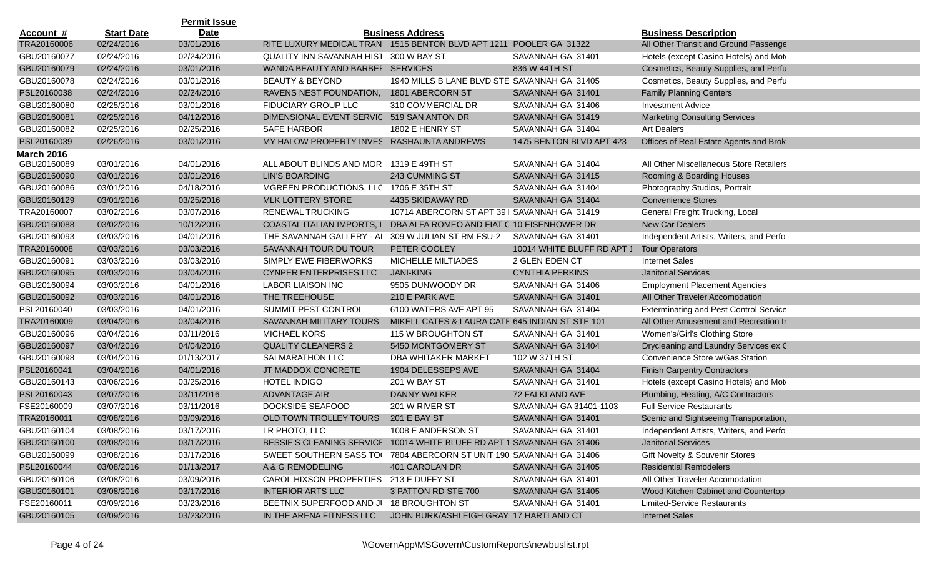|                   |                   | <b>Permit Issue</b> |                                                                        |                                                 |                            |                                               |
|-------------------|-------------------|---------------------|------------------------------------------------------------------------|-------------------------------------------------|----------------------------|-----------------------------------------------|
| <u>Account #</u>  | <b>Start Date</b> | <b>Date</b>         |                                                                        | <b>Business Address</b>                         |                            | <b>Business Description</b>                   |
| TRA20160006       | 02/24/2016        | 03/01/2016          | RITE LUXURY MEDICAL TRAN 1515 BENTON BLVD APT 1211 POOLER GA 31322     |                                                 |                            | All Other Transit and Ground Passenge         |
| GBU20160077       | 02/24/2016        | 02/24/2016          | QUALITY INN SAVANNAH HIST                                              | 300 W BAY ST                                    | SAVANNAH GA 31401          | Hotels (except Casino Hotels) and Mote        |
| GBU20160079       | 02/24/2016        | 03/01/2016          | WANDA BEAUTY AND BARBEF SERVICES                                       |                                                 | 836 W 44TH ST              | Cosmetics, Beauty Supplies, and Perfu         |
| GBU20160078       | 02/24/2016        | 03/01/2016          | <b>BEAUTY &amp; BEYOND</b>                                             | 1940 MILLS B LANE BLVD STE SAVANNAH GA 31405    |                            | Cosmetics, Beauty Supplies, and Perfu         |
| PSL20160038       | 02/24/2016        | 02/24/2016          | RAVENS NEST FOUNDATION,                                                | 1801 ABERCORN ST                                | SAVANNAH GA 31401          | <b>Family Planning Centers</b>                |
| GBU20160080       | 02/25/2016        | 03/01/2016          | FIDUCIARY GROUP LLC                                                    | 310 COMMERCIAL DR                               | SAVANNAH GA 31406          | <b>Investment Advice</b>                      |
| GBU20160081       | 02/25/2016        | 04/12/2016          | DIMENSIONAL EVENT SERVIC 519 SAN ANTON DR                              |                                                 | SAVANNAH GA 31419          | <b>Marketing Consulting Services</b>          |
| GBU20160082       | 02/25/2016        | 02/25/2016          | <b>SAFE HARBOR</b>                                                     | 1802 E HENRY ST                                 | SAVANNAH GA 31404          | <b>Art Dealers</b>                            |
| PSL20160039       | 02/26/2016        | 03/01/2016          | MY HALOW PROPERTY INVES RASHAUNTA ANDREWS                              |                                                 | 1475 BENTON BLVD APT 423   | Offices of Real Estate Agents and Brok        |
| <b>March 2016</b> |                   |                     |                                                                        |                                                 |                            |                                               |
| GBU20160089       | 03/01/2016        | 04/01/2016          | ALL ABOUT BLINDS AND MOR 1319 E 49TH ST                                |                                                 | SAVANNAH GA 31404          | All Other Miscellaneous Store Retailers       |
| GBU20160090       | 03/01/2016        | 03/01/2016          | LIN'S BOARDING                                                         | 243 CUMMING ST                                  | SAVANNAH GA 31415          | Rooming & Boarding Houses                     |
| GBU20160086       | 03/01/2016        | 04/18/2016          | MGREEN PRODUCTIONS, LLC 1706 E 35TH ST                                 |                                                 | SAVANNAH GA 31404          | Photography Studios, Portrait                 |
| GBU20160129       | 03/01/2016        | 03/25/2016          | <b>MLK LOTTERY STORE</b>                                               | 4435 SKIDAWAY RD                                | SAVANNAH GA 31404          | <b>Convenience Stores</b>                     |
| TRA20160007       | 03/02/2016        | 03/07/2016          | <b>RENEWAL TRUCKING</b>                                                | 10714 ABERCORN ST APT 39   SAVANNAH GA 31419    |                            | General Freight Trucking, Local               |
| GBU20160088       | 03/02/2016        | 10/12/2016          | COASTAL ITALIAN IMPORTS, I                                             | DBA ALFA ROMEO AND FIAT C 10 EISENHOWER DR      |                            | New Car Dealers                               |
| GBU20160093       | 03/03/2016        | 04/01/2016          | THE SAVANNAH GALLERY - AI                                              | 309 W JULIAN ST RM FSU-2                        | SAVANNAH GA 31401          | Independent Artists, Writers, and Perfor      |
| TRA20160008       | 03/03/2016        | 03/03/2016          | SAVANNAH TOUR DU TOUR                                                  | PETER COOLEY                                    | 10014 WHITE BLUFF RD APT 1 | <b>Tour Operators</b>                         |
| GBU20160091       | 03/03/2016        | 03/03/2016          | SIMPLY EWE FIBERWORKS                                                  | MICHELLE MILTIADES                              | 2 GLEN EDEN CT             | <b>Internet Sales</b>                         |
| GBU20160095       | 03/03/2016        | 03/04/2016          | <b>CYNPER ENTERPRISES LLC</b>                                          | <b>JANI-KING</b>                                | <b>CYNTHIA PERKINS</b>     | <b>Janitorial Services</b>                    |
| GBU20160094       | 03/03/2016        | 04/01/2016          | <b>LABOR LIAISON INC</b>                                               | 9505 DUNWOODY DR                                | SAVANNAH GA 31406          | <b>Employment Placement Agencies</b>          |
| GBU20160092       | 03/03/2016        | 04/01/2016          | THE TREEHOUSE                                                          | 210 E PARK AVE                                  | SAVANNAH GA 31401          | All Other Traveler Accomodation               |
| PSL20160040       | 03/03/2016        | 04/01/2016          | SUMMIT PEST CONTROL                                                    | 6100 WATERS AVE APT 95                          | SAVANNAH GA 31404          | <b>Exterminating and Pest Control Service</b> |
| TRA20160009       | 03/04/2016        | 03/04/2016          | SAVANNAH MILITARY TOURS                                                | MIKELL CATES & LAURA CATE 645 INDIAN ST STE 101 |                            | All Other Amusement and Recreation Ir         |
| GBU20160096       | 03/04/2016        | 03/11/2016          | <b>MICHAEL KORS</b>                                                    | 115 W BROUGHTON ST                              | SAVANNAH GA 31401          | Women's/Girl's Clothing Store                 |
| GBU20160097       | 03/04/2016        | 04/04/2016          | <b>QUALITY CLEANERS 2</b>                                              | 5450 MONTGOMERY ST                              | SAVANNAH GA 31404          | Drycleaning and Laundry Services ex C         |
| GBU20160098       | 03/04/2016        | 01/13/2017          | SAI MARATHON LLC                                                       | DBA WHITAKER MARKET                             | 102 W 37TH ST              | Convenience Store w/Gas Station               |
| PSL20160041       | 03/04/2016        | 04/01/2016          | JT MADDOX CONCRETE                                                     | 1904 DELESSEPS AVE                              | SAVANNAH GA 31404          | <b>Finish Carpentry Contractors</b>           |
| GBU20160143       | 03/06/2016        | 03/25/2016          | <b>HOTEL INDIGO</b>                                                    | 201 W BAY ST                                    | SAVANNAH GA 31401          | Hotels (except Casino Hotels) and Mote        |
| PSL20160043       | 03/07/2016        | 03/11/2016          | <b>ADVANTAGE AIR</b>                                                   | <b>DANNY WALKER</b>                             | 72 FALKLAND AVE            | Plumbing, Heating, A/C Contractors            |
| FSE20160009       | 03/07/2016        | 03/11/2016          | DOCKSIDE SEAFOOD                                                       | 201 W RIVER ST                                  | SAVANNAH GA 31401-1103     | <b>Full Service Restaurants</b>               |
| TRA20160011       | 03/08/2016        | 03/09/2016          | OLD TOWN TROLLEY TOURS                                                 | 201 E BAY ST                                    | SAVANNAH GA 31401          | Scenic and Sightseeing Transportation,        |
| GBU20160104       | 03/08/2016        | 03/17/2016          | LR PHOTO, LLC                                                          | 1008 E ANDERSON ST                              | SAVANNAH GA 31401          | Independent Artists, Writers, and Perfor      |
| GBU20160100       | 03/08/2016        | 03/17/2016          | BESSIE'S CLEANING SERVICE 10014 WHITE BLUFF RD APT 1 SAVANNAH GA 31406 |                                                 |                            | <b>Janitorial Services</b>                    |
| GBU20160099       | 03/08/2016        | 03/17/2016          | SWEET SOUTHERN SASS TO 7804 ABERCORN ST UNIT 190 SAVANNAH GA 31406     |                                                 |                            | Gift Novelty & Souvenir Stores                |
| PSL20160044       | 03/08/2016        | 01/13/2017          | A & G REMODELING                                                       | 401 CAROLAN DR                                  | SAVANNAH GA 31405          | <b>Residential Remodelers</b>                 |
| GBU20160106       | 03/08/2016        | 03/09/2016          | CAROL HIXSON PROPERTIES                                                | 213 E DUFFY ST                                  | SAVANNAH GA 31401          | All Other Traveler Accomodation               |
| GBU20160101       | 03/08/2016        | 03/17/2016          | <b>INTERIOR ARTS LLC</b>                                               | 3 PATTON RD STE 700                             | SAVANNAH GA 31405          | Wood Kitchen Cabinet and Countertop           |
| FSE20160011       | 03/09/2016        | 03/23/2016          | BEETNIX SUPERFOOD AND JI 18 BROUGHTON ST                               |                                                 | SAVANNAH GA 31401          | <b>Limited-Service Restaurants</b>            |
| GBU20160105       | 03/09/2016        | 03/23/2016          | IN THE ARENA FITNESS LLC                                               | JOHN BURK/ASHLEIGH GRAY 17 HARTLAND CT          |                            | <b>Internet Sales</b>                         |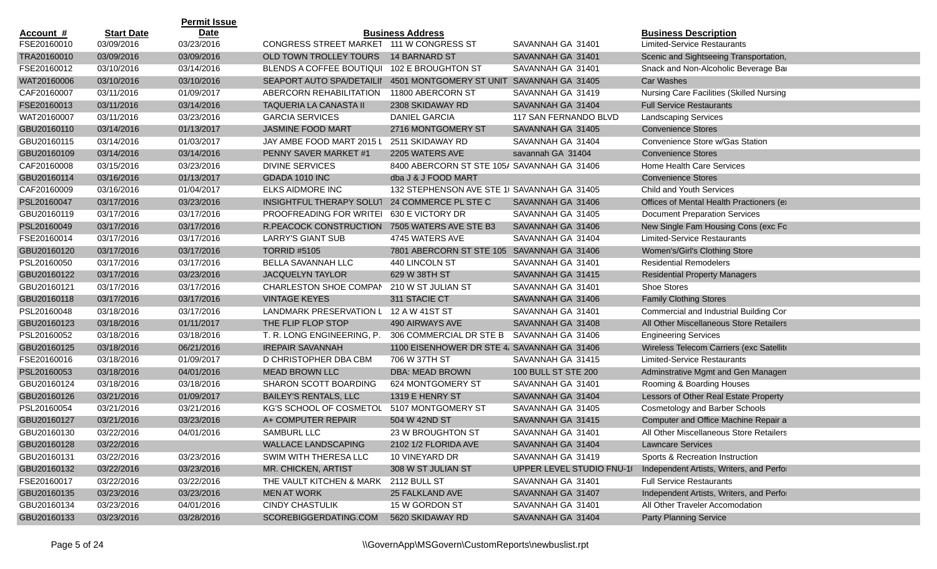|                  |                   | <b>Permit Issue</b> |                                          |                                             |                           |                                                 |
|------------------|-------------------|---------------------|------------------------------------------|---------------------------------------------|---------------------------|-------------------------------------------------|
| <u>Account #</u> | <b>Start Date</b> | <b>Date</b>         |                                          | <b>Business Address</b>                     |                           | <b>Business Description</b>                     |
| FSE20160010      | 03/09/2016        | 03/23/2016          | CONGRESS STREET MARKET 111 W CONGRESS ST |                                             | SAVANNAH GA 31401         | <b>Limited-Service Restaurants</b>              |
| TRA20160010      | 03/09/2016        | 03/09/2016          | OLD TOWN TROLLEY TOURS                   | <b>14 BARNARD ST</b>                        | SAVANNAH GA 31401         | Scenic and Sightseeing Transportation,          |
| FSE20160012      | 03/10/2016        | 03/14/2016          | BLENDS A COFFEE BOUTIQUI                 | 102 E BROUGHTON ST                          | SAVANNAH GA 31401         | Snack and Non-Alcoholic Beverage Bar            |
| WAT20160006      | 03/10/2016        | 03/10/2016          | SEAPORT AUTO SPA/DETAILII                | 4501 MONTGOMERY ST UNIT SAVANNAH GA 31405   |                           | <b>Car Washes</b>                               |
| CAF20160007      | 03/11/2016        | 01/09/2017          | ABERCORN REHABILITATION                  | 11800 ABERCORN ST                           | SAVANNAH GA 31419         | <b>Nursing Care Facilities (Skilled Nursing</b> |
| FSE20160013      | 03/11/2016        | 03/14/2016          | TAQUERIA LA CANASTA II                   | 2308 SKIDAWAY RD                            | SAVANNAH GA 31404         | <b>Full Service Restaurants</b>                 |
| WAT20160007      | 03/11/2016        | 03/23/2016          | <b>GARCIA SERVICES</b>                   | DANIEL GARCIA                               | 117 SAN FERNANDO BLVD     | <b>Landscaping Services</b>                     |
| GBU20160110      | 03/14/2016        | 01/13/2017          | JASMINE FOOD MART                        | 2716 MONTGOMERY ST                          | SAVANNAH GA 31405         | <b>Convenience Stores</b>                       |
| GBU20160115      | 03/14/2016        | 01/03/2017          | JAY AMBE FOOD MART 2015 L                | 2511 SKIDAWAY RD                            | SAVANNAH GA 31404         | Convenience Store w/Gas Station                 |
| GBU20160109      | 03/14/2016        | 03/14/2016          | PENNY SAVER MARKET #1                    | 2205 WATERS AVE                             | savannah GA 31404         | <b>Convenience Stores</b>                       |
| CAF20160008      | 03/15/2016        | 03/23/2016          | <b>DIVINE SERVICES</b>                   | 8400 ABERCORN ST STE 105/ SAVANNAH GA 31406 |                           | Home Health Care Services                       |
| GBU20160114      | 03/16/2016        | 01/13/2017          | GDADA 1010 INC                           | dba J & J FOOD MART                         |                           | <b>Convenience Stores</b>                       |
| CAF20160009      | 03/16/2016        | 01/04/2017          | ELKS AIDMORE INC                         | 132 STEPHENSON AVE STE 1( SAVANNAH GA 31405 |                           | Child and Youth Services                        |
| PSL20160047      | 03/17/2016        | 03/23/2016          | INSIGHTFUL THERAPY SOLUT                 | 24 COMMERCE PL STE C                        | SAVANNAH GA 31406         | Offices of Mental Health Practioners (e)        |
| GBU20160119      | 03/17/2016        | 03/17/2016          | PROOFREADING FOR WRITEI                  | 630 E VICTORY DR                            | SAVANNAH GA 31405         | <b>Document Preparation Services</b>            |
| PSL20160049      | 03/17/2016        | 03/17/2016          | R.PEACOCK CONSTRUCTION                   | 7505 WATERS AVE STE B3                      | SAVANNAH GA 31406         | New Single Fam Housing Cons (exc Fo             |
| FSE20160014      | 03/17/2016        | 03/17/2016          | <b>LARRY'S GIANT SUB</b>                 | 4745 WATERS AVE                             | SAVANNAH GA 31404         | <b>Limited-Service Restaurants</b>              |
| GBU20160120      | 03/17/2016        | 03/17/2016          | <b>TORRID #5105</b>                      | 7801 ABERCORN ST STE 105 SAVANNAH GA 31406  |                           | Women's/Girl's Clothing Store                   |
| PSL20160050      | 03/17/2016        | 03/17/2016          | BELLA SAVANNAH LLC                       | 440 LINCOLN ST                              | SAVANNAH GA 31401         | <b>Residential Remodelers</b>                   |
| GBU20160122      | 03/17/2016        | 03/23/2016          | <b>JACQUELYN TAYLOR</b>                  | 629 W 38TH ST                               | SAVANNAH GA 31415         | <b>Residential Property Managers</b>            |
| GBU20160121      | 03/17/2016        | 03/17/2016          | <b>CHARLESTON SHOE COMPAN</b>            | 210 W ST JULIAN ST                          | SAVANNAH GA 31401         | Shoe Stores                                     |
| GBU20160118      | 03/17/2016        | 03/17/2016          | <b>VINTAGE KEYES</b>                     | 311 STACIE CT                               | SAVANNAH GA 31406         | <b>Family Clothing Stores</b>                   |
| PSL20160048      | 03/18/2016        | 03/17/2016          | <b>LANDMARK PRESERVATION L</b>           | 12 A W 41ST ST                              | SAVANNAH GA 31401         | Commercial and Industrial Building Cor          |
| GBU20160123      | 03/18/2016        | 01/11/2017          | THE FLIP FLOP STOP                       | 490 AIRWAYS AVE                             | SAVANNAH GA 31408         | All Other Miscellaneous Store Retailers         |
| PSL20160052      | 03/18/2016        | 03/18/2016          | T. R. LONG ENGINEERING, P.               | 306 COMMERCIAL DR STE B SAVANNAH GA 31406   |                           | <b>Engineering Services</b>                     |
| GBU20160125      | 03/18/2016        | 06/21/2016          | <b>IREPAIR SAVANNAH</b>                  | 1100 EISENHOWER DR STE 4, SAVANNAH GA 31406 |                           | Wireless Telecom Carriers (exc Satellite        |
| FSE20160016      | 03/18/2016        | 01/09/2017          | D CHRISTOPHER DBA CBM                    | 706 W 37TH ST                               | SAVANNAH GA 31415         | <b>Limited-Service Restaurants</b>              |
| PSL20160053      | 03/18/2016        | 04/01/2016          | <b>MEAD BROWN LLC</b>                    | DBA: MEAD BROWN                             | 100 BULL ST STE 200       | Adminstrative Mgmt and Gen Managen              |
| GBU20160124      | 03/18/2016        | 03/18/2016          | SHARON SCOTT BOARDING                    | 624 MONTGOMERY ST                           | SAVANNAH GA 31401         | Rooming & Boarding Houses                       |
| GBU20160126      | 03/21/2016        | 01/09/2017          | <b>BAILEY'S RENTALS, LLC</b>             | 1319 E HENRY ST                             | SAVANNAH GA 31404         | Lessors of Other Real Estate Property           |
| PSL20160054      | 03/21/2016        | 03/21/2016          | <b>KG'S SCHOOL OF COSMETOL</b>           | 5107 MONTGOMERY ST                          | SAVANNAH GA 31405         | <b>Cosmetology and Barber Schools</b>           |
| GBU20160127      | 03/21/2016        | 03/23/2016          | A+ COMPUTER REPAIR                       | 504 W 42ND ST                               | SAVANNAH GA 31415         | Computer and Office Machine Repair a            |
| GBU20160130      | 03/22/2016        | 04/01/2016          | <b>SAMBURL LLC</b>                       | 23 W BROUGHTON ST                           | SAVANNAH GA 31401         | All Other Miscellaneous Store Retailers         |
| GBU20160128      | 03/22/2016        |                     | <b>WALLACE LANDSCAPING</b>               | 2102 1/2 FLORIDA AVE                        | SAVANNAH GA 31404         | <b>Lawncare Services</b>                        |
| GBU20160131      | 03/22/2016        | 03/23/2016          | SWIM WITH THERESA LLC                    | 10 VINEYARD DR                              | SAVANNAH GA 31419         | Sports & Recreation Instruction                 |
| GBU20160132      | 03/22/2016        | 03/23/2016          | MR. CHICKEN, ARTIST                      | 308 W ST JULIAN ST                          | UPPER LEVEL STUDIO FNU-10 | Independent Artists, Writers, and Perfor        |
| FSE20160017      | 03/22/2016        | 03/22/2016          | THE VAULT KITCHEN & MARK                 | 2112 BULL ST                                | SAVANNAH GA 31401         | <b>Full Service Restaurants</b>                 |
| GBU20160135      | 03/23/2016        | 03/23/2016          | <b>MEN AT WORK</b>                       | 25 FALKLAND AVE                             | SAVANNAH GA 31407         | Independent Artists, Writers, and Perfor        |
| GBU20160134      | 03/23/2016        | 04/01/2016          | <b>CINDY CHASTULIK</b>                   | 15 W GORDON ST                              | SAVANNAH GA 31401         | All Other Traveler Accomodation                 |
| GBU20160133      | 03/23/2016        | 03/28/2016          | SCOREBIGGERDATING.COM                    | 5620 SKIDAWAY RD                            | SAVANNAH GA 31404         | <b>Party Planning Service</b>                   |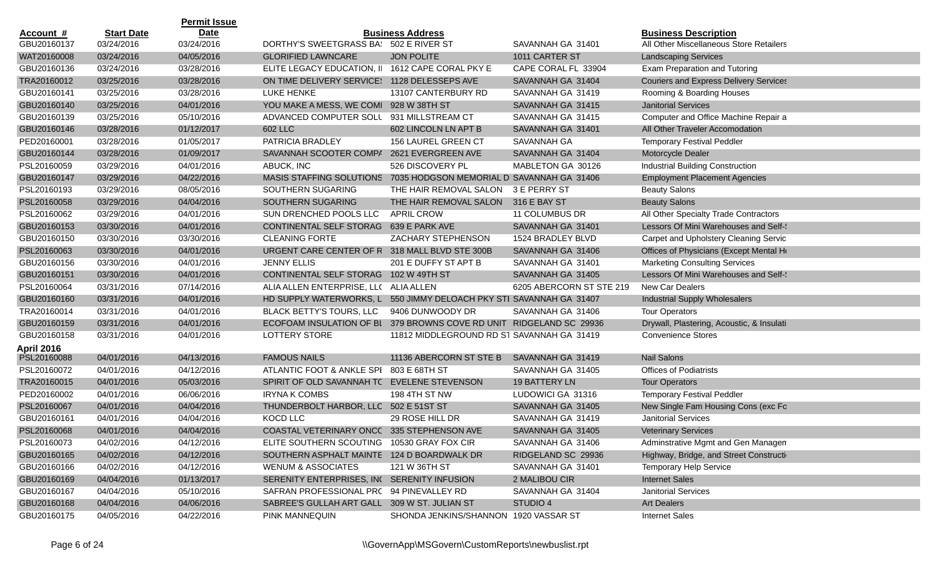|                  |                   | <b>Permit Issue</b> |                                                                    |                                             |                          |                                               |
|------------------|-------------------|---------------------|--------------------------------------------------------------------|---------------------------------------------|--------------------------|-----------------------------------------------|
| <u>Account #</u> | <b>Start Date</b> | <b>Date</b>         |                                                                    | <b>Business Address</b>                     |                          | <b>Business Description</b>                   |
| GBU20160137      | 03/24/2016        | 03/24/2016          | DORTHY'S SWEETGRASS BA: 502 E RIVER ST                             |                                             | SAVANNAH GA 31401        | All Other Miscellaneous Store Retailers       |
| WAT20160008      | 03/24/2016        | 04/05/2016          | <b>GLORIFIED LAWNCARE</b>                                          | <b>JON POLITE</b>                           | 1011 CARTER ST           | <b>Landscaping Services</b>                   |
| GBU20160136      | 03/24/2016        | 03/28/2016          | ELITE LEGACY EDUCATION, II 1612 CAPE CORAL PKY E                   |                                             | CAPE CORAL FL 33904      | Exam Preparation and Tutoring                 |
| TRA20160012      | 03/25/2016        | 03/28/2016          | ON TIME DELIVERY SERVICE: 1128 DELESSEPS AVE                       |                                             | SAVANNAH GA 31404        | <b>Couriers and Express Delivery Services</b> |
| GBU20160141      | 03/25/2016        | 03/28/2016          | LUKE HENKE                                                         | 13107 CANTERBURY RD                         | SAVANNAH GA 31419        | Rooming & Boarding Houses                     |
| GBU20160140      | 03/25/2016        | 04/01/2016          | YOU MAKE A MESS, WE COMI 928 W 38TH ST                             |                                             | SAVANNAH GA 31415        | <b>Janitorial Services</b>                    |
| GBU20160139      | 03/25/2016        | 05/10/2016          | ADVANCED COMPUTER SOLL 931 MILLSTREAM CT                           |                                             | SAVANNAH GA 31415        | Computer and Office Machine Repair a          |
| GBU20160146      | 03/28/2016        | 01/12/2017          | 602 LLC                                                            | 602 LINCOLN LN APT B                        | SAVANNAH GA 31401        | All Other Traveler Accomodation               |
| PED20160001      | 03/28/2016        | 01/05/2017          | PATRICIA BRADLEY                                                   | <b>156 LAUREL GREEN CT</b>                  | SAVANNAH GA              | <b>Temporary Festival Peddler</b>             |
| GBU20160144      | 03/28/2016        | 01/09/2017          | SAVANNAH SCOOTER COMPA                                             | 2621 EVERGREEN AVE                          | SAVANNAH GA 31404        | Motorcycle Dealer                             |
| PSL20160059      | 03/29/2016        | 04/01/2016          | ABUCK, INC                                                         | 526 DISCOVERY PL                            | MABLETON GA 30126        | <b>Industrial Building Construction</b>       |
| GBU20160147      | 03/29/2016        | 04/22/2016          | MASIS STAFFING SOLUTIONS 7035 HODGSON MEMORIAL D SAVANNAH GA 31406 |                                             |                          | <b>Employment Placement Agencies</b>          |
| PSL20160193      | 03/29/2016        | 08/05/2016          | SOUTHERN SUGARING                                                  | THE HAIR REMOVAL SALON                      | 3 E PERRY ST             | <b>Beauty Salons</b>                          |
| PSL20160058      | 03/29/2016        | 04/04/2016          | SOUTHERN SUGARING                                                  | THE HAIR REMOVAL SALON 316 E BAY ST         |                          | <b>Beauty Salons</b>                          |
| PSL20160062      | 03/29/2016        | 04/01/2016          | SUN DRENCHED POOLS LLC                                             | <b>APRIL CROW</b>                           | 11 COLUMBUS DR           | All Other Specialty Trade Contractors         |
| GBU20160153      | 03/30/2016        | 04/01/2016          | CONTINENTAL SELF STORAG                                            | 639 E PARK AVE                              | SAVANNAH GA 31401        | Lessors Of Mini Warehouses and Self-          |
| GBU20160150      | 03/30/2016        | 03/30/2016          | <b>CLEANING FORTE</b>                                              | ZACHARY STEPHENSON                          | 1524 BRADLEY BLVD        | Carpet and Upholstery Cleaning Servic         |
| PSL20160063      | 03/30/2016        | 04/01/2016          | URGENT CARE CENTER OF R 318 MALL BLVD STE 300B                     |                                             | SAVANNAH GA 31406        | Offices of Physicians (Except Mental He       |
| GBU20160156      | 03/30/2016        | 04/01/2016          | <b>JENNY ELLIS</b>                                                 | 201 E DUFFY ST APT B                        | SAVANNAH GA 31401        | <b>Marketing Consulting Services</b>          |
| GBU20160151      | 03/30/2016        | 04/01/2016          | CONTINENTAL SELF STORAG                                            | 102 W 49TH ST                               | SAVANNAH GA 31405        | Lessors Of Mini Warehouses and Self-          |
| PSL20160064      | 03/31/2016        | 07/14/2016          | ALIA ALLEN ENTERPRISE, LLC ALIA ALLEN                              |                                             | 6205 ABERCORN ST STE 219 | New Car Dealers                               |
| GBU20160160      | 03/31/2016        | 04/01/2016          | HD SUPPLY WATERWORKS, L                                            | 550 JIMMY DELOACH PKY STI SAVANNAH GA 31407 |                          | <b>Industrial Supply Wholesalers</b>          |
| TRA20160014      | 03/31/2016        | 04/01/2016          | <b>BLACK BETTY'S TOURS, LLC</b>                                    | 9406 DUNWOODY DR                            | SAVANNAH GA 31406        | <b>Tour Operators</b>                         |
| GBU20160159      | 03/31/2016        | 04/01/2016          | ECOFOAM INSULATION OF BL                                           | 379 BROWNS COVE RD UNIT RIDGELAND SC 29936  |                          | Drywall, Plastering, Acoustic, & Insulati     |
| GBU20160158      | 03/31/2016        | 04/01/2016          | <b>LOTTERY STORE</b>                                               | 11812 MIDDLEGROUND RD ST SAVANNAH GA 31419  |                          | <b>Convenience Stores</b>                     |
| April 2016       |                   |                     |                                                                    |                                             |                          |                                               |
| PSL20160088      | 04/01/2016        | 04/13/2016          | <b>FAMOUS NAILS</b>                                                | 11136 ABERCORN ST STE B                     | SAVANNAH GA 31419        | <b>Nail Salons</b>                            |
| PSL20160072      | 04/01/2016        | 04/12/2016          | ATLANTIC FOOT & ANKLE SPI 803 E 68TH ST                            |                                             | SAVANNAH GA 31405        | <b>Offices of Podiatrists</b>                 |
| TRA20160015      | 04/01/2016        | 05/03/2016          | SPIRIT OF OLD SAVANNAH TC EVELENE STEVENSON                        |                                             | <b>19 BATTERY LN</b>     | <b>Tour Operators</b>                         |
| PED20160002      | 04/01/2016        | 06/06/2016          | <b>IRYNA K COMBS</b>                                               | 198 4TH ST NW                               | LUDOWICI GA 31316        | <b>Temporary Festival Peddler</b>             |
| PSL20160067      | 04/01/2016        | 04/04/2016          | THUNDERBOLT HARBOR, LLC 502 E 51ST ST                              |                                             | SAVANNAH GA 31405        | New Single Fam Housing Cons (exc Fo           |
| GBU20160161      | 04/01/2016        | 04/04/2016          | KOCD LLC                                                           | 29 ROSE HILL DR                             | SAVANNAH GA 31419        | <b>Janitorial Services</b>                    |
| PSL20160068      | 04/01/2016        | 04/04/2016          | COASTAL VETERINARY ONCC 335 STEPHENSON AVE                         |                                             | SAVANNAH GA 31405        | <b>Veterinary Services</b>                    |
| PSL20160073      | 04/02/2016        | 04/12/2016          | ELITE SOUTHERN SCOUTING 10530 GRAY FOX CIR                         |                                             | SAVANNAH GA 31406        | Adminstrative Mgmt and Gen Managen            |
| GBU20160165      | 04/02/2016        | 04/12/2016          | SOUTHERN ASPHALT MAINTE 124 D BOARDWALK DR                         |                                             | RIDGELAND SC 29936       | Highway, Bridge, and Street Constructi        |
| GBU20160166      | 04/02/2016        | 04/12/2016          | <b>WENUM &amp; ASSOCIATES</b>                                      | 121 W 36TH ST                               | SAVANNAH GA 31401        | <b>Temporary Help Service</b>                 |
| GBU20160169      | 04/04/2016        | 01/13/2017          | SERENITY ENTERPRISES, INC SERENITY INFUSION                        |                                             | 2 MALIBOU CIR            | <b>Internet Sales</b>                         |
| GBU20160167      | 04/04/2016        | 05/10/2016          | SAFRAN PROFESSIONAL PRC 94 PINEVALLEY RD                           |                                             | SAVANNAH GA 31404        | <b>Janitorial Services</b>                    |
| GBU20160168      | 04/04/2016        | 04/06/2016          | SABREE'S GULLAH ART GALL 309 W ST. JULIAN ST                       |                                             | STUDIO 4                 | <b>Art Dealers</b>                            |
| GBU20160175      | 04/05/2016        | 04/22/2016          | PINK MANNEQUIN                                                     | SHONDA JENKINS/SHANNON 1920 VASSAR ST       |                          | <b>Internet Sales</b>                         |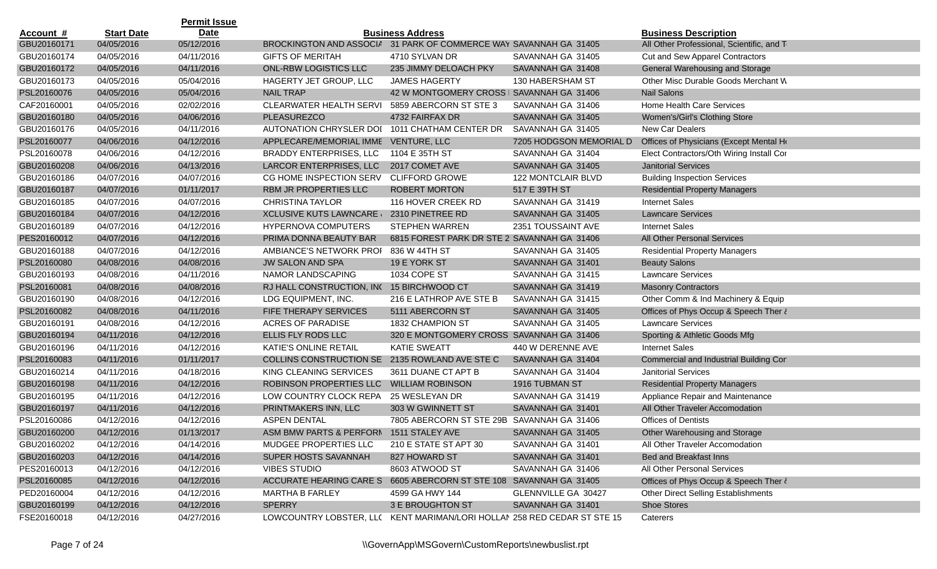|                  |                   | <b>Permit Issue</b> |                                                                          |                                             |                         |                                            |
|------------------|-------------------|---------------------|--------------------------------------------------------------------------|---------------------------------------------|-------------------------|--------------------------------------------|
| <u>Account #</u> | <b>Start Date</b> | <b>Date</b>         |                                                                          | <b>Business Address</b>                     |                         | <b>Business Description</b>                |
| GBU20160171      | 04/05/2016        | 05/12/2016          | BROCKINGTON AND ASSOCIA 31 PARK OF COMMERCE WAY SAVANNAH GA 31405        |                                             |                         | All Other Professional, Scientific, and T  |
| GBU20160174      | 04/05/2016        | 04/11/2016          | <b>GIFTS OF MERITAH</b>                                                  | 4710 SYLVAN DR                              | SAVANNAH GA 31405       | Cut and Sew Apparel Contractors            |
| GBU20160172      | 04/05/2016        | 04/11/2016          | <b>ONL-RBW LOGISTICS LLC</b>                                             | 235 JIMMY DELOACH PKY                       | SAVANNAH GA 31408       | General Warehousing and Storage            |
| GBU20160173      | 04/05/2016        | 05/04/2016          | HAGERTY JET GROUP, LLC                                                   | <b>JAMES HAGERTY</b>                        | 130 HABERSHAM ST        | Other Misc Durable Goods Merchant W        |
| PSL20160076      | 04/05/2016        | 05/04/2016          | <b>NAIL TRAP</b>                                                         | 42 W MONTGOMERY CROSS   SAVANNAH GA 31406   |                         | <b>Nail Salons</b>                         |
| CAF20160001      | 04/05/2016        | 02/02/2016          | <b>CLEARWATER HEALTH SERVI</b>                                           | 5859 ABERCORN ST STE 3                      | SAVANNAH GA 31406       | Home Health Care Services                  |
| GBU20160180      | 04/05/2016        | 04/06/2016          | PLEASUREZCO                                                              | 4732 FAIRFAX DR                             | SAVANNAH GA 31405       | Women's/Girl's Clothing Store              |
| GBU20160176      | 04/05/2016        | 04/11/2016          | <b>AUTONATION CHRYSLER DOI</b>                                           | 1011 CHATHAM CENTER DR                      | SAVANNAH GA 31405       | New Car Dealers                            |
| PSL20160077      | 04/06/2016        | 04/12/2016          | APPLECARE/MEMORIAL IMME VENTURE, LLC                                     |                                             | 7205 HODGSON MEMORIAL D | Offices of Physicians (Except Mental He    |
| PSL20160078      | 04/06/2016        | 04/12/2016          | <b>BRADDY ENTERPRISES, LLC</b>                                           | 1104 E 35TH ST                              | SAVANNAH GA 31404       | Elect Contractors/Oth Wiring Install Cor   |
| GBU20160208      | 04/06/2016        | 04/13/2016          | LARCOR ENTERPRISES, LLC                                                  | 2017 COMET AVE                              | SAVANNAH GA 31405       | <b>Janitorial Services</b>                 |
| GBU20160186      | 04/07/2016        | 04/07/2016          | CG HOME INSPECTION SERV                                                  | <b>CLIFFORD GROWE</b>                       | 122 MONTCLAIR BLVD      | <b>Building Inspection Services</b>        |
| GBU20160187      | 04/07/2016        | 01/11/2017          | RBM JR PROPERTIES LLC                                                    | <b>ROBERT MORTON</b>                        | 517 E 39TH ST           | <b>Residential Property Managers</b>       |
| GBU20160185      | 04/07/2016        | 04/07/2016          | <b>CHRISTINA TAYLOR</b>                                                  | 116 HOVER CREEK RD                          | SAVANNAH GA 31419       | <b>Internet Sales</b>                      |
| GBU20160184      | 04/07/2016        | 04/12/2016          | <b>XCLUSIVE KUTS LAWNCARE</b>                                            | 2310 PINETREE RD                            | SAVANNAH GA 31405       | <b>Lawncare Services</b>                   |
| GBU20160189      | 04/07/2016        | 04/12/2016          | <b>HYPERNOVA COMPUTERS</b>                                               | <b>STEPHEN WARREN</b>                       | 2351 TOUSSAINT AVE      | <b>Internet Sales</b>                      |
| PES20160012      | 04/07/2016        | 04/12/2016          | PRIMA DONNA BEAUTY BAR                                                   | 6815 FOREST PARK DR STE 2 SAVANNAH GA 31406 |                         | All Other Personal Services                |
| GBU20160188      | 04/07/2016        | 04/12/2016          | AMBIANCE'S NETWORK PROI                                                  | 836 W 44TH ST                               | SAVANNAH GA 31405       | <b>Residential Property Managers</b>       |
| PSL20160080      | 04/08/2016        | 04/08/2016          | <b>JW SALON AND SPA</b>                                                  | 19 E YORK ST                                | SAVANNAH GA 31401       | <b>Beauty Salons</b>                       |
| GBU20160193      | 04/08/2016        | 04/11/2016          | NAMOR LANDSCAPING                                                        | 1034 COPE ST                                | SAVANNAH GA 31415       | <b>Lawncare Services</b>                   |
| PSL20160081      | 04/08/2016        | 04/08/2016          | RJ HALL CONSTRUCTION, IN( 15 BIRCHWOOD CT                                |                                             | SAVANNAH GA 31419       | <b>Masonry Contractors</b>                 |
| GBU20160190      | 04/08/2016        | 04/12/2016          | LDG EQUIPMENT, INC.                                                      | 216 E LATHROP AVE STE B                     | SAVANNAH GA 31415       | Other Comm & Ind Machinery & Equip         |
| PSL20160082      | 04/08/2016        | 04/11/2016          | FIFE THERAPY SERVICES                                                    | 5111 ABERCORN ST                            | SAVANNAH GA 31405       | Offices of Phys Occup & Speech Ther &      |
| GBU20160191      | 04/08/2016        | 04/12/2016          | <b>ACRES OF PARADISE</b>                                                 | 1832 CHAMPION ST                            | SAVANNAH GA 31405       | <b>Lawncare Services</b>                   |
| GBU20160194      | 04/11/2016        | 04/12/2016          | ELLIS FLY RODS LLC                                                       | 320 E MONTGOMERY CROSS SAVANNAH GA 31406    |                         | Sporting & Athletic Goods Mfg              |
| GBU20160196      | 04/11/2016        | 04/12/2016          | KATIE'S ONLINE RETAIL                                                    | <b>KATIE SWEATT</b>                         | 440 W DERENNE AVE       | <b>Internet Sales</b>                      |
| PSL20160083      | 04/11/2016        | 01/11/2017          | COLLINS CONSTRUCTION SE                                                  | 2135 ROWLAND AVE STE C                      | SAVANNAH GA 31404       | Commercial and Industrial Building Cor     |
| GBU20160214      | 04/11/2016        | 04/18/2016          | KING CLEANING SERVICES                                                   | 3611 DUANE CT APT B                         | SAVANNAH GA 31404       | <b>Janitorial Services</b>                 |
| GBU20160198      | 04/11/2016        | 04/12/2016          | ROBINSON PROPERTIES LLC                                                  | <b>WILLIAM ROBINSON</b>                     | 1916 TUBMAN ST          | <b>Residential Property Managers</b>       |
| GBU20160195      | 04/11/2016        | 04/12/2016          | LOW COUNTRY CLOCK REPA                                                   | 25 WESLEYAN DR                              | SAVANNAH GA 31419       | Appliance Repair and Maintenance           |
| GBU20160197      | 04/11/2016        | 04/12/2016          | PRINTMAKERS INN, LLC                                                     | 303 W GWINNETT ST                           | SAVANNAH GA 31401       | All Other Traveler Accomodation            |
| PSL20160086      | 04/12/2016        | 04/12/2016          | <b>ASPEN DENTAL</b>                                                      | 7805 ABERCORN ST STE 29B SAVANNAH GA 31406  |                         | <b>Offices of Dentists</b>                 |
| GBU20160200      | 04/12/2016        | 01/13/2017          | ASM BMW PARTS & PERFORN 1511 STALEY AVE                                  |                                             | SAVANNAH GA 31405       | Other Warehousing and Storage              |
| GBU20160202      | 04/12/2016        | 04/14/2016          | MUDGEE PROPERTIES LLC                                                    | 210 E STATE ST APT 30                       | SAVANNAH GA 31401       | All Other Traveler Accomodation            |
| GBU20160203      | 04/12/2016        | 04/14/2016          | SUPER HOSTS SAVANNAH                                                     | 827 HOWARD ST                               | SAVANNAH GA 31401       | Bed and Breakfast Inns                     |
| PES20160013      | 04/12/2016        | 04/12/2016          | <b>VIBES STUDIO</b>                                                      | 8603 ATWOOD ST                              | SAVANNAH GA 31406       | All Other Personal Services                |
| PSL20160085      | 04/12/2016        | 04/12/2016          | ACCURATE HEARING CARE S                                                  | 6605 ABERCORN ST STE 108 SAVANNAH GA 31405  |                         | Offices of Phys Occup & Speech Ther &      |
| PED20160004      | 04/12/2016        | 04/12/2016          | <b>MARTHA B FARLEY</b>                                                   | 4599 GA HWY 144                             | GLENNVILLE GA 30427     | <b>Other Direct Selling Establishments</b> |
| GBU20160199      | 04/12/2016        | 04/12/2016          | <b>SPERRY</b>                                                            | 3 E BROUGHTON ST                            | SAVANNAH GA 31401       | <b>Shoe Stores</b>                         |
| FSE20160018      | 04/12/2016        | 04/27/2016          | LOWCOUNTRY LOBSTER, LLC KENT MARIMAN/LORI HOLLAN 258 RED CEDAR ST STE 15 |                                             |                         | Caterers                                   |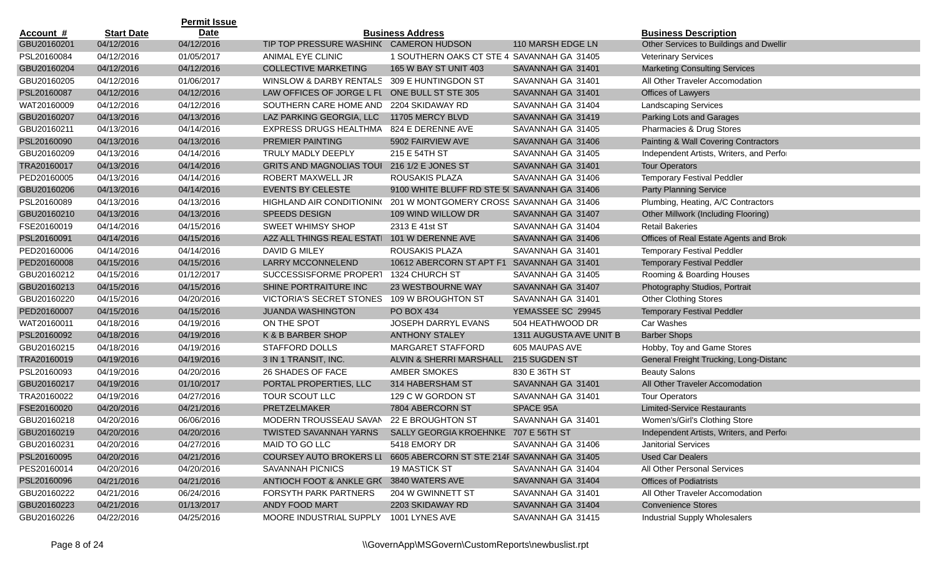|                  |                   | <b>Permit Issue</b> |                                                                     |                                              |                         |                                          |
|------------------|-------------------|---------------------|---------------------------------------------------------------------|----------------------------------------------|-------------------------|------------------------------------------|
| <u>Account #</u> | <b>Start Date</b> | <b>Date</b>         |                                                                     | <b>Business Address</b>                      |                         | <b>Business Description</b>              |
| GBU20160201      | 04/12/2016        | 04/12/2016          | TIP TOP PRESSURE WASHIN( CAMERON HUDSON                             |                                              | 110 MARSH EDGE LN       | Other Services to Buildings and Dwellir  |
| PSL20160084      | 04/12/2016        | 01/05/2017          | ANIMAL EYE CLINIC                                                   | 1 SOUTHERN OAKS CT STE 4 SAVANNAH GA 31405   |                         | <b>Veterinary Services</b>               |
| GBU20160204      | 04/12/2016        | 04/12/2016          | <b>COLLECTIVE MARKETING</b>                                         | 165 W BAY ST UNIT 403                        | SAVANNAH GA 31401       | <b>Marketing Consulting Services</b>     |
| GBU20160205      | 04/12/2016        | 01/06/2017          | WINSLOW & DARBY RENTALS                                             | 309 E HUNTINGDON ST                          | SAVANNAH GA 31401       | All Other Traveler Accomodation          |
| PSL20160087      | 04/12/2016        | 04/12/2016          | LAW OFFICES OF JORGE L FL                                           | ONE BULL ST STE 305                          | SAVANNAH GA 31401       | Offices of Lawyers                       |
| WAT20160009      | 04/12/2016        | 04/12/2016          | SOUTHERN CARE HOME AND                                              | 2204 SKIDAWAY RD                             | SAVANNAH GA 31404       | <b>Landscaping Services</b>              |
| GBU20160207      | 04/13/2016        | 04/13/2016          | LAZ PARKING GEORGIA, LLC                                            | 11705 MERCY BLVD                             | SAVANNAH GA 31419       | Parking Lots and Garages                 |
| GBU20160211      | 04/13/2016        | 04/14/2016          | <b>EXPRESS DRUGS HEALTHMA</b>                                       | 824 E DERENNE AVE                            | SAVANNAH GA 31405       | Pharmacies & Drug Stores                 |
| PSL20160090      | 04/13/2016        | 04/13/2016          | PREMIER PAINTING                                                    | 5902 FAIRVIEW AVE                            | SAVANNAH GA 31406       | Painting & Wall Covering Contractors     |
| GBU20160209      | 04/13/2016        | 04/14/2016          | TRULY MADLY DEEPLY                                                  | 215 E 54TH ST                                | SAVANNAH GA 31405       | Independent Artists, Writers, and Perfor |
| TRA20160017      | 04/13/2016        | 04/14/2016          | <b>GRITS AND MAGNOLIAS TOUI</b>                                     | 216 1/2 E JONES ST                           | SAVANNAH GA 31401       | <b>Tour Operators</b>                    |
| PED20160005      | 04/13/2016        | 04/14/2016          | ROBERT MAXWELL JR                                                   | ROUSAKIS PLAZA                               | SAVANNAH GA 31406       | <b>Temporary Festival Peddler</b>        |
| GBU20160206      | 04/13/2016        | 04/14/2016          | <b>EVENTS BY CELESTE</b>                                            | 9100 WHITE BLUFF RD STE 5( SAVANNAH GA 31406 |                         | <b>Party Planning Service</b>            |
| PSL20160089      | 04/13/2016        | 04/13/2016          | HIGHLAND AIR CONDITIONING                                           | 201 W MONTGOMERY CROSS SAVANNAH GA 31406     |                         | Plumbing, Heating, A/C Contractors       |
| GBU20160210      | 04/13/2016        | 04/13/2016          | <b>SPEEDS DESIGN</b>                                                | 109 WIND WILLOW DR                           | SAVANNAH GA 31407       | Other Millwork (Including Flooring)      |
| FSE20160019      | 04/14/2016        | 04/15/2016          | <b>SWEET WHIMSY SHOP</b>                                            | 2313 E 41st ST                               | SAVANNAH GA 31404       | <b>Retail Bakeries</b>                   |
| PSL20160091      | 04/14/2016        | 04/15/2016          | A2Z ALL THINGS REAL ESTATI                                          | 101 W DERENNE AVE                            | SAVANNAH GA 31406       | Offices of Real Estate Agents and Brok   |
| PED20160006      | 04/14/2016        | 04/14/2016          | DAVID G MILEY                                                       | ROUSAKIS PLAZA                               | SAVANNAH GA 31401       | <b>Temporary Festival Peddler</b>        |
| PED20160008      | 04/15/2016        | 04/15/2016          | LARRY MCCONNELEND                                                   | 10612 ABERCORN ST APT F1                     | SAVANNAH GA 31401       | <b>Temporary Festival Peddler</b>        |
| GBU20160212      | 04/15/2016        | 01/12/2017          | SUCCESSISFORME PROPERT                                              | 1324 CHURCH ST                               | SAVANNAH GA 31405       | Rooming & Boarding Houses                |
| GBU20160213      | 04/15/2016        | 04/15/2016          | SHINE PORTRAITURE INC                                               | 23 WESTBOURNE WAY                            | SAVANNAH GA 31407       | Photography Studios, Portrait            |
| GBU20160220      | 04/15/2016        | 04/20/2016          | <b>VICTORIA'S SECRET STONES</b>                                     | 109 W BROUGHTON ST                           | SAVANNAH GA 31401       | <b>Other Clothing Stores</b>             |
| PED20160007      | 04/15/2016        | 04/15/2016          | <b>JUANDA WASHINGTON</b>                                            | PO BOX 434                                   | YEMASSEE SC 29945       | <b>Temporary Festival Peddler</b>        |
| WAT20160011      | 04/18/2016        | 04/19/2016          | ON THE SPOT                                                         | JOSEPH DARRYL EVANS                          | 504 HEATHWOOD DR        | Car Washes                               |
| PSL20160092      | 04/18/2016        | 04/19/2016          | K & B BARBER SHOP                                                   | <b>ANTHONY STALEY</b>                        | 1311 AUGUSTA AVE UNIT B | <b>Barber Shops</b>                      |
| GBU20160215      | 04/18/2016        | 04/19/2016          | <b>STAFFORD DOLLS</b>                                               | <b>MARGARET STAFFORD</b>                     | 605 MAUPAS AVE          | Hobby, Toy and Game Stores               |
| TRA20160019      | 04/19/2016        | 04/19/2016          | 3 IN 1 TRANSIT, INC.                                                | ALVIN & SHERRI MARSHALL                      | 215 SUGDEN ST           | General Freight Trucking, Long-Distanc   |
| PSL20160093      | 04/19/2016        | 04/20/2016          | 26 SHADES OF FACE                                                   | AMBER SMOKES                                 | 830 E 36TH ST           | <b>Beauty Salons</b>                     |
| GBU20160217      | 04/19/2016        | 01/10/2017          | PORTAL PROPERTIES, LLC                                              | 314 HABERSHAM ST                             | SAVANNAH GA 31401       | All Other Traveler Accomodation          |
| TRA20160022      | 04/19/2016        | 04/27/2016          | TOUR SCOUT LLC                                                      | 129 C W GORDON ST                            | SAVANNAH GA 31401       | <b>Tour Operators</b>                    |
| FSE20160020      | 04/20/2016        | 04/21/2016          | PRETZELMAKER                                                        | 7804 ABERCORN ST                             | SPACE 95A               | <b>Limited-Service Restaurants</b>       |
| GBU20160218      | 04/20/2016        | 06/06/2016          | MODERN TROUSSEAU SAVAN                                              | 22 E BROUGHTON ST                            | SAVANNAH GA 31401       | Women's/Girl's Clothing Store            |
| GBU20160219      | 04/20/2016        | 04/20/2016          | TWISTED SAVANNAH YARNS SALLY GEORGIA KROEHNKE 707 E 56TH ST         |                                              |                         | Independent Artists, Writers, and Perfor |
| GBU20160231      | 04/20/2016        | 04/27/2016          | MAID TO GO LLC                                                      | 5418 EMORY DR                                | SAVANNAH GA 31406       | <b>Janitorial Services</b>               |
| PSL20160095      | 04/20/2016        | 04/21/2016          | COURSEY AUTO BROKERS LI 6605 ABERCORN ST STE 214F SAVANNAH GA 31405 |                                              |                         | <b>Used Car Dealers</b>                  |
| PES20160014      | 04/20/2016        | 04/20/2016          | SAVANNAH PICNICS                                                    | <b>19 MASTICK ST</b>                         | SAVANNAH GA 31404       | All Other Personal Services              |
| PSL20160096      | 04/21/2016        | 04/21/2016          | ANTIOCH FOOT & ANKLE GR( 3840 WATERS AVE                            |                                              | SAVANNAH GA 31404       | <b>Offices of Podiatrists</b>            |
| GBU20160222      | 04/21/2016        | 06/24/2016          | <b>FORSYTH PARK PARTNERS</b>                                        | 204 W GWINNETT ST                            | SAVANNAH GA 31401       | All Other Traveler Accomodation          |
| GBU20160223      | 04/21/2016        | 01/13/2017          | ANDY FOOD MART                                                      | 2203 SKIDAWAY RD                             | SAVANNAH GA 31404       | <b>Convenience Stores</b>                |
| GBU20160226      | 04/22/2016        | 04/25/2016          | MOORE INDUSTRIAL SUPPLY                                             | 1001 LYNES AVE                               | SAVANNAH GA 31415       | Industrial Supply Wholesalers            |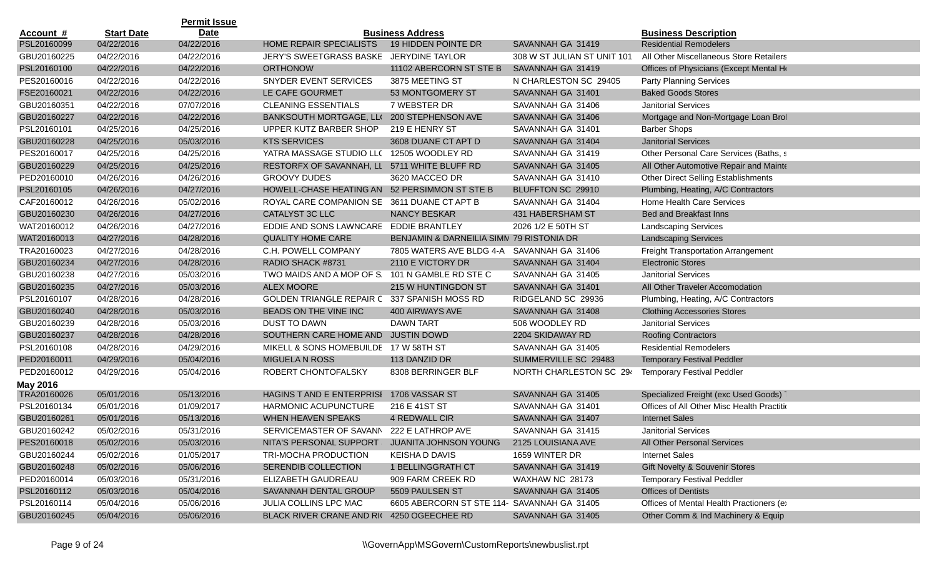|             |                   | <b>Permit Issue</b> |                                               |                                             |                             |                                            |
|-------------|-------------------|---------------------|-----------------------------------------------|---------------------------------------------|-----------------------------|--------------------------------------------|
| Account #   | <b>Start Date</b> | <b>Date</b>         |                                               | <b>Business Address</b>                     |                             | <b>Business Description</b>                |
| PSL20160099 | 04/22/2016        | 04/22/2016          | HOME REPAIR SPECIALISTS                       | 19 HIDDEN POINTE DR                         | SAVANNAH GA 31419           | <b>Residential Remodelers</b>              |
| GBU20160225 | 04/22/2016        | 04/22/2016          | JERY'S SWEETGRASS BASKE                       | <b>JERYDINE TAYLOR</b>                      | 308 W ST JULIAN ST UNIT 101 | All Other Miscellaneous Store Retailers    |
| PSL20160100 | 04/22/2016        | 04/22/2016          | <b>ORTHONOW</b>                               | 11102 ABERCORN ST STE B                     | SAVANNAH GA 31419           | Offices of Physicians (Except Mental He    |
| PES20160016 | 04/22/2016        | 04/22/2016          | SNYDER EVENT SERVICES                         | 3875 MEETING ST                             | N CHARLESTON SC 29405       | <b>Party Planning Services</b>             |
| FSE20160021 | 04/22/2016        | 04/22/2016          | LE CAFE GOURMET                               | 53 MONTGOMERY ST                            | SAVANNAH GA 31401           | <b>Baked Goods Stores</b>                  |
| GBU20160351 | 04/22/2016        | 07/07/2016          | <b>CLEANING ESSENTIALS</b>                    | 7 WEBSTER DR                                | SAVANNAH GA 31406           | <b>Janitorial Services</b>                 |
| GBU20160227 | 04/22/2016        | 04/22/2016          | BANKSOUTH MORTGAGE, LLI                       | 200 STEPHENSON AVE                          | SAVANNAH GA 31406           | Mortgage and Non-Mortgage Loan Brol        |
| PSL20160101 | 04/25/2016        | 04/25/2016          | UPPER KUTZ BARBER SHOP                        | 219 E HENRY ST                              | SAVANNAH GA 31401           | <b>Barber Shops</b>                        |
| GBU20160228 | 04/25/2016        | 05/03/2016          | <b>KTS SERVICES</b>                           | 3608 DUANE CT APT D                         | SAVANNAH GA 31404           | <b>Janitorial Services</b>                 |
| PES20160017 | 04/25/2016        | 04/25/2016          | YATRA MASSAGE STUDIO LL( 12505 WOODLEY RD     |                                             | SAVANNAH GA 31419           | Other Personal Care Services (Baths, s     |
| GBU20160229 | 04/25/2016        | 04/25/2016          | RESTORFX OF SAVANNAH, LL 5711 WHITE BLUFF RD  |                                             | SAVANNAH GA 31405           | All Other Automotive Repair and Mainte     |
| PED20160010 | 04/26/2016        | 04/26/2016          | <b>GROOVY DUDES</b>                           | 3620 MACCEO DR                              | SAVANNAH GA 31410           | <b>Other Direct Selling Establishments</b> |
| PSL20160105 | 04/26/2016        | 04/27/2016          | HOWELL-CHASE HEATING AN 52 PERSIMMON ST STE B |                                             | BLUFFTON SC 29910           | Plumbing, Heating, A/C Contractors         |
| CAF20160012 | 04/26/2016        | 05/02/2016          | ROYAL CARE COMPANION SE 3611 DUANE CT APT B   |                                             | SAVANNAH GA 31404           | Home Health Care Services                  |
| GBU20160230 | 04/26/2016        | 04/27/2016          | CATALYST 3C LLC                               | <b>NANCY BESKAR</b>                         | 431 HABERSHAM ST            | <b>Bed and Breakfast Inns</b>              |
| WAT20160012 | 04/26/2016        | 04/27/2016          | EDDIE AND SONS LAWNCARE EDDIE BRANTLEY        |                                             | 2026 1/2 E 50TH ST          | <b>Landscaping Services</b>                |
| WAT20160013 | 04/27/2016        | 04/28/2016          | <b>QUALITY HOME CARE</b>                      | BENJAMIN & DARNEILIA SIMN 79 RISTONIA DR    |                             | <b>Landscaping Services</b>                |
| TRA20160023 | 04/27/2016        | 04/28/2016          | C.H. POWELL COMPANY                           | 7805 WATERS AVE BLDG 4-A SAVANNAH GA 31406  |                             | <b>Freight Transportation Arrangement</b>  |
| GBU20160234 | 04/27/2016        | 04/28/2016          | RADIO SHACK #8731                             | 2110 E VICTORY DR                           | SAVANNAH GA 31404           | <b>Electronic Stores</b>                   |
| GBU20160238 | 04/27/2016        | 05/03/2016          | TWO MAIDS AND A MOP OF S.                     | 101 N GAMBLE RD STE C                       | SAVANNAH GA 31405           | <b>Janitorial Services</b>                 |
| GBU20160235 | 04/27/2016        | 05/03/2016          | <b>ALEX MOORE</b>                             | 215 W HUNTINGDON ST                         | SAVANNAH GA 31401           | All Other Traveler Accomodation            |
| PSL20160107 | 04/28/2016        | 04/28/2016          | <b>GOLDEN TRIANGLE REPAIR C</b>               | 337 SPANISH MOSS RD                         | RIDGELAND SC 29936          | Plumbing, Heating, A/C Contractors         |
| GBU20160240 | 04/28/2016        | 05/03/2016          | BEADS ON THE VINE INC                         | 400 AIRWAYS AVE                             | SAVANNAH GA 31408           | <b>Clothing Accessories Stores</b>         |
| GBU20160239 | 04/28/2016        | 05/03/2016          | <b>DUST TO DAWN</b>                           | <b>DAWN TART</b>                            | 506 WOODLEY RD              | <b>Janitorial Services</b>                 |
| GBU20160237 | 04/28/2016        | 04/28/2016          | SOUTHERN CARE HOME AND                        | <b>JUSTIN DOWD</b>                          | 2204 SKIDAWAY RD            | <b>Roofing Contractors</b>                 |
| PSL20160108 | 04/28/2016        | 04/29/2016          | MIKELL & SONS HOMEBUILDE 17 W 58TH ST         |                                             | SAVANNAH GA 31405           | <b>Residential Remodelers</b>              |
| PED20160011 | 04/29/2016        | 05/04/2016          | <b>MIGUELA N ROSS</b>                         | 113 DANZID DR                               | SUMMERVILLE SC 29483        | <b>Temporary Festival Peddler</b>          |
| PED20160012 | 04/29/2016        | 05/04/2016          | ROBERT CHONTOFALSKY                           | 8308 BERRINGER BLF                          | NORTH CHARLESTON SC 294     | <b>Temporary Festival Peddler</b>          |
| May 2016    |                   |                     |                                               |                                             |                             |                                            |
| TRA20160026 | 05/01/2016        | 05/13/2016          | HAGINS T AND E ENTERPRISI                     | 1706 VASSAR ST                              | SAVANNAH GA 31405           | Specialized Freight (exc Used Goods) 1     |
| PSL20160134 | 05/01/2016        | 01/09/2017          | HARMONIC ACUPUNCTURE                          | 216 E 41ST ST                               | SAVANNAH GA 31401           | Offices of All Other Misc Health Practitio |
| GBU20160261 | 05/01/2016        | 05/13/2016          | <b>WHEN HEAVEN SPEAKS</b>                     | 4 REDWALL CIR                               | SAVANNAH GA 31407           | <b>Internet Sales</b>                      |
| GBU20160242 | 05/02/2016        | 05/31/2016          | SERVICEMASTER OF SAVANN 222 E LATHROP AVE     |                                             | SAVANNAH GA 31415           | <b>Janitorial Services</b>                 |
| PES20160018 | 05/02/2016        | 05/03/2016          | NITA'S PERSONAL SUPPORT                       | JUANITA JOHNSON YOUNG                       | 2125 LOUISIANA AVE          | All Other Personal Services                |
| GBU20160244 | 05/02/2016        | 01/05/2017          | TRI-MOCHA PRODUCTION                          | <b>KEISHAD DAVIS</b>                        | 1659 WINTER DR              | <b>Internet Sales</b>                      |
| GBU20160248 | 05/02/2016        | 05/06/2016          | SERENDIB COLLECTION                           | 1 BELLINGGRATH CT                           | SAVANNAH GA 31419           | Gift Novelty & Souvenir Stores             |
| PED20160014 | 05/03/2016        | 05/31/2016          | ELIZABETH GAUDREAU                            | 909 FARM CREEK RD                           | WAXHAW NC 28173             | <b>Temporary Festival Peddler</b>          |
| PSL20160112 | 05/03/2016        | 05/04/2016          | SAVANNAH DENTAL GROUP                         | 5509 PAULSEN ST                             | SAVANNAH GA 31405           | <b>Offices of Dentists</b>                 |
| PSL20160114 | 05/04/2016        | 05/06/2016          | JULIA COLLINS LPC MAC                         | 6605 ABERCORN ST STE 114- SAVANNAH GA 31405 |                             | Offices of Mental Health Practioners (e)   |
| GBU20160245 | 05/04/2016        | 05/06/2016          | BLACK RIVER CRANE AND RI( 4250 OGEECHEE RD    |                                             | SAVANNAH GA 31405           | Other Comm & Ind Machinery & Equip         |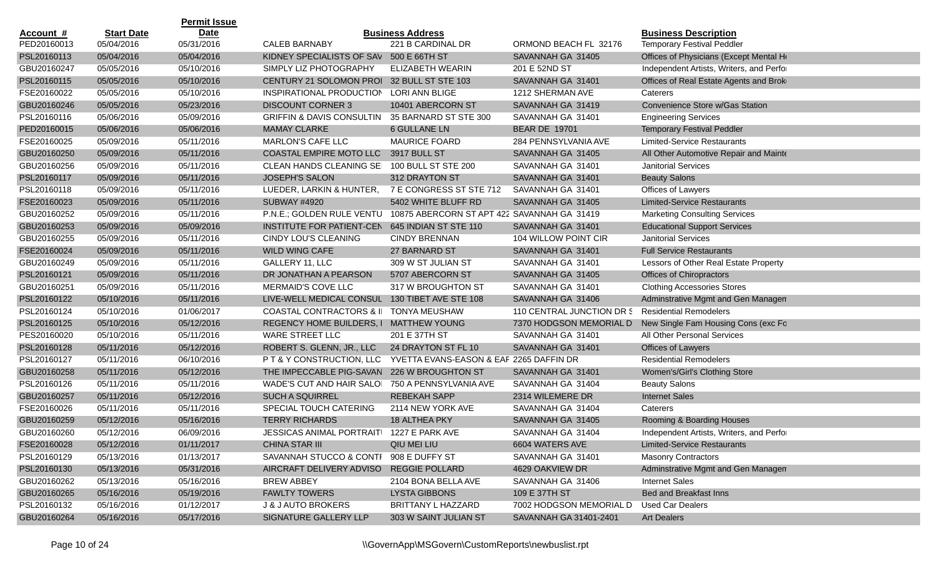|                  |                   | <b>Permit Issue</b> |                                                                       |                                         |                           |                                          |
|------------------|-------------------|---------------------|-----------------------------------------------------------------------|-----------------------------------------|---------------------------|------------------------------------------|
| <u>Account #</u> | <b>Start Date</b> | Date                |                                                                       | <b>Business Address</b>                 |                           | <b>Business Description</b>              |
| PED20160013      | 05/04/2016        | 05/31/2016          | <b>CALEB BARNABY</b>                                                  | 221 B CARDINAL DR                       | ORMOND BEACH FL 32176     | <b>Temporary Festival Peddler</b>        |
| PSL20160113      | 05/04/2016        | 05/04/2016          | KIDNEY SPECIALISTS OF SAV 500 E 66TH ST                               |                                         | SAVANNAH GA 31405         | Offices of Physicians (Except Mental He  |
| GBU20160247      | 05/05/2016        | 05/10/2016          | SIMPLY LIZ PHOTOGRAPHY                                                | <b>ELIZABETH WEARIN</b>                 | 201 E 52ND ST             | Independent Artists, Writers, and Perfor |
| PSL20160115      | 05/05/2016        | 05/10/2016          | CENTURY 21 SOLOMON PROI 32 BULL ST STE 103                            |                                         | SAVANNAH GA 31401         | Offices of Real Estate Agents and Brok   |
| FSE20160022      | 05/05/2016        | 05/10/2016          | INSPIRATIONAL PRODUCTION                                              | <b>LORI ANN BLIGE</b>                   | 1212 SHERMAN AVE          | Caterers                                 |
| GBU20160246      | 05/05/2016        | 05/23/2016          | <b>DISCOUNT CORNER 3</b>                                              | 10401 ABERCORN ST                       | SAVANNAH GA 31419         | Convenience Store w/Gas Station          |
| PSL20160116      | 05/06/2016        | 05/09/2016          | <b>GRIFFIN &amp; DAVIS CONSULTIN</b>                                  | 35 BARNARD ST STE 300                   | SAVANNAH GA 31401         | <b>Engineering Services</b>              |
| PED20160015      | 05/06/2016        | 05/06/2016          | <b>MAMAY CLARKE</b>                                                   | <b>6 GULLANE LN</b>                     | <b>BEAR DE 19701</b>      | <b>Temporary Festival Peddler</b>        |
| FSE20160025      | 05/09/2016        | 05/11/2016          | <b>MARLON'S CAFE LLC</b>                                              | <b>MAURICE FOARD</b>                    | 284 PENNSYLVANIA AVE      | <b>Limited-Service Restaurants</b>       |
| GBU20160250      | 05/09/2016        | 05/11/2016          | <b>COASTAL EMPIRE MOTO LLC</b>                                        | 3917 BULL ST                            | SAVANNAH GA 31405         | All Other Automotive Repair and Mainte   |
| GBU20160256      | 05/09/2016        | 05/11/2016          | CLEAN HANDS CLEANING SE 100 BULL ST STE 200                           |                                         | SAVANNAH GA 31401         | <b>Janitorial Services</b>               |
| PSL20160117      | 05/09/2016        | 05/11/2016          | <b>JOSEPH'S SALON</b>                                                 | 312 DRAYTON ST                          | SAVANNAH GA 31401         | <b>Beauty Salons</b>                     |
| PSL20160118      | 05/09/2016        | 05/11/2016          | LUEDER, LARKIN & HUNTER,                                              | 7 E CONGRESS ST STE 712                 | SAVANNAH GA 31401         | Offices of Lawyers                       |
| FSE20160023      | 05/09/2016        | 05/11/2016          | <b>SUBWAY #4920</b>                                                   | 5402 WHITE BLUFF RD                     | SAVANNAH GA 31405         | <b>Limited-Service Restaurants</b>       |
| GBU20160252      | 05/09/2016        | 05/11/2016          | P.N.E.; GOLDEN RULE VENTU 10875 ABERCORN ST APT 422 SAVANNAH GA 31419 |                                         |                           | <b>Marketing Consulting Services</b>     |
| GBU20160253      | 05/09/2016        | 05/09/2016          | INSTITUTE FOR PATIENT-CEN                                             | 645 INDIAN ST STE 110                   | SAVANNAH GA 31401         | <b>Educational Support Services</b>      |
| GBU20160255      | 05/09/2016        | 05/11/2016          | <b>CINDY LOU'S CLEANING</b>                                           | <b>CINDY BRENNAN</b>                    | 104 WILLOW POINT CIR      | <b>Janitorial Services</b>               |
| FSE20160024      | 05/09/2016        | 05/11/2016          | <b>WILD WING CAFE</b>                                                 | 27 BARNARD ST                           | SAVANNAH GA 31401         | <b>Full Service Restaurants</b>          |
| GBU20160249      | 05/09/2016        | 05/11/2016          | GALLERY 11, LLC                                                       | 309 W ST JULIAN ST                      | SAVANNAH GA 31401         | Lessors of Other Real Estate Property    |
| PSL20160121      | 05/09/2016        | 05/11/2016          | DR JONATHAN A PEARSON                                                 | 5707 ABERCORN ST                        | SAVANNAH GA 31405         | Offices of Chiropractors                 |
| GBU20160251      | 05/09/2016        | 05/11/2016          | MERMAID'S COVE LLC                                                    | 317 W BROUGHTON ST                      | SAVANNAH GA 31401         | <b>Clothing Accessories Stores</b>       |
| PSL20160122      | 05/10/2016        | 05/11/2016          | LIVE-WELL MEDICAL CONSUL                                              | 130 TIBET AVE STE 108                   | SAVANNAH GA 31406         | Adminstrative Mgmt and Gen Managen       |
| PSL20160124      | 05/10/2016        | 01/06/2017          | <b>COASTAL CONTRACTORS &amp; II</b>                                   | <b>TONYA MEUSHAW</b>                    | 110 CENTRAL JUNCTION DR S | <b>Residential Remodelers</b>            |
| PSL20160125      | 05/10/2016        | 05/12/2016          | REGENCY HOME BUILDERS, I                                              | <b>MATTHEW YOUNG</b>                    | 7370 HODGSON MEMORIAL D   | New Single Fam Housing Cons (exc Fo      |
| PES20160020      | 05/10/2016        | 05/11/2016          | WARE STREET LLC                                                       | 201 E 37TH ST                           | SAVANNAH GA 31401         | All Other Personal Services              |
| PSL20160128      | 05/11/2016        | 05/12/2016          | ROBERT S. GLENN, JR., LLC                                             | 24 DRAYTON ST FL 10                     | SAVANNAH GA 31401         | Offices of Lawyers                       |
| PSL20160127      | 05/11/2016        | 06/10/2016          | PT & Y CONSTRUCTION, LLC                                              | YVETTA EVANS-EASON & EAF 2265 DAFFIN DR |                           | <b>Residential Remodelers</b>            |
| GBU20160258      | 05/11/2016        | 05/12/2016          | THE IMPECCABLE PIG-SAVAN                                              | 226 W BROUGHTON ST                      | SAVANNAH GA 31401         | Women's/Girl's Clothing Store            |
| PSL20160126      | 05/11/2016        | 05/11/2016          | WADE'S CUT AND HAIR SALOI                                             | 750 A PENNSYLVANIA AVE                  | SAVANNAH GA 31404         | <b>Beauty Salons</b>                     |
| GBU20160257      | 05/11/2016        | 05/12/2016          | <b>SUCH A SQUIRREL</b>                                                | <b>REBEKAH SAPP</b>                     | 2314 WILEMERE DR          | <b>Internet Sales</b>                    |
| FSE20160026      | 05/11/2016        | 05/11/2016          | SPECIAL TOUCH CATERING                                                | 2114 NEW YORK AVE                       | SAVANNAH GA 31404         | Caterers                                 |
| GBU20160259      | 05/12/2016        | 05/16/2016          | <b>TERRY RICHARDS</b>                                                 | 18 ALTHEA PKY                           | SAVANNAH GA 31405         | Rooming & Boarding Houses                |
| GBU20160260      | 05/12/2016        | 06/09/2016          | JESSICAS ANIMAL PORTRAITI 1227 E PARK AVE                             |                                         | SAVANNAH GA 31404         | Independent Artists, Writers, and Perfor |
| FSE20160028      | 05/12/2016        | 01/11/2017          | CHINA STAR III                                                        | QIU MEI LIU                             | 6604 WATERS AVE           | <b>Limited-Service Restaurants</b>       |
| PSL20160129      | 05/13/2016        | 01/13/2017          | SAVANNAH STUCCO & CONTI 908 E DUFFY ST                                |                                         | SAVANNAH GA 31401         | <b>Masonry Contractors</b>               |
| PSL20160130      | 05/13/2016        | 05/31/2016          | AIRCRAFT DELIVERY ADVISO REGGIE POLLARD                               |                                         | 4629 OAKVIEW DR           | Adminstrative Mgmt and Gen Managen       |
| GBU20160262      | 05/13/2016        | 05/16/2016          | <b>BREW ABBEY</b>                                                     | 2104 BONA BELLA AVE                     | SAVANNAH GA 31406         | <b>Internet Sales</b>                    |
| GBU20160265      | 05/16/2016        | 05/19/2016          | <b>FAWLTY TOWERS</b>                                                  | <b>LYSTA GIBBONS</b>                    | 109 E 37TH ST             | Bed and Breakfast Inns                   |
| PSL20160132      | 05/16/2016        | 01/12/2017          | J & J AUTO BROKERS                                                    | BRITTANY L HAZZARD                      | 7002 HODGSON MEMORIAL D   | <b>Used Car Dealers</b>                  |
| GBU20160264      | 05/16/2016        | 05/17/2016          | SIGNATURE GALLERY LLP                                                 | 303 W SAINT JULIAN ST                   | SAVANNAH GA 31401-2401    | <b>Art Dealers</b>                       |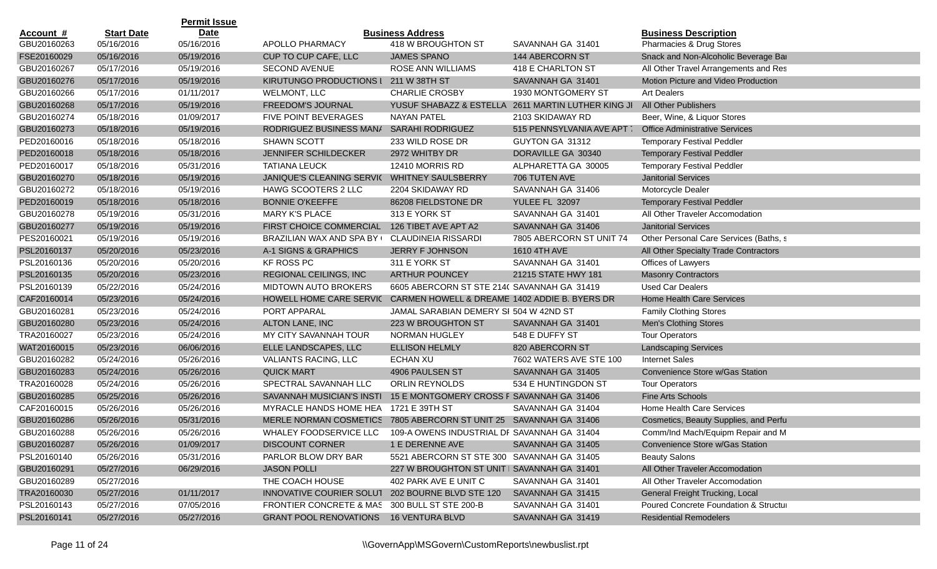|             |                   | <b>Permit Issue</b> |                                                                    |                                               |                                                    |                                        |
|-------------|-------------------|---------------------|--------------------------------------------------------------------|-----------------------------------------------|----------------------------------------------------|----------------------------------------|
| Account #   | <b>Start Date</b> | <b>Date</b>         |                                                                    | <b>Business Address</b>                       |                                                    | <b>Business Description</b>            |
| GBU20160263 | 05/16/2016        | 05/16/2016          | APOLLO PHARMACY                                                    | 418 W BROUGHTON ST                            | SAVANNAH GA 31401                                  | Pharmacies & Drug Stores               |
| FSE20160029 | 05/16/2016        | 05/19/2016          | CUP TO CUP CAFE, LLC                                               | JAMES SPANO                                   | 144 ABERCORN ST                                    | Snack and Non-Alcoholic Beverage Bar   |
| GBU20160267 | 05/17/2016        | 05/19/2016          | <b>SECOND AVENUE</b>                                               | ROSE ANN WILLIAMS                             | 418 E CHARLTON ST                                  | All Other Travel Arrangements and Res  |
| GBU20160276 | 05/17/2016        | 05/19/2016          | KIRUTUNGO PRODUCTIONS I                                            | 211 W 38TH ST                                 | SAVANNAH GA 31401                                  | Motion Picture and Video Production    |
| GBU20160266 | 05/17/2016        | 01/11/2017          | WELMONT, LLC                                                       | <b>CHARLIE CROSBY</b>                         | 1930 MONTGOMERY ST                                 | <b>Art Dealers</b>                     |
| GBU20160268 | 05/17/2016        | 05/19/2016          | FREEDOM'S JOURNAL                                                  |                                               | YUSUF SHABAZZ & ESTELLA 2611 MARTIN LUTHER KING JI | <b>All Other Publishers</b>            |
| GBU20160274 | 05/18/2016        | 01/09/2017          | FIVE POINT BEVERAGES                                               | <b>NAYAN PATEL</b>                            | 2103 SKIDAWAY RD                                   | Beer, Wine, & Liquor Stores            |
| GBU20160273 | 05/18/2016        | 05/19/2016          | RODRIGUEZ BUSINESS MAN/                                            | <b>SARAHI RODRIGUEZ</b>                       | 515 PENNSYLVANIA AVE APT T                         | <b>Office Administrative Services</b>  |
| PED20160016 | 05/18/2016        | 05/18/2016          | <b>SHAWN SCOTT</b>                                                 | 233 WILD ROSE DR                              | GUYTON GA 31312                                    | <b>Temporary Festival Peddler</b>      |
| PED20160018 | 05/18/2016        | 05/18/2016          | <b>JENNIFER SCHILDECKER</b>                                        | 2972 WHITBY DR                                | DORAVILLE GA 30340                                 | <b>Temporary Festival Peddler</b>      |
| PED20160017 | 05/18/2016        | 05/31/2016          | <b>TATIANA LEUCK</b>                                               | 12410 MORRIS RD                               | ALPHARETTA GA 30005                                | <b>Temporary Festival Peddler</b>      |
| GBU20160270 | 05/18/2016        | 05/19/2016          | JANIQUE'S CLEANING SERVI( WHITNEY SAULSBERRY                       |                                               | 706 TUTEN AVE                                      | <b>Janitorial Services</b>             |
| GBU20160272 | 05/18/2016        | 05/19/2016          | HAWG SCOOTERS 2 LLC                                                | 2204 SKIDAWAY RD                              | SAVANNAH GA 31406                                  | Motorcycle Dealer                      |
| PED20160019 | 05/18/2016        | 05/18/2016          | <b>BONNIE O'KEEFFE</b>                                             | 86208 FIELDSTONE DR                           | <b>YULEE FL 32097</b>                              | <b>Temporary Festival Peddler</b>      |
| GBU20160278 | 05/19/2016        | 05/31/2016          | <b>MARY K'S PLACE</b>                                              | 313 E YORK ST                                 | SAVANNAH GA 31401                                  | All Other Traveler Accomodation        |
| GBU20160277 | 05/19/2016        | 05/19/2016          | FIRST CHOICE COMMERCIAL                                            | 126 TIBET AVE APT A2                          | SAVANNAH GA 31406                                  | <b>Janitorial Services</b>             |
| PES20160021 | 05/19/2016        | 05/19/2016          | BRAZILIAN WAX AND SPA BY (                                         | <b>CLAUDINEIA RISSARDI</b>                    | 7805 ABERCORN ST UNIT 74                           | Other Personal Care Services (Baths, s |
| PSL20160137 | 05/20/2016        | 05/23/2016          | A-1 SIGNS & GRAPHICS                                               | <b>JERRY F JOHNSON</b>                        | 1610 4TH AVE                                       | All Other Specialty Trade Contractors  |
| PSL20160136 | 05/20/2016        | 05/20/2016          | <b>KF ROSS PC</b>                                                  | 311 E YORK ST                                 | SAVANNAH GA 31401                                  | Offices of Lawyers                     |
| PSL20160135 | 05/20/2016        | 05/23/2016          | <b>REGIONAL CEILINGS, INC</b>                                      | <b>ARTHUR POUNCEY</b>                         | 21215 STATE HWY 181                                | <b>Masonry Contractors</b>             |
| PSL20160139 | 05/22/2016        | 05/24/2016          | <b>MIDTOWN AUTO BROKERS</b>                                        | 6605 ABERCORN ST STE 214( SAVANNAH GA 31419   |                                                    | <b>Used Car Dealers</b>                |
| CAF20160014 | 05/23/2016        | 05/24/2016          | HOWELL HOME CARE SERVIC                                            | CARMEN HOWELL & DREAME 1402 ADDIE B. BYERS DR |                                                    | Home Health Care Services              |
| GBU20160281 | 05/23/2016        | 05/24/2016          | PORT APPARAL                                                       | JAMAL SARABIAN DEMERY SI 504 W 42ND ST        |                                                    | <b>Family Clothing Stores</b>          |
| GBU20160280 | 05/23/2016        | 05/24/2016          | ALTON LANE, INC                                                    | 223 W BROUGHTON ST                            | SAVANNAH GA 31401                                  | Men's Clothing Stores                  |
| TRA20160027 | 05/23/2016        | 05/24/2016          | MY CITY SAVANNAH TOUR                                              | NORMAN HUGLEY                                 | 548 E DUFFY ST                                     | <b>Tour Operators</b>                  |
| WAT20160015 | 05/23/2016        | 06/06/2016          | ELLE LANDSCAPES, LLC                                               | <b>ELLISON HELMLY</b>                         | 820 ABERCORN ST                                    | <b>Landscaping Services</b>            |
| GBU20160282 | 05/24/2016        | 05/26/2016          | VALIANTS RACING, LLC                                               | <b>ECHAN XU</b>                               | 7602 WATERS AVE STE 100                            | <b>Internet Sales</b>                  |
| GBU20160283 | 05/24/2016        | 05/26/2016          | <b>QUICK MART</b>                                                  | 4906 PAULSEN ST                               | SAVANNAH GA 31405                                  | Convenience Store w/Gas Station        |
| TRA20160028 | 05/24/2016        | 05/26/2016          | SPECTRAL SAVANNAH LLC                                              | ORLIN REYNOLDS                                | 534 E HUNTINGDON ST                                | <b>Tour Operators</b>                  |
| GBU20160285 | 05/25/2016        | 05/26/2016          | SAVANNAH MUSICIAN'S INSTI                                          | 15 E MONTGOMERY CROSS F SAVANNAH GA 31406     |                                                    | <b>Fine Arts Schools</b>               |
| CAF20160015 | 05/26/2016        | 05/26/2016          | MYRACLE HANDS HOME HEA 1721 E 39TH ST                              |                                               | SAVANNAH GA 31404                                  | Home Health Care Services              |
| GBU20160286 | 05/26/2016        | 05/31/2016          | MERLE NORMAN COSMETICS 7805 ABERCORN ST UNIT 25 SAVANNAH GA 31406  |                                               |                                                    | Cosmetics, Beauty Supplies, and Perfu  |
| GBU20160288 | 05/26/2016        | 05/26/2016          | WHALEY FOODSERVICE LLC 109-A OWENS INDUSTRIAL DF SAVANNAH GA 31404 |                                               |                                                    | Comm/Ind Mach/Equipm Repair and M      |
| GBU20160287 | 05/26/2016        | 01/09/2017          | <b>DISCOUNT CORNER</b>                                             | 1 E DERENNE AVE                               | SAVANNAH GA 31405                                  | Convenience Store w/Gas Station        |
| PSL20160140 | 05/26/2016        | 05/31/2016          | PARLOR BLOW DRY BAR                                                | 5521 ABERCORN ST STE 300 SAVANNAH GA 31405    |                                                    | <b>Beauty Salons</b>                   |
| GBU20160291 | 05/27/2016        | 06/29/2016          | <b>JASON POLLI</b>                                                 | 227 W BROUGHTON ST UNIT I SAVANNAH GA 31401   |                                                    | All Other Traveler Accomodation        |
| GBU20160289 | 05/27/2016        |                     | THE COACH HOUSE                                                    | 402 PARK AVE E UNIT C                         | SAVANNAH GA 31401                                  | All Other Traveler Accomodation        |
| TRA20160030 | 05/27/2016        | 01/11/2017          | INNOVATIVE COURIER SOLUT                                           | 202 BOURNE BLVD STE 120                       | SAVANNAH GA 31415                                  | General Freight Trucking, Local        |
| PSL20160143 | 05/27/2016        | 07/05/2016          | FRONTIER CONCRETE & MAS                                            | 300 BULL ST STE 200-B                         | SAVANNAH GA 31401                                  | Poured Concrete Foundation & Structui  |
| PSL20160141 | 05/27/2016        | 05/27/2016          | <b>GRANT POOL RENOVATIONS</b>                                      | <b>16 VENTURA BLVD</b>                        | SAVANNAH GA 31419                                  | <b>Residential Remodelers</b>          |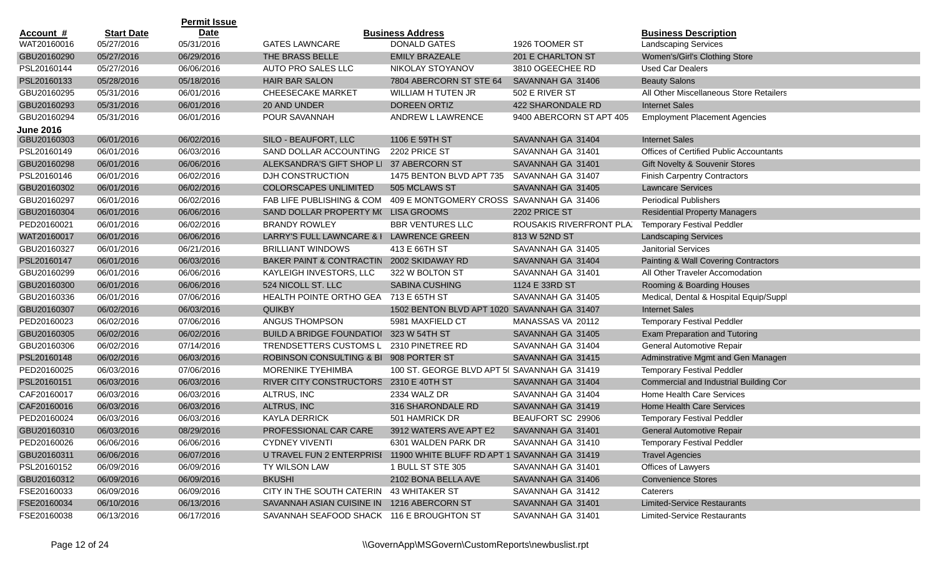|                  |                   | <b>Permit Issue</b> |                                                                        |                                              |                          |                                                |
|------------------|-------------------|---------------------|------------------------------------------------------------------------|----------------------------------------------|--------------------------|------------------------------------------------|
| <u>Account #</u> | <b>Start Date</b> | <b>Date</b>         |                                                                        | <b>Business Address</b>                      |                          | <b>Business Description</b>                    |
| WAT20160016      | 05/27/2016        | 05/31/2016          | <b>GATES LAWNCARE</b>                                                  | DONALD GATES                                 | 1926 TOOMER ST           | <b>Landscaping Services</b>                    |
| GBU20160290      | 05/27/2016        | 06/29/2016          | THE BRASS BELLE                                                        | <b>EMILY BRAZEALE</b>                        | 201 E CHARLTON ST        | Women's/Girl's Clothing Store                  |
| PSL20160144      | 05/27/2016        | 06/06/2016          | AUTO PRO SALES LLC                                                     | NIKOLAY STOYANOV                             | 3810 OGEECHEE RD         | <b>Used Car Dealers</b>                        |
| PSL20160133      | 05/28/2016        | 05/18/2016          | HAIR BAR SALON                                                         | 7804 ABERCORN ST STE 64                      | SAVANNAH GA 31406        | <b>Beauty Salons</b>                           |
| GBU20160295      | 05/31/2016        | 06/01/2016          | <b>CHEESECAKE MARKET</b>                                               | WILLIAM H TUTEN JR                           | 502 E RIVER ST           | All Other Miscellaneous Store Retailers        |
| GBU20160293      | 05/31/2016        | 06/01/2016          | 20 AND UNDER                                                           | <b>DOREEN ORTIZ</b>                          | 422 SHARONDALE RD        | <b>Internet Sales</b>                          |
| GBU20160294      | 05/31/2016        | 06/01/2016          | POUR SAVANNAH                                                          | ANDREW L LAWRENCE                            | 9400 ABERCORN ST APT 405 | <b>Employment Placement Agencies</b>           |
| <b>June 2016</b> |                   |                     |                                                                        |                                              |                          |                                                |
| GBU20160303      | 06/01/2016        | 06/02/2016          | SILO - BEAUFORT, LLC                                                   | 1106 E 59TH ST                               | SAVANNAH GA 31404        | <b>Internet Sales</b>                          |
| PSL20160149      | 06/01/2016        | 06/03/2016          | SAND DOLLAR ACCOUNTING                                                 | 2202 PRICE ST                                | SAVANNAH GA 31401        | <b>Offices of Certified Public Accountants</b> |
| GBU20160298      | 06/01/2016        | 06/06/2016          | ALEKSANDRA'S GIFT SHOP LI                                              | 37 ABERCORN ST                               | SAVANNAH GA 31401        | Gift Novelty & Souvenir Stores                 |
| PSL20160146      | 06/01/2016        | 06/02/2016          | DJH CONSTRUCTION                                                       | 1475 BENTON BLVD APT 735                     | SAVANNAH GA 31407        | <b>Finish Carpentry Contractors</b>            |
| GBU20160302      | 06/01/2016        | 06/02/2016          | <b>COLORSCAPES UNLIMITED</b>                                           | 505 MCLAWS ST                                | SAVANNAH GA 31405        | <b>Lawncare Services</b>                       |
| GBU20160297      | 06/01/2016        | 06/02/2016          | FAB LIFE PUBLISHING & COM                                              | 409 E MONTGOMERY CROSS SAVANNAH GA 31406     |                          | <b>Periodical Publishers</b>                   |
| GBU20160304      | 06/01/2016        | 06/06/2016          | SAND DOLLAR PROPERTY M( LISA GROOMS                                    |                                              | 2202 PRICE ST            | <b>Residential Property Managers</b>           |
| PED20160021      | 06/01/2016        | 06/02/2016          | <b>BRANDY ROWLEY</b>                                                   | <b>BBR VENTURES LLC</b>                      | ROUSAKIS RIVERFRONT PLA. | <b>Temporary Festival Peddler</b>              |
| WAT20160017      | 06/01/2016        | 06/06/2016          | LARRY'S FULL LAWNCARE & I                                              | <b>LAWRENCE GREEN</b>                        | 813 W 52ND ST            | <b>Landscaping Services</b>                    |
| GBU20160327      | 06/01/2016        | 06/21/2016          | <b>BRILLIANT WINDOWS</b>                                               | 413 E 66TH ST                                | SAVANNAH GA 31405        | <b>Janitorial Services</b>                     |
| PSL20160147      | 06/01/2016        | 06/03/2016          | BAKER PAINT & CONTRACTIN                                               | 2002 SKIDAWAY RD                             | SAVANNAH GA 31404        | Painting & Wall Covering Contractors           |
| GBU20160299      | 06/01/2016        | 06/06/2016          | KAYLEIGH INVESTORS, LLC                                                | 322 W BOLTON ST                              | SAVANNAH GA 31401        | All Other Traveler Accomodation                |
| GBU20160300      | 06/01/2016        | 06/06/2016          | 524 NICOLL ST. LLC                                                     | <b>SABINA CUSHING</b>                        | 1124 E 33RD ST           | Rooming & Boarding Houses                      |
| GBU20160336      | 06/01/2016        | 07/06/2016          | HEALTH POINTE ORTHO GEA                                                | 713 E 65TH ST                                | SAVANNAH GA 31405        | Medical, Dental & Hospital Equip/Suppl         |
| GBU20160307      | 06/02/2016        | 06/03/2016          | <b>QUIKBY</b>                                                          | 1502 BENTON BLVD APT 1020: SAVANNAH GA 31407 |                          | <b>Internet Sales</b>                          |
| PED20160023      | 06/02/2016        | 07/06/2016          | <b>ANGUS THOMPSON</b>                                                  | 5981 MAXFIELD CT                             | MANASSAS VA 20112        | <b>Temporary Festival Peddler</b>              |
| GBU20160305      | 06/02/2016        | 06/02/2016          | <b>BUILD A BRIDGE FOUNDATIOI</b>                                       | 323 W 54TH ST                                | SAVANNAH GA 31405        | Exam Preparation and Tutoring                  |
| GBU20160306      | 06/02/2016        | 07/14/2016          | TRENDSETTERS CUSTOMS L                                                 | 2310 PINETREE RD                             | SAVANNAH GA 31404        | General Automotive Repair                      |
| PSL20160148      | 06/02/2016        | 06/03/2016          | <b>ROBINSON CONSULTING &amp; BI</b>                                    | 908 PORTER ST                                | SAVANNAH GA 31415        | Adminstrative Mgmt and Gen Managen             |
| PED20160025      | 06/03/2016        | 07/06/2016          | <b>MORENIKE TYEHIMBA</b>                                               | 100 ST. GEORGE BLVD APT 5( SAVANNAH GA 31419 |                          | <b>Temporary Festival Peddler</b>              |
| PSL20160151      | 06/03/2016        | 06/03/2016          | RIVER CITY CONSTRUCTORS                                                | 2310 E 40TH ST                               | SAVANNAH GA 31404        | Commercial and Industrial Building Cor         |
| CAF20160017      | 06/03/2016        | 06/03/2016          | ALTRUS, INC                                                            | 2334 WALZ DR                                 | SAVANNAH GA 31404        | Home Health Care Services                      |
| CAF20160016      | 06/03/2016        | 06/03/2016          | ALTRUS, INC                                                            | 316 SHARONDALE RD                            | SAVANNAH GA 31419        | Home Health Care Services                      |
| PED20160024      | 06/03/2016        | 06/03/2016          | <b>KAYLA DERRICK</b>                                                   | 501 HAMRICK DR                               | BEAUFORT SC 29906        | <b>Temporary Festival Peddler</b>              |
| GBU20160310      | 06/03/2016        | 08/29/2016          | PROFESSIONAL CAR CARE                                                  | 3912 WATERS AVE APT E2                       | SAVANNAH GA 31401        | General Automotive Repair                      |
| PED20160026      | 06/06/2016        | 06/06/2016          | <b>CYDNEY VIVENTI</b>                                                  | 6301 WALDEN PARK DR                          | SAVANNAH GA 31410        | <b>Temporary Festival Peddler</b>              |
| GBU20160311      | 06/06/2016        | 06/07/2016          | U TRAVEL FUN 2 ENTERPRISI 11900 WHITE BLUFF RD APT 1 SAVANNAH GA 31419 |                                              |                          | <b>Travel Agencies</b>                         |
| PSL20160152      | 06/09/2016        | 06/09/2016          | TY WILSON LAW                                                          | 1 BULL ST STE 305                            | SAVANNAH GA 31401        | Offices of Lawyers                             |
| GBU20160312      | 06/09/2016        | 06/09/2016          | <b>BKUSHI</b>                                                          | 2102 BONA BELLA AVE                          | SAVANNAH GA 31406        | <b>Convenience Stores</b>                      |
| FSE20160033      | 06/09/2016        | 06/09/2016          | CITY IN THE SOUTH CATERIN 43 WHITAKER ST                               |                                              | SAVANNAH GA 31412        | Caterers                                       |
| FSE20160034      | 06/10/2016        | 06/13/2016          | SAVANNAH ASIAN CUISINE IN 1216 ABERCORN ST                             |                                              | SAVANNAH GA 31401        | <b>Limited-Service Restaurants</b>             |
| FSE20160038      | 06/13/2016        | 06/17/2016          | SAVANNAH SEAFOOD SHACK 116 E BROUGHTON ST                              |                                              | SAVANNAH GA 31401        | <b>Limited-Service Restaurants</b>             |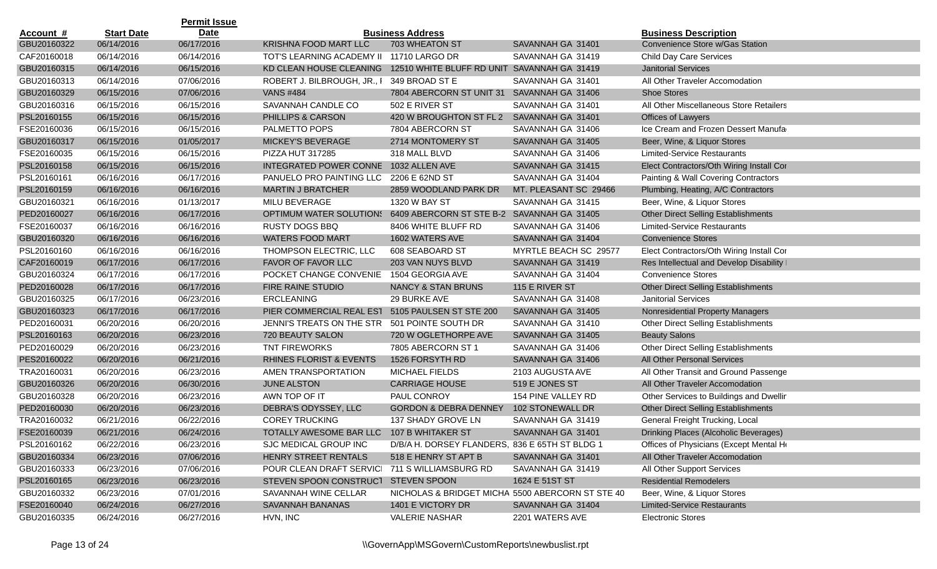|                  |                   | <b>Permit Issue</b> |                                                                    |                                                  |                       |                                            |
|------------------|-------------------|---------------------|--------------------------------------------------------------------|--------------------------------------------------|-----------------------|--------------------------------------------|
| <u>Account #</u> | <b>Start Date</b> | <b>Date</b>         |                                                                    | <b>Business Address</b>                          |                       | <b>Business Description</b>                |
| GBU20160322      | 06/14/2016        | 06/17/2016          | <b>KRISHNA FOOD MART LLC</b>                                       | 703 WHEATON ST                                   | SAVANNAH GA 31401     | Convenience Store w/Gas Station            |
| CAF20160018      | 06/14/2016        | 06/14/2016          | TOT'S LEARNING ACADEMY II                                          | 11710 LARGO DR                                   | SAVANNAH GA 31419     | <b>Child Day Care Services</b>             |
| GBU20160315      | 06/14/2016        | 06/15/2016          | KD CLEAN HOUSE CLEANING                                            | 12510 WHITE BLUFF RD UNIT SAVANNAH GA 31419      |                       | <b>Janitorial Services</b>                 |
| GBU20160313      | 06/14/2016        | 07/06/2016          | ROBERT J. BILBROUGH, JR., I                                        | 349 BROAD ST E                                   | SAVANNAH GA 31401     | All Other Traveler Accomodation            |
| GBU20160329      | 06/15/2016        | 07/06/2016          | <b>VANS #484</b>                                                   | 7804 ABERCORN ST UNIT 31                         | SAVANNAH GA 31406     | <b>Shoe Stores</b>                         |
| GBU20160316      | 06/15/2016        | 06/15/2016          | SAVANNAH CANDLE CO                                                 | 502 E RIVER ST                                   | SAVANNAH GA 31401     | All Other Miscellaneous Store Retailers    |
| PSL20160155      | 06/15/2016        | 06/15/2016          | PHILLIPS & CARSON                                                  | 420 W BROUGHTON ST FL 2 SAVANNAH GA 31401        |                       | Offices of Lawyers                         |
| FSE20160036      | 06/15/2016        | 06/15/2016          | PALMETTO POPS                                                      | 7804 ABERCORN ST                                 | SAVANNAH GA 31406     | Ice Cream and Frozen Dessert Manufa        |
| GBU20160317      | 06/15/2016        | 01/05/2017          | <b>MICKEY'S BEVERAGE</b>                                           | 2714 MONTOMERY ST                                | SAVANNAH GA 31405     | Beer, Wine, & Liquor Stores                |
| FSE20160035      | 06/15/2016        | 06/15/2016          | PIZZA HUT 317285                                                   | 318 MALL BLVD                                    | SAVANNAH GA 31406     | <b>Limited-Service Restaurants</b>         |
| PSL20160158      | 06/15/2016        | 06/15/2016          | <b>INTEGRATED POWER CONNE</b>                                      | 1032 ALLEN AVE                                   | SAVANNAH GA 31415     | Elect Contractors/Oth Wiring Install Cor   |
| PSL20160161      | 06/16/2016        | 06/17/2016          | PANUELO PRO PAINTING LLC                                           | 2206 E 62ND ST                                   | SAVANNAH GA 31404     | Painting & Wall Covering Contractors       |
| PSL20160159      | 06/16/2016        | 06/16/2016          | <b>MARTIN J BRATCHER</b>                                           | 2859 WOODLAND PARK DR                            | MT. PLEASANT SC 29466 | Plumbing, Heating, A/C Contractors         |
| GBU20160321      | 06/16/2016        | 01/13/2017          | MILU BEVERAGE                                                      | 1320 W BAY ST                                    | SAVANNAH GA 31415     | Beer, Wine, & Liquor Stores                |
| PED20160027      | 06/16/2016        | 06/17/2016          | OPTIMUM WATER SOLUTION: 6409 ABERCORN ST STE B-2 SAVANNAH GA 31405 |                                                  |                       | <b>Other Direct Selling Establishments</b> |
| FSE20160037      | 06/16/2016        | 06/16/2016          | <b>RUSTY DOGS BBQ</b>                                              | 8406 WHITE BLUFF RD                              | SAVANNAH GA 31406     | <b>Limited-Service Restaurants</b>         |
| GBU20160320      | 06/16/2016        | 06/16/2016          | <b>WATERS FOOD MART</b>                                            | 1602 WATERS AVE                                  | SAVANNAH GA 31404     | <b>Convenience Stores</b>                  |
| PSL20160160      | 06/16/2016        | 06/16/2016          | THOMPSON ELECTRIC, LLC                                             | 608 SEABOARD ST                                  | MYRTLE BEACH SC 29577 | Elect Contractors/Oth Wiring Install Cor   |
| CAF20160019      | 06/17/2016        | 06/17/2016          | FAVOR OF FAVOR LLC                                                 | 203 VAN NUYS BLVD                                | SAVANNAH GA 31419     | Res Intellectual and Develop Disability    |
| GBU20160324      | 06/17/2016        | 06/17/2016          | POCKET CHANGE CONVENIE                                             | 1504 GEORGIA AVE                                 | SAVANNAH GA 31404     | <b>Convenience Stores</b>                  |
| PED20160028      | 06/17/2016        | 06/17/2016          | FIRE RAINE STUDIO                                                  | NANCY & STAN BRUNS                               | 115 E RIVER ST        | <b>Other Direct Selling Establishments</b> |
| GBU20160325      | 06/17/2016        | 06/23/2016          | <b>ERCLEANING</b>                                                  | 29 BURKE AVE                                     | SAVANNAH GA 31408     | <b>Janitorial Services</b>                 |
| GBU20160323      | 06/17/2016        | 06/17/2016          | PIER COMMERCIAL REAL EST                                           | 5105 PAULSEN ST STE 200                          | SAVANNAH GA 31405     | Nonresidential Property Managers           |
| PED20160031      | 06/20/2016        | 06/20/2016          | JENNI'S TREATS ON THE STR                                          | 501 POINTE SOUTH DR                              | SAVANNAH GA 31410     | <b>Other Direct Selling Establishments</b> |
| PSL20160163      | 06/20/2016        | 06/23/2016          | 720 BEAUTY SALON                                                   | 720 W OGLETHORPE AVE                             | SAVANNAH GA 31405     | <b>Beauty Salons</b>                       |
| PED20160029      | 06/20/2016        | 06/23/2016          | <b>TNT FIREWORKS</b>                                               | 7805 ABERCORN ST 1                               | SAVANNAH GA 31406     | Other Direct Selling Establishments        |
| PES20160022      | 06/20/2016        | 06/21/2016          | RHINES FLORIST & EVENTS                                            | 1526 FORSYTH RD                                  | SAVANNAH GA 31406     | All Other Personal Services                |
| TRA20160031      | 06/20/2016        | 06/23/2016          | AMEN TRANSPORTATION                                                | MICHAEL FIELDS                                   | 2103 AUGUSTA AVE      | All Other Transit and Ground Passenge      |
| GBU20160326      | 06/20/2016        | 06/30/2016          | <b>JUNE ALSTON</b>                                                 | <b>CARRIAGE HOUSE</b>                            | 519 E JONES ST        | All Other Traveler Accomodation            |
| GBU20160328      | 06/20/2016        | 06/23/2016          | AWN TOP OF IT                                                      | PAUL CONROY                                      | 154 PINE VALLEY RD    | Other Services to Buildings and Dwellir    |
| PED20160030      | 06/20/2016        | 06/23/2016          | DEBRA'S ODYSSEY, LLC                                               | <b>GORDON &amp; DEBRA DENNEY</b>                 | 102 STONEWALL DR      | <b>Other Direct Selling Establishments</b> |
| TRA20160032      | 06/21/2016        | 06/22/2016          | <b>COREY TRUCKING</b>                                              | 137 SHADY GROVE LN                               | SAVANNAH GA 31419     | General Freight Trucking, Local            |
| FSE20160039      | 06/21/2016        | 06/24/2016          | TOTALLY AWESOME BAR LLC 107 B WHITAKER ST                          |                                                  | SAVANNAH GA 31401     | Drinking Places (Alcoholic Beverages)      |
| PSL20160162      | 06/22/2016        | 06/23/2016          | SJC MEDICAL GROUP INC                                              | D/B/A H. DORSEY FLANDERS, 836 E 65TH ST BLDG 1   |                       | Offices of Physicians (Except Mental He    |
| GBU20160334      | 06/23/2016        | 07/06/2016          | HENRY STREET RENTALS                                               | 518 E HENRY ST APT B                             | SAVANNAH GA 31401     | All Other Traveler Accomodation            |
| GBU20160333      | 06/23/2016        | 07/06/2016          | POUR CLEAN DRAFT SERVICI 711 S WILLIAMSBURG RD                     |                                                  | SAVANNAH GA 31419     | All Other Support Services                 |
| PSL20160165      | 06/23/2016        | 06/23/2016          | STEVEN SPOON CONSTRUCT STEVEN SPOON                                |                                                  | 1624 E 51ST ST        | <b>Residential Remodelers</b>              |
| GBU20160332      | 06/23/2016        | 07/01/2016          | SAVANNAH WINE CELLAR                                               | NICHOLAS & BRIDGET MICHA 5500 ABERCORN ST STE 40 |                       | Beer, Wine, & Liquor Stores                |
| FSE20160040      | 06/24/2016        | 06/27/2016          | SAVANNAH BANANAS                                                   | 1401 E VICTORY DR                                | SAVANNAH GA 31404     | <b>Limited-Service Restaurants</b>         |
| GBU20160335      | 06/24/2016        | 06/27/2016          | HVN, INC                                                           | <b>VALERIE NASHAR</b>                            | 2201 WATERS AVE       | <b>Electronic Stores</b>                   |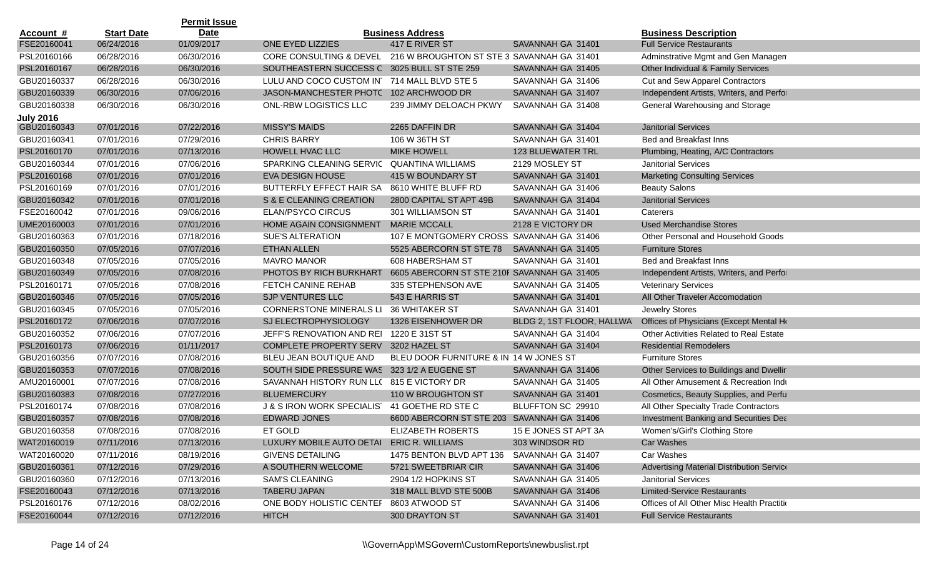|                  |                   | <b>Permit Issue</b> |                                           |                                             |                           |                                              |
|------------------|-------------------|---------------------|-------------------------------------------|---------------------------------------------|---------------------------|----------------------------------------------|
| <u>Account #</u> | <b>Start Date</b> | <b>Date</b>         |                                           | <b>Business Address</b>                     |                           | <b>Business Description</b>                  |
| FSE20160041      | 06/24/2016        | 01/09/2017          | ONE EYED LIZZIES                          | 417 E RIVER ST                              | SAVANNAH GA 31401         | <b>Full Service Restaurants</b>              |
| PSL20160166      | 06/28/2016        | 06/30/2016          | CORE CONSULTING & DEVEL                   | 216 W BROUGHTON ST STE 3 SAVANNAH GA 31401  |                           | Adminstrative Mgmt and Gen Managen           |
| PSL20160167      | 06/28/2016        | 06/30/2016          | SOUTHEASTERN SUCCESS C                    | 3025 BULL ST STE 259                        | SAVANNAH GA 31405         | Other Individual & Family Services           |
| GBU20160337      | 06/28/2016        | 06/30/2016          | LULU AND COCO CUSTOM IN                   | 714 MALL BLVD STE 5                         | SAVANNAH GA 31406         | Cut and Sew Apparel Contractors              |
| GBU20160339      | 06/30/2016        | 07/06/2016          | JASON-MANCHESTER PHOTC                    | 102 ARCHWOOD DR                             | SAVANNAH GA 31407         | Independent Artists, Writers, and Perfor     |
| GBU20160338      | 06/30/2016        | 06/30/2016          | ONL-RBW LOGISTICS LLC                     | 239 JIMMY DELOACH PKWY                      | SAVANNAH GA 31408         | General Warehousing and Storage              |
| <b>July 2016</b> |                   |                     |                                           |                                             |                           |                                              |
| GBU20160343      | 07/01/2016        | 07/22/2016          | <b>MISSY'S MAIDS</b>                      | 2265 DAFFIN DR                              | SAVANNAH GA 31404         | <b>Janitorial Services</b>                   |
| GBU20160341      | 07/01/2016        | 07/29/2016          | <b>CHRIS BARRY</b>                        | 106 W 36TH ST                               | SAVANNAH GA 31401         | Bed and Breakfast Inns                       |
| PSL20160170      | 07/01/2016        | 07/13/2016          | <b>HOWELL HVAC LLC</b>                    | <b>MIKE HOWELL</b>                          | <b>123 BLUEWATER TRL</b>  | Plumbing, Heating, A/C Contractors           |
| GBU20160344      | 07/01/2016        | 07/06/2016          | SPARKING CLEANING SERVIC                  | QUANTINA WILLIAMS                           | 2129 MOSLEY ST            | <b>Janitorial Services</b>                   |
| PSL20160168      | 07/01/2016        | 07/01/2016          | <b>EVA DESIGN HOUSE</b>                   | 415 W BOUNDARY ST                           | SAVANNAH GA 31401         | <b>Marketing Consulting Services</b>         |
| PSL20160169      | 07/01/2016        | 07/01/2016          | BUTTERFLY EFFECT HAIR SA                  | 8610 WHITE BLUFF RD                         | SAVANNAH GA 31406         | <b>Beauty Salons</b>                         |
| GBU20160342      | 07/01/2016        | 07/01/2016          | S & E CLEANING CREATION                   | 2800 CAPITAL ST APT 49B                     | SAVANNAH GA 31404         | <b>Janitorial Services</b>                   |
| FSE20160042      | 07/01/2016        | 09/06/2016          | <b>ELAN/PSYCO CIRCUS</b>                  | 301 WILLIAMSON ST                           | SAVANNAH GA 31401         | Caterers                                     |
| UME20160003      | 07/01/2016        | 07/01/2016          | HOME AGAIN CONSIGNMENT                    | <b>MARIE MCCALL</b>                         | 2128 E VICTORY DR         | <b>Used Merchandise Stores</b>               |
| GBU20160363      | 07/01/2016        | 07/18/2016          | <b>SUE'S ALTERATION</b>                   | 107 E MONTGOMERY CROSS SAVANNAH GA 31406    |                           | Other Personal and Household Goods           |
| GBU20160350      | 07/05/2016        | 07/07/2016          | <b>ETHAN ALLEN</b>                        | 5525 ABERCORN ST STE 78                     | SAVANNAH GA 31405         | <b>Furniture Stores</b>                      |
| GBU20160348      | 07/05/2016        | 07/05/2016          | <b>MAVRO MANOR</b>                        | 608 HABERSHAM ST                            | SAVANNAH GA 31401         | Bed and Breakfast Inns                       |
| GBU20160349      | 07/05/2016        | 07/08/2016          | PHOTOS BY RICH BURKHART                   | 6605 ABERCORN ST STE 210F SAVANNAH GA 31405 |                           | Independent Artists, Writers, and Perfor     |
| PSL20160171      | 07/05/2016        | 07/08/2016          | FETCH CANINE REHAB                        | 335 STEPHENSON AVE                          | SAVANNAH GA 31405         | <b>Veterinary Services</b>                   |
| GBU20160346      | 07/05/2016        | 07/05/2016          | SJP VENTURES LLC                          | 543 E HARRIS ST                             | SAVANNAH GA 31401         | All Other Traveler Accomodation              |
| GBU20160345      | 07/05/2016        | 07/05/2016          | <b>CORNERSTONE MINERALS LI</b>            | <b>36 WHITAKER ST</b>                       | SAVANNAH GA 31401         | Jewelry Stores                               |
| PSL20160172      | 07/06/2016        | 07/07/2016          | SJ ELECTROPHYSIOLOGY                      | 1326 EISENHOWER DR                          | BLDG 2, 1ST FLOOR, HALLWA | Offices of Physicians (Except Mental He      |
| GBU20160352      | 07/06/2016        | 07/07/2016          | JEFF'S RENOVATION AND REI                 | 1220 E 31ST ST                              | SAVANNAH GA 31404         | Other Activities Related to Real Estate      |
| PSL20160173      | 07/06/2016        | 01/11/2017          | <b>COMPLETE PROPERTY SERV</b>             | 3202 HAZEL ST                               | SAVANNAH GA 31404         | <b>Residential Remodelers</b>                |
| GBU20160356      | 07/07/2016        | 07/08/2016          | BLEU JEAN BOUTIQUE AND                    | BLEU DOOR FURNITURE & IN 14 W JONES ST      |                           | <b>Furniture Stores</b>                      |
| GBU20160353      | 07/07/2016        | 07/08/2016          | SOUTH SIDE PRESSURE WAS                   | 323 1/2 A EUGENE ST                         | SAVANNAH GA 31406         | Other Services to Buildings and Dwellir      |
| AMU20160001      | 07/07/2016        | 07/08/2016          | SAVANNAH HISTORY RUN LL(815 E VICTORY DR  |                                             | SAVANNAH GA 31405         | All Other Amusement & Recreation Indu        |
| GBU20160383      | 07/08/2016        | 07/27/2016          | <b>BLUEMERCURY</b>                        | 110 W BROUGHTON ST                          | SAVANNAH GA 31401         | Cosmetics, Beauty Supplies, and Perfu        |
| PSL20160174      | 07/08/2016        | 07/08/2016          | J & S IRON WORK SPECIALIST                | 41 GOETHE RD STE C                          | BLUFFTON SC 29910         | All Other Specialty Trade Contractors        |
| GBU20160357      | 07/08/2016        | 07/08/2016          | <b>EDWARD JONES</b>                       | 6600 ABERCORN ST STE 203 SAVANNAH GA 31406  |                           | <b>Investment Banking and Securities Dea</b> |
| GBU20160358      | 07/08/2016        | 07/08/2016          | ET GOLD                                   | <b>ELIZABETH ROBERTS</b>                    | 15 E JONES ST APT 3A      | Women's/Girl's Clothing Store                |
| WAT20160019      | 07/11/2016        | 07/13/2016          | LUXURY MOBILE AUTO DETAI ERIC R. WILLIAMS |                                             | 303 WINDSOR RD            | Car Washes                                   |
| WAT20160020      | 07/11/2016        | 08/19/2016          | <b>GIVENS DETAILING</b>                   | 1475 BENTON BLVD APT 136                    | SAVANNAH GA 31407         | Car Washes                                   |
| GBU20160361      | 07/12/2016        | 07/29/2016          | A SOUTHERN WELCOME                        | 5721 SWEETBRIAR CIR                         | SAVANNAH GA 31406         | Advertising Material Distribution Service    |
| GBU20160360      | 07/12/2016        | 07/13/2016          | <b>SAM'S CLEANING</b>                     | 2904 1/2 HOPKINS ST                         | SAVANNAH GA 31405         | <b>Janitorial Services</b>                   |
| FSE20160043      | 07/12/2016        | 07/13/2016          | TABERU JAPAN                              | 318 MALL BLVD STE 500B                      | SAVANNAH GA 31406         | <b>Limited-Service Restaurants</b>           |
| PSL20160176      | 07/12/2016        | 08/02/2016          | ONE BODY HOLISTIC CENTEF 8603 ATWOOD ST   |                                             | SAVANNAH GA 31406         | Offices of All Other Misc Health Practition  |
| FSE20160044      | 07/12/2016        | 07/12/2016          | <b>HITCH</b>                              | 300 DRAYTON ST                              | SAVANNAH GA 31401         | <b>Full Service Restaurants</b>              |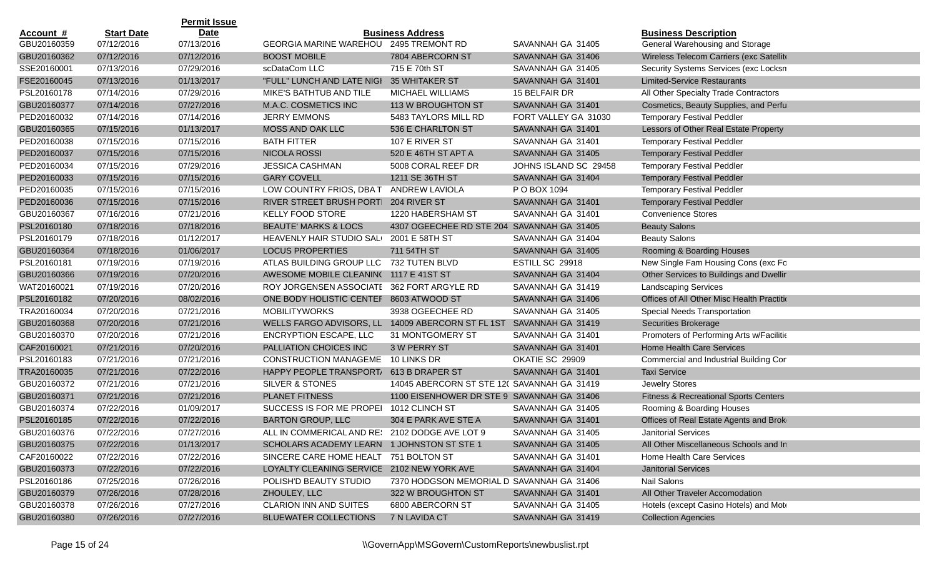|             |                   | <b>Permit Issue</b> |                                                   |                                             |                       |                                                  |
|-------------|-------------------|---------------------|---------------------------------------------------|---------------------------------------------|-----------------------|--------------------------------------------------|
| Account #   | <b>Start Date</b> | <b>Date</b>         |                                                   | <b>Business Address</b>                     |                       | <b>Business Description</b>                      |
| GBU20160359 | 07/12/2016        | 07/13/2016          | GEORGIA MARINE WAREHOU 2495 TREMONT RD            |                                             | SAVANNAH GA 31405     | General Warehousing and Storage                  |
| GBU20160362 | 07/12/2016        | 07/12/2016          | <b>BOOST MOBILE</b>                               | 7804 ABERCORN ST                            | SAVANNAH GA 31406     | Wireless Telecom Carriers (exc Satellite         |
| SSE20160001 | 07/13/2016        | 07/29/2016          | scDataCom LLC                                     | 715 E 70th ST                               | SAVANNAH GA 31405     | Security Systems Services (exc Locksn            |
| FSE20160045 | 07/13/2016        | 01/13/2017          | "FULL" LUNCH AND LATE NIGI                        | <b>35 WHITAKER ST</b>                       | SAVANNAH GA 31401     | <b>Limited-Service Restaurants</b>               |
| PSL20160178 | 07/14/2016        | 07/29/2016          | MIKE'S BATHTUB AND TILE                           | MICHAEL WILLIAMS                            | 15 BELFAIR DR         | All Other Specialty Trade Contractors            |
| GBU20160377 | 07/14/2016        | 07/27/2016          | M.A.C. COSMETICS INC                              | 113 W BROUGHTON ST                          | SAVANNAH GA 31401     | Cosmetics, Beauty Supplies, and Perfu            |
| PED20160032 | 07/14/2016        | 07/14/2016          | <b>JERRY EMMONS</b>                               | 5483 TAYLORS MILL RD                        | FORT VALLEY GA 31030  | <b>Temporary Festival Peddler</b>                |
| GBU20160365 | 07/15/2016        | 01/13/2017          | <b>MOSS AND OAK LLC</b>                           | 536 E CHARLTON ST                           | SAVANNAH GA 31401     | Lessors of Other Real Estate Property            |
| PED20160038 | 07/15/2016        | 07/15/2016          | <b>BATH FITTER</b>                                | 107 E RIVER ST                              | SAVANNAH GA 31401     | <b>Temporary Festival Peddler</b>                |
| PED20160037 | 07/15/2016        | 07/15/2016          | <b>NICOLA ROSSI</b>                               | 520 E 46TH ST APT A                         | SAVANNAH GA 31405     | <b>Temporary Festival Peddler</b>                |
| PED20160034 | 07/15/2016        | 07/29/2016          | <b>JESSICA CASHMAN</b>                            | 5008 CORAL REEF DR                          | JOHNS ISLAND SC 29458 | <b>Temporary Festival Peddler</b>                |
| PED20160033 | 07/15/2016        | 07/15/2016          | <b>GARY COVELL</b>                                | 1211 SE 36TH ST                             | SAVANNAH GA 31404     | <b>Temporary Festival Peddler</b>                |
| PED20160035 | 07/15/2016        | 07/15/2016          | LOW COUNTRY FRIOS, DBAT                           | ANDREW LAVIOLA                              | P O BOX 1094          | <b>Temporary Festival Peddler</b>                |
| PED20160036 | 07/15/2016        | 07/15/2016          | RIVER STREET BRUSH PORT                           | 204 RIVER ST                                | SAVANNAH GA 31401     | <b>Temporary Festival Peddler</b>                |
| GBU20160367 | 07/16/2016        | 07/21/2016          | KELLY FOOD STORE                                  | 1220 HABERSHAM ST                           | SAVANNAH GA 31401     | <b>Convenience Stores</b>                        |
| PSL20160180 | 07/18/2016        | 07/18/2016          | <b>BEAUTE' MARKS &amp; LOCS</b>                   | 4307 OGEECHEE RD STE 204 SAVANNAH GA 31405  |                       | <b>Beauty Salons</b>                             |
| PSL20160179 | 07/18/2016        | 01/12/2017          | HEAVENLY HAIR STUDIO SALI                         | 2001 E 58TH ST                              | SAVANNAH GA 31404     | <b>Beauty Salons</b>                             |
| GBU20160364 | 07/18/2016        | 01/06/2017          | <b>LOCUS PROPERTIES</b>                           | 711 54TH ST                                 | SAVANNAH GA 31405     | Rooming & Boarding Houses                        |
| PSL20160181 | 07/19/2016        | 07/19/2016          | ATLAS BUILDING GROUP LLC                          | 732 TUTEN BLVD                              | ESTILL SC 29918       | New Single Fam Housing Cons (exc Fo              |
| GBU20160366 | 07/19/2016        | 07/20/2016          | AWESOME MOBILE CLEANIN(1117 E 41ST ST             |                                             | SAVANNAH GA 31404     | Other Services to Buildings and Dwellir          |
| WAT20160021 | 07/19/2016        | 07/20/2016          | ROY JORGENSEN ASSOCIATE                           | 362 FORT ARGYLE RD                          | SAVANNAH GA 31419     | <b>Landscaping Services</b>                      |
| PSL20160182 | 07/20/2016        | 08/02/2016          | ONE BODY HOLISTIC CENTEF                          | 8603 ATWOOD ST                              | SAVANNAH GA 31406     | Offices of All Other Misc Health Practitio       |
| TRA20160034 | 07/20/2016        | 07/21/2016          | <b>MOBILITYWORKS</b>                              | 3938 OGEECHEE RD                            | SAVANNAH GA 31405     | Special Needs Transportation                     |
| GBU20160368 | 07/20/2016        | 07/21/2016          | WELLS FARGO ADVISORS, LL 14009 ABERCORN ST FL 1ST |                                             | SAVANNAH GA 31419     | Securities Brokerage                             |
| GBU20160370 | 07/20/2016        | 07/21/2016          | ENCRYPTION ESCAPE, LLC                            | 31 MONTGOMERY ST                            | SAVANNAH GA 31401     | Promoters of Performing Arts w/Facilitie         |
| CAF20160021 | 07/21/2016        | 07/20/2016          | PALLIATION CHOICES INC                            | 3 W PERRY ST                                | SAVANNAH GA 31401     | <b>Home Health Care Services</b>                 |
| PSL20160183 | 07/21/2016        | 07/21/2016          | <b>CONSTRUCTION MANAGEME</b>                      | 10 LINKS DR                                 | OKATIE SC 29909       | Commercial and Industrial Building Cor           |
| TRA20160035 | 07/21/2016        | 07/22/2016          | HAPPY PEOPLE TRANSPORT/                           | 613 B DRAPER ST                             | SAVANNAH GA 31401     | <b>Taxi Service</b>                              |
| GBU20160372 | 07/21/2016        | 07/21/2016          | SILVER & STONES                                   | 14045 ABERCORN ST STE 120 SAVANNAH GA 31419 |                       | Jewelry Stores                                   |
| GBU20160371 | 07/21/2016        | 07/21/2016          | <b>PLANET FITNESS</b>                             | 1100 EISENHOWER DR STE 9 SAVANNAH GA 31406  |                       | <b>Fitness &amp; Recreational Sports Centers</b> |
| GBU20160374 | 07/22/2016        | 01/09/2017          | SUCCESS IS FOR ME PROPEI                          | 1012 CLINCH ST                              | SAVANNAH GA 31405     | Rooming & Boarding Houses                        |
| PSL20160185 | 07/22/2016        | 07/22/2016          | <b>BARTON GROUP, LLC</b>                          | 304 E PARK AVE STE A                        | SAVANNAH GA 31401     | Offices of Real Estate Agents and Brok           |
| GBU20160376 | 07/22/2016        | 07/27/2016          | ALL IN COMMERICAL AND RE: 2102 DODGE AVE LOT 9    |                                             | SAVANNAH GA 31405     | <b>Janitorial Services</b>                       |
| GBU20160375 | 07/22/2016        | 01/13/2017          | SCHOLARS ACADEMY LEARN 1 JOHNSTON ST STE 1        |                                             | SAVANNAH GA 31405     | All Other Miscellaneous Schools and In           |
| CAF20160022 | 07/22/2016        | 07/22/2016          | SINCERE CARE HOME HEALT 751 BOLTON ST             |                                             | SAVANNAH GA 31401     | Home Health Care Services                        |
| GBU20160373 | 07/22/2016        | 07/22/2016          | LOYALTY CLEANING SERVICE 2102 NEW YORK AVE        |                                             | SAVANNAH GA 31404     | <b>Janitorial Services</b>                       |
| PSL20160186 | 07/25/2016        | 07/26/2016          | POLISH'D BEAUTY STUDIO                            | 7370 HODGSON MEMORIAL D SAVANNAH GA 31406   |                       | Nail Salons                                      |
| GBU20160379 | 07/26/2016        | 07/28/2016          | ZHOULEY, LLC                                      | 322 W BROUGHTON ST                          | SAVANNAH GA 31401     | All Other Traveler Accomodation                  |
| GBU20160378 | 07/26/2016        | 07/27/2016          | <b>CLARION INN AND SUITES</b>                     | 6800 ABERCORN ST                            | SAVANNAH GA 31405     | Hotels (except Casino Hotels) and Mote           |
| GBU20160380 | 07/26/2016        | 07/27/2016          | <b>BLUEWATER COLLECTIONS</b>                      | 7 N LAVIDA CT                               | SAVANNAH GA 31419     | <b>Collection Agencies</b>                       |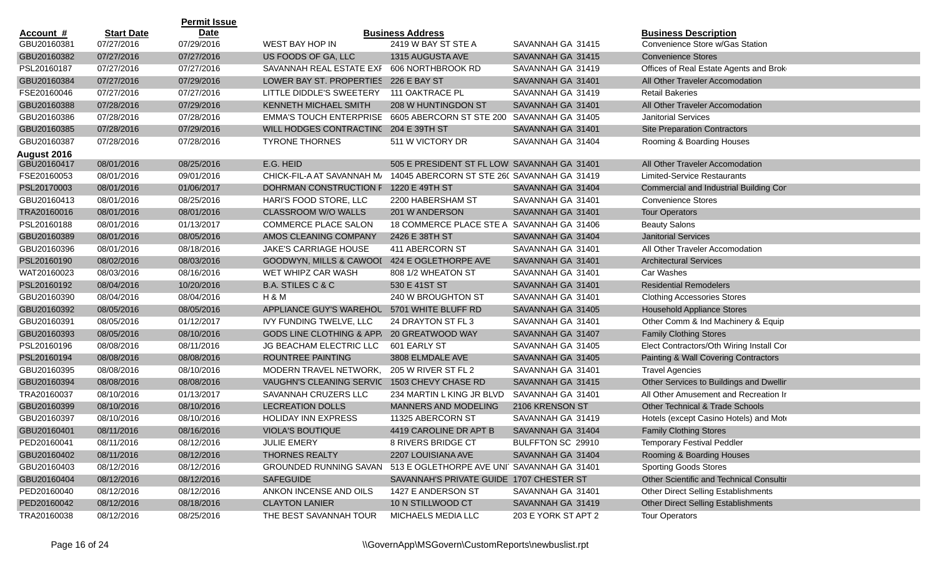|                    |                   | <b>Permit Issue</b> |                                              |                                              |                     |                                            |
|--------------------|-------------------|---------------------|----------------------------------------------|----------------------------------------------|---------------------|--------------------------------------------|
| <u>Account #</u>   | <b>Start Date</b> | <b>Date</b>         |                                              | <b>Business Address</b>                      |                     | <b>Business Description</b>                |
| GBU20160381        | 07/27/2016        | 07/29/2016          | WEST BAY HOP IN                              | 2419 W BAY ST STE A                          | SAVANNAH GA 31415   | Convenience Store w/Gas Station            |
| GBU20160382        | 07/27/2016        | 07/27/2016          | US FOODS OF GA, LLC                          | 1315 AUGUSTA AVE                             | SAVANNAH GA 31415   | <b>Convenience Stores</b>                  |
| PSL20160187        | 07/27/2016        | 07/27/2016          | SAVANNAH REAL ESTATE EXF                     | 606 NORTHBROOK RD                            | SAVANNAH GA 31419   | Offices of Real Estate Agents and Brok     |
| GBU20160384        | 07/27/2016        | 07/29/2016          | LOWER BAY ST. PROPERTIES 226 E BAY ST        |                                              | SAVANNAH GA 31401   | All Other Traveler Accomodation            |
| FSE20160046        | 07/27/2016        | 07/27/2016          | LITTLE DIDDLE'S SWEETERY                     | 111 OAKTRACE PL                              | SAVANNAH GA 31419   | <b>Retail Bakeries</b>                     |
| GBU20160388        | 07/28/2016        | 07/29/2016          | KENNETH MICHAEL SMITH                        | 208 W HUNTINGDON ST                          | SAVANNAH GA 31401   | All Other Traveler Accomodation            |
| GBU20160386        | 07/28/2016        | 07/28/2016          | <b>EMMA'S TOUCH ENTERPRISE</b>               | 6605 ABERCORN ST STE 200 SAVANNAH GA 31405   |                     | <b>Janitorial Services</b>                 |
| GBU20160385        | 07/28/2016        | 07/29/2016          | WILL HODGES CONTRACTING 204 E 39TH ST        |                                              | SAVANNAH GA 31401   | <b>Site Preparation Contractors</b>        |
| GBU20160387        | 07/28/2016        | 07/28/2016          | <b>TYRONE THORNES</b>                        | 511 W VICTORY DR                             | SAVANNAH GA 31404   | Rooming & Boarding Houses                  |
| <b>August 2016</b> |                   |                     |                                              |                                              |                     |                                            |
| GBU20160417        | 08/01/2016        | 08/25/2016          | E.G. HEID                                    | 505 E PRESIDENT ST FL LOWI SAVANNAH GA 31401 |                     | All Other Traveler Accomodation            |
| FSE20160053        | 08/01/2016        | 09/01/2016          | CHICK-FIL-A AT SAVANNAH M/                   | 14045 ABERCORN ST STE 260 SAVANNAH GA 31419  |                     | <b>Limited-Service Restaurants</b>         |
| PSL20170003        | 08/01/2016        | 01/06/2017          | DOHRMAN CONSTRUCTION F                       | 1220 E 49TH ST                               | SAVANNAH GA 31404   | Commercial and Industrial Building Cor     |
| GBU20160413        | 08/01/2016        | 08/25/2016          | HARI'S FOOD STORE, LLC                       | 2200 HABERSHAM ST                            | SAVANNAH GA 31401   | <b>Convenience Stores</b>                  |
| TRA20160016        | 08/01/2016        | 08/01/2016          | CLASSROOM W/O WALLS                          | 201 W ANDERSON                               | SAVANNAH GA 31401   | <b>Tour Operators</b>                      |
| PSL20160188        | 08/01/2016        | 01/13/2017          | <b>COMMERCE PLACE SALON</b>                  | 18 COMMERCE PLACE STE A SAVANNAH GA 31406    |                     | <b>Beauty Salons</b>                       |
| GBU20160389        | 08/01/2016        | 08/05/2016          | AMOS CLEANING COMPANY                        | 2426 E 38TH ST                               | SAVANNAH GA 31404   | <b>Janitorial Services</b>                 |
| GBU20160396        | 08/01/2016        | 08/18/2016          | <b>JAKE'S CARRIAGE HOUSE</b>                 | 411 ABERCORN ST                              | SAVANNAH GA 31401   | All Other Traveler Accomodation            |
| PSL20160190        | 08/02/2016        | 08/03/2016          | <b>GOODWYN, MILLS &amp; CAWOOI</b>           | 424 E OGLETHORPE AVE                         | SAVANNAH GA 31401   | <b>Architectural Services</b>              |
| WAT20160023        | 08/03/2016        | 08/16/2016          | WET WHIPZ CAR WASH                           | 808 1/2 WHEATON ST                           | SAVANNAH GA 31401   | Car Washes                                 |
| PSL20160192        | 08/04/2016        | 10/20/2016          | <b>B.A. STILES C &amp; C</b>                 | 530 E 41ST ST                                | SAVANNAH GA 31401   | <b>Residential Remodelers</b>              |
| GBU20160390        | 08/04/2016        | 08/04/2016          | H & M                                        | 240 W BROUGHTON ST                           | SAVANNAH GA 31401   | <b>Clothing Accessories Stores</b>         |
| GBU20160392        | 08/05/2016        | 08/05/2016          | APPLIANCE GUY'S WAREHOU                      | 5701 WHITE BLUFF RD                          | SAVANNAH GA 31405   | <b>Household Appliance Stores</b>          |
| GBU20160391        | 08/05/2016        | 01/12/2017          | IVY FUNDING TWELVE, LLC                      | 24 DRAYTON ST FL 3                           | SAVANNAH GA 31401   | Other Comm & Ind Machinery & Equip         |
| GBU20160393        | 08/05/2016        | 08/10/2016          | <b>GODS LINE CLOTHING &amp; APP.</b>         | 20 GREATWOOD WAY                             | SAVANNAH GA 31407   | <b>Family Clothing Stores</b>              |
| PSL20160196        | 08/08/2016        | 08/11/2016          | JG BEACHAM ELECTRIC LLC                      | 601 EARLY ST                                 | SAVANNAH GA 31405   | Elect Contractors/Oth Wiring Install Cor   |
| PSL20160194        | 08/08/2016        | 08/08/2016          | ROUNTREE PAINTING                            | 3808 ELMDALE AVE                             | SAVANNAH GA 31405   | Painting & Wall Covering Contractors       |
| GBU20160395        | 08/08/2016        | 08/10/2016          | MODERN TRAVEL NETWORK,                       | 205 W RIVER ST FL 2                          | SAVANNAH GA 31401   | <b>Travel Agencies</b>                     |
| GBU20160394        | 08/08/2016        | 08/08/2016          | VAUGHN'S CLEANING SERVIC 1503 CHEVY CHASE RD |                                              | SAVANNAH GA 31415   | Other Services to Buildings and Dwellir    |
| TRA20160037        | 08/10/2016        | 01/13/2017          | SAVANNAH CRUZERS LLC                         | 234 MARTIN L KING JR BLVD                    | SAVANNAH GA 31401   | All Other Amusement and Recreation Ir      |
| GBU20160399        | 08/10/2016        | 08/10/2016          | <b>LECREATION DOLLS</b>                      | <b>MANNERS AND MODELING</b>                  | 2106 KRENSON ST     | <b>Other Technical &amp; Trade Schools</b> |
| GBU20160397        | 08/10/2016        | 08/10/2016          | <b>HOLIDAY INN EXPRESS</b>                   | 11325 ABERCORN ST                            | SAVANNAH GA 31419   | Hotels (except Casino Hotels) and Mote     |
| GBU20160401        | 08/11/2016        | 08/16/2016          | <b>VIOLA'S BOUTIQUE</b>                      | 4419 CAROLINE DR APT B                       | SAVANNAH GA 31404   | <b>Family Clothing Stores</b>              |
| PED20160041        | 08/11/2016        | 08/12/2016          | JULIE EMERY                                  | 8 RIVERS BRIDGE CT                           | BULFFTON SC 29910   | <b>Temporary Festival Peddler</b>          |
| GBU20160402        | 08/11/2016        | 08/12/2016          | THORNES REALTY                               | 2207 LOUISIANA AVE                           | SAVANNAH GA 31404   | Rooming & Boarding Houses                  |
| GBU20160403        | 08/12/2016        | 08/12/2016          | <b>GROUNDED RUNNING SAVAN</b>                | 513 E OGLETHORPE AVE UNI SAVANNAH GA 31401   |                     | <b>Sporting Goods Stores</b>               |
| GBU20160404        | 08/12/2016        | 08/12/2016          | <b>SAFEGUIDE</b>                             | SAVANNAH'S PRIVATE GUIDE 1707 CHESTER ST     |                     | Other Scientific and Technical Consultir   |
| PED20160040        | 08/12/2016        | 08/12/2016          | ANKON INCENSE AND OILS                       | 1427 E ANDERSON ST                           | SAVANNAH GA 31401   | Other Direct Selling Establishments        |
| PED20160042        | 08/12/2016        | 08/18/2016          | <b>CLAYTON LANIER</b>                        | 10 N STILLWOOD CT                            | SAVANNAH GA 31419   | <b>Other Direct Selling Establishments</b> |
| TRA20160038        | 08/12/2016        | 08/25/2016          | THE BEST SAVANNAH TOUR                       | MICHAELS MEDIA LLC                           | 203 E YORK ST APT 2 | <b>Tour Operators</b>                      |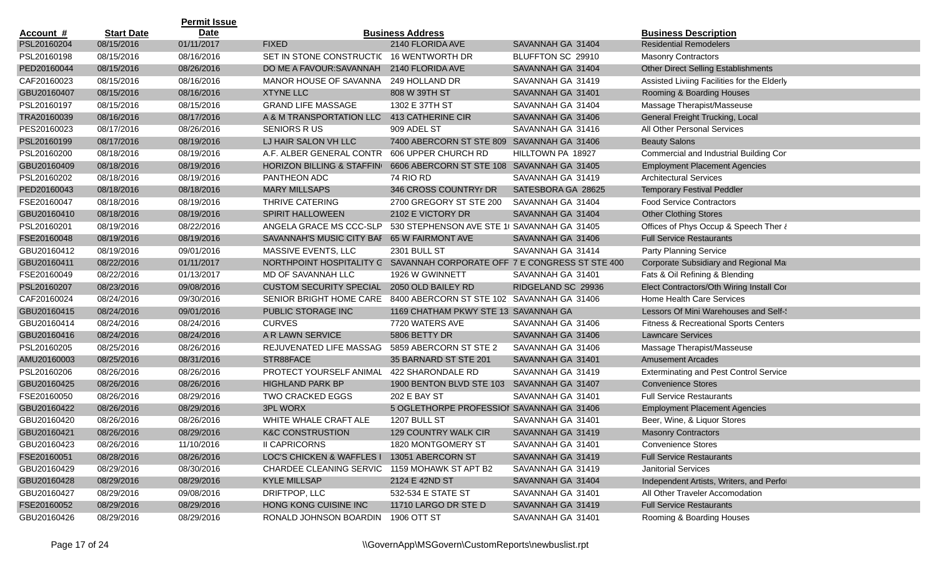|                  |                   | <b>Permit Issue</b> |                                                                         |                                             |                    |                                                  |
|------------------|-------------------|---------------------|-------------------------------------------------------------------------|---------------------------------------------|--------------------|--------------------------------------------------|
| <u>Account #</u> | <b>Start Date</b> | <b>Date</b>         |                                                                         | <b>Business Address</b>                     |                    | <b>Business Description</b>                      |
| PSL20160204      | 08/15/2016        | 01/11/2017          | <b>FIXED</b>                                                            | 2140 FLORIDA AVE                            | SAVANNAH GA 31404  | <b>Residential Remodelers</b>                    |
| PSL20160198      | 08/15/2016        | 08/16/2016          | SET IN STONE CONSTRUCTIC 16 WENTWORTH DR                                |                                             | BLUFFTON SC 29910  | <b>Masonry Contractors</b>                       |
| PED20160044      | 08/15/2016        | 08/26/2016          | DO ME A FAVOUR: SAVANNAH                                                | 2140 FLORIDA AVE                            | SAVANNAH GA 31404  | <b>Other Direct Selling Establishments</b>       |
| CAF20160023      | 08/15/2016        | 08/16/2016          | MANOR HOUSE OF SAVANNA                                                  | 249 HOLLAND DR                              | SAVANNAH GA 31419  | Assisted Liviing Facilities for the Elderly      |
| GBU20160407      | 08/15/2016        | 08/16/2016          | <b>XTYNE LLC</b>                                                        | 808 W 39TH ST                               | SAVANNAH GA 31401  | Rooming & Boarding Houses                        |
| PSL20160197      | 08/15/2016        | 08/15/2016          | <b>GRAND LIFE MASSAGE</b>                                               | 1302 E 37TH ST                              | SAVANNAH GA 31404  | Massage Therapist/Masseuse                       |
| TRA20160039      | 08/16/2016        | 08/17/2016          | A & M TRANSPORTATION LLC                                                | 413 CATHERINE CIR                           | SAVANNAH GA 31406  | General Freight Trucking, Local                  |
| PES20160023      | 08/17/2016        | 08/26/2016          | <b>SENIORS RUS</b>                                                      | 909 ADEL ST                                 | SAVANNAH GA 31416  | All Other Personal Services                      |
| PSL20160199      | 08/17/2016        | 08/19/2016          | LJ HAIR SALON VH LLC                                                    | 7400 ABERCORN ST STE 809 SAVANNAH GA 31406  |                    | <b>Beauty Salons</b>                             |
| PSL20160200      | 08/18/2016        | 08/19/2016          | A.F. ALBER GENERAL CONTR                                                | 606 UPPER CHURCH RD                         | HILLTOWN PA 18927  | Commercial and Industrial Building Cor           |
| GBU20160409      | 08/18/2016        | 08/19/2016          | HORIZON BILLING & STAFFING                                              | 6606 ABERCORN ST STE 108 SAVANNAH GA 31405  |                    | <b>Employment Placement Agencies</b>             |
| PSL20160202      | 08/18/2016        | 08/19/2016          | PANTHEON ADC                                                            | 74 RIO RD                                   | SAVANNAH GA 31419  | <b>Architectural Services</b>                    |
| PED20160043      | 08/18/2016        | 08/18/2016          | <b>MARY MILLSAPS</b>                                                    | 346 CROSS COUNTRYr DR                       | SATESBORA GA 28625 | <b>Temporary Festival Peddler</b>                |
| FSE20160047      | 08/18/2016        | 08/19/2016          | THRIVE CATERING                                                         | 2700 GREGORY ST STE 200                     | SAVANNAH GA 31404  | <b>Food Service Contractors</b>                  |
| GBU20160410      | 08/18/2016        | 08/19/2016          | <b>SPIRIT HALLOWEEN</b>                                                 | 2102 E VICTORY DR                           | SAVANNAH GA 31404  | <b>Other Clothing Stores</b>                     |
| PSL20160201      | 08/19/2016        | 08/22/2016          | ANGELA GRACE MS CCC-SLP                                                 | 530 STEPHENSON AVE STE 1( SAVANNAH GA 31405 |                    | Offices of Phys Occup & Speech Ther &            |
| FSE20160048      | 08/19/2016        | 08/19/2016          | SAVANNAH'S MUSIC CITY BAF 65 W FAIRMONT AVE                             |                                             | SAVANNAH GA 31406  | <b>Full Service Restaurants</b>                  |
| GBU20160412      | 08/19/2016        | 09/01/2016          | MASSIVE EVENTS, LLC                                                     | 2301 BULL ST                                | SAVANNAH GA 31414  | Party Planning Service                           |
| GBU20160411      | 08/22/2016        | 01/11/2017          | NORTHPOINT HOSPITALITY G SAVANNAH CORPORATE OFF 7 E CONGRESS ST STE 400 |                                             |                    | Corporate Subsidiary and Regional Mar            |
| FSE20160049      | 08/22/2016        | 01/13/2017          | MD OF SAVANNAH LLC                                                      | 1926 W GWINNETT                             | SAVANNAH GA 31401  | Fats & Oil Refining & Blending                   |
| PSL20160207      | 08/23/2016        | 09/08/2016          | <b>CUSTOM SECURITY SPECIAL</b>                                          | 2050 OLD BAILEY RD                          | RIDGELAND SC 29936 | Elect Contractors/Oth Wiring Install Cor         |
| CAF20160024      | 08/24/2016        | 09/30/2016          | SENIOR BRIGHT HOME CARE                                                 | 8400 ABERCORN ST STE 102 SAVANNAH GA 31406  |                    | Home Health Care Services                        |
| GBU20160415      | 08/24/2016        | 09/01/2016          | PUBLIC STORAGE INC                                                      | 1169 CHATHAM PKWY STE 13: SAVANNAH GA       |                    | Lessors Of Mini Warehouses and Self-             |
| GBU20160414      | 08/24/2016        | 08/24/2016          | <b>CURVES</b>                                                           | 7720 WATERS AVE                             | SAVANNAH GA 31406  | <b>Fitness &amp; Recreational Sports Centers</b> |
| GBU20160416      | 08/24/2016        | 08/24/2016          | A R LAWN SERVICE                                                        | 5806 BETTY DR                               | SAVANNAH GA 31406  | <b>Lawncare Services</b>                         |
| PSL20160205      | 08/25/2016        | 08/26/2016          | REJUVENATED LIFE MASSAG                                                 | 5859 ABERCORN ST STE 2                      | SAVANNAH GA 31406  | Massage Therapist/Masseuse                       |
| AMU20160003      | 08/25/2016        | 08/31/2016          | STR88FACE                                                               | 35 BARNARD ST STE 201                       | SAVANNAH GA 31401  | <b>Amusement Arcades</b>                         |
| PSL20160206      | 08/26/2016        | 08/26/2016          | PROTECT YOURSELF ANIMAL                                                 | 422 SHARONDALE RD                           | SAVANNAH GA 31419  | <b>Exterminating and Pest Control Service</b>    |
| GBU20160425      | 08/26/2016        | 08/26/2016          | <b>HIGHLAND PARK BP</b>                                                 | 1900 BENTON BLVD STE 103                    | SAVANNAH GA 31407  | <b>Convenience Stores</b>                        |
| FSE20160050      | 08/26/2016        | 08/29/2016          | <b>TWO CRACKED EGGS</b>                                                 | 202 E BAY ST                                | SAVANNAH GA 31401  | <b>Full Service Restaurants</b>                  |
| GBU20160422      | 08/26/2016        | 08/29/2016          | <b>3PL WORX</b>                                                         | 5 OGLETHORPE PROFESSIOI SAVANNAH GA 31406   |                    | <b>Employment Placement Agencies</b>             |
| GBU20160420      | 08/26/2016        | 08/26/2016          | WHITE WHALE CRAFT ALE                                                   | 1207 BULL ST                                | SAVANNAH GA 31401  | Beer, Wine, & Liquor Stores                      |
| GBU20160421      | 08/26/2016        | 08/29/2016          | <b>K&amp;C CONSTRUSTION</b>                                             | 129 COUNTRY WALK CIR                        | SAVANNAH GA 31419  | <b>Masonry Contractors</b>                       |
| GBU20160423      | 08/26/2016        | 11/10/2016          | <b>II CAPRICORNS</b>                                                    | 1820 MONTGOMERY ST                          | SAVANNAH GA 31401  | <b>Convenience Stores</b>                        |
| FSE20160051      | 08/28/2016        | 08/26/2016          | <b>LOC'S CHICKEN &amp; WAFFLES I</b>                                    | 13051 ABERCORN ST                           | SAVANNAH GA 31419  | <b>Full Service Restaurants</b>                  |
| GBU20160429      | 08/29/2016        | 08/30/2016          | CHARDEE CLEANING SERVIC                                                 | 1159 MOHAWK ST APT B2                       | SAVANNAH GA 31419  | Janitorial Services                              |
| GBU20160428      | 08/29/2016        | 08/29/2016          | <b>KYLE MILLSAP</b>                                                     | 2124 E 42ND ST                              | SAVANNAH GA 31404  | Independent Artists, Writers, and Perfor         |
| GBU20160427      | 08/29/2016        | 09/08/2016          | DRIFTPOP, LLC                                                           | 532-534 E STATE ST                          | SAVANNAH GA 31401  | All Other Traveler Accomodation                  |
| FSE20160052      | 08/29/2016        | 08/29/2016          | HONG KONG CUISINE INC                                                   | 11710 LARGO DR STE D                        | SAVANNAH GA 31419  | <b>Full Service Restaurants</b>                  |
| GBU20160426      | 08/29/2016        | 08/29/2016          | RONALD JOHNSON BOARDIN                                                  | 1906 OTT ST                                 | SAVANNAH GA 31401  | Rooming & Boarding Houses                        |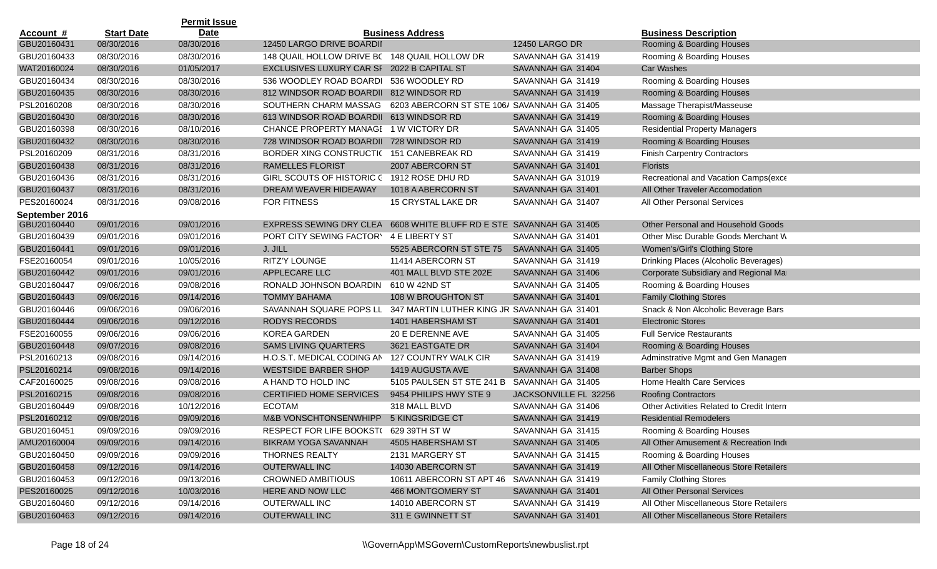|                  |                   | <b>Permit Issue</b> |                                              |                                             |                       |                                           |
|------------------|-------------------|---------------------|----------------------------------------------|---------------------------------------------|-----------------------|-------------------------------------------|
| <u>Account #</u> | <b>Start Date</b> | <b>Date</b>         |                                              | <b>Business Address</b>                     |                       | <b>Business Description</b>               |
| GBU20160431      | 08/30/2016        | 08/30/2016          | 12450 LARGO DRIVE BOARDII                    |                                             | <b>12450 LARGO DR</b> | Rooming & Boarding Houses                 |
| GBU20160433      | 08/30/2016        | 08/30/2016          | 148 QUAIL HOLLOW DRIVE B(148 QUAIL HOLLOW DR |                                             | SAVANNAH GA 31419     | Rooming & Boarding Houses                 |
| WAT20160024      | 08/30/2016        | 01/05/2017          | EXCLUSIVES LUXURY CAR SI 2022 B CAPITAL ST   |                                             | SAVANNAH GA 31404     | <b>Car Washes</b>                         |
| GBU20160434      | 08/30/2016        | 08/30/2016          | 536 WOODLEY ROAD BOARDI 536 WOODLEY RD       |                                             | SAVANNAH GA 31419     | Rooming & Boarding Houses                 |
| GBU20160435      | 08/30/2016        | 08/30/2016          | 812 WINDSOR ROAD BOARDII                     | 812 WINDSOR RD                              | SAVANNAH GA 31419     | Rooming & Boarding Houses                 |
| PSL20160208      | 08/30/2016        | 08/30/2016          | SOUTHERN CHARM MASSAG                        | 6203 ABERCORN ST STE 106/ SAVANNAH GA 31405 |                       | Massage Therapist/Masseuse                |
| GBU20160430      | 08/30/2016        | 08/30/2016          | 613 WINDSOR ROAD BOARDII                     | 613 WINDSOR RD                              | SAVANNAH GA 31419     | Rooming & Boarding Houses                 |
| GBU20160398      | 08/30/2016        | 08/10/2016          | CHANCE PROPERTY MANAGE 1 W VICTORY DR        |                                             | SAVANNAH GA 31405     | <b>Residential Property Managers</b>      |
| GBU20160432      | 08/30/2016        | 08/30/2016          | 728 WINDSOR ROAD BOARDII 728 WINDSOR RD      |                                             | SAVANNAH GA 31419     | Rooming & Boarding Houses                 |
| PSL20160209      | 08/31/2016        | 08/31/2016          | BORDER XING CONSTRUCTI( 151 CANEBREAK RD     |                                             | SAVANNAH GA 31419     | <b>Finish Carpentry Contractors</b>       |
| GBU20160438      | 08/31/2016        | 08/31/2016          | <b>RAMELLES FLORIST</b>                      | 2007 ABERCORN ST                            | SAVANNAH GA 31401     | <b>Florists</b>                           |
| GBU20160436      | 08/31/2016        | 08/31/2016          | GIRL SCOUTS OF HISTORIC C                    | 1912 ROSE DHU RD                            | SAVANNAH GA 31019     | Recreational and Vacation Camps(exce      |
| GBU20160437      | 08/31/2016        | 08/31/2016          | DREAM WEAVER HIDEAWAY                        | 1018 A ABERCORN ST                          | SAVANNAH GA 31401     | All Other Traveler Accomodation           |
| PES20160024      | 08/31/2016        | 09/08/2016          | <b>FOR FITNESS</b>                           | 15 CRYSTAL LAKE DR                          | SAVANNAH GA 31407     | All Other Personal Services               |
| September 2016   |                   |                     |                                              |                                             |                       |                                           |
| GBU20160440      | 09/01/2016        | 09/01/2016          | EXPRESS SEWING DRY CLEA                      | 6608 WHITE BLUFF RD E STE SAVANNAH GA 31405 |                       | Other Personal and Household Goods        |
| GBU20160439      | 09/01/2016        | 09/01/2016          | PORT CITY SEWING FACTORY                     | 4 E LIBERTY ST                              | SAVANNAH GA 31401     | Other Misc Durable Goods Merchant W       |
| GBU20160441      | 09/01/2016        | 09/01/2016          | J. JILL                                      | 5525 ABERCORN ST STE 75                     | SAVANNAH GA 31405     | Women's/Girl's Clothing Store             |
| FSE20160054      | 09/01/2016        | 10/05/2016          | RITZ'Y LOUNGE                                | 11414 ABERCORN ST                           | SAVANNAH GA 31419     | Drinking Places (Alcoholic Beverages)     |
| GBU20160442      | 09/01/2016        | 09/01/2016          | APPLECARE LLC                                | 401 MALL BLVD STE 202E                      | SAVANNAH GA 31406     | Corporate Subsidiary and Regional Ma      |
| GBU20160447      | 09/06/2016        | 09/08/2016          | RONALD JOHNSON BOARDIN                       | 610 W 42ND ST                               | SAVANNAH GA 31405     | Rooming & Boarding Houses                 |
| GBU20160443      | 09/06/2016        | 09/14/2016          | <b>TOMMY BAHAMA</b>                          | 108 W BROUGHTON ST                          | SAVANNAH GA 31401     | <b>Family Clothing Stores</b>             |
| GBU20160446      | 09/06/2016        | 09/06/2016          | SAVANNAH SQUARE POPS LL                      | 347 MARTIN LUTHER KING JR SAVANNAH GA 31401 |                       | Snack & Non Alcoholic Beverage Bars       |
| GBU20160444      | 09/06/2016        | 09/12/2016          | <b>RODYS RECORDS</b>                         | 1401 HABERSHAM ST                           | SAVANNAH GA 31401     | <b>Electronic Stores</b>                  |
| FSE20160055      | 09/06/2016        | 09/06/2016          | <b>KOREA GARDEN</b>                          | 20 E DERENNE AVE                            | SAVANNAH GA 31405     | <b>Full Service Restaurants</b>           |
| GBU20160448      | 09/07/2016        | 09/08/2016          | <b>SAMS LIVING QUARTERS</b>                  | 3621 EASTGATE DR                            | SAVANNAH GA 31404     | Rooming & Boarding Houses                 |
| PSL20160213      | 09/08/2016        | 09/14/2016          | H.O.S.T. MEDICAL CODING AN                   | 127 COUNTRY WALK CIR                        | SAVANNAH GA 31419     | Adminstrative Mgmt and Gen Managen        |
| PSL20160214      | 09/08/2016        | 09/14/2016          | <b>WESTSIDE BARBER SHOP</b>                  | 1419 AUGUSTA AVE                            | SAVANNAH GA 31408     | <b>Barber Shops</b>                       |
| CAF20160025      | 09/08/2016        | 09/08/2016          | A HAND TO HOLD INC                           | 5105 PAULSEN ST STE 241 B SAVANNAH GA 31405 |                       | Home Health Care Services                 |
| PSL20160215      | 09/08/2016        | 09/08/2016          | <b>CERTIFIED HOME SERVICES</b>               | 9454 PHILIPS HWY STE 9                      | JACKSONVILLE FL 32256 | <b>Roofing Contractors</b>                |
| GBU20160449      | 09/08/2016        | 10/12/2016          | <b>ECOTAM</b>                                | 318 MALL BLVD                               | SAVANNAH GA 31406     | Other Activities Related to Credit Intern |
| PSL20160212      | 09/08/2016        | 09/09/2016          | M&B VONSCHTONSENWHIPP                        | 5 KINGSRIDGE CT                             | SAVANNAH GA 31419     | <b>Residential Remodelers</b>             |
| GBU20160451      | 09/09/2016        | 09/09/2016          | RESPECT FOR LIFE BOOKST(                     | 629 39TH ST W                               | SAVANNAH GA 31415     | Rooming & Boarding Houses                 |
| AMU20160004      | 09/09/2016        | 09/14/2016          | BIKRAM YOGA SAVANNAH                         | 4505 HABERSHAM ST                           | SAVANNAH GA 31405     | All Other Amusement & Recreation Indu     |
| GBU20160450      | 09/09/2016        | 09/09/2016          | <b>THORNES REALTY</b>                        | 2131 MARGERY ST                             | SAVANNAH GA 31415     | Rooming & Boarding Houses                 |
| GBU20160458      | 09/12/2016        | 09/14/2016          | <b>OUTERWALL INC</b>                         | 14030 ABERCORN ST                           | SAVANNAH GA 31419     | All Other Miscellaneous Store Retailers   |
| GBU20160453      | 09/12/2016        | 09/13/2016          | <b>CROWNED AMBITIOUS</b>                     | 10611 ABERCORN ST APT 46                    | SAVANNAH GA 31419     | <b>Family Clothing Stores</b>             |
| PES20160025      | 09/12/2016        | 10/03/2016          | HERE AND NOW LLC                             | 466 MONTGOMERY ST                           | SAVANNAH GA 31401     | All Other Personal Services               |
| GBU20160460      | 09/12/2016        | 09/14/2016          | OUTERWALL INC                                | 14010 ABERCORN ST                           | SAVANNAH GA 31419     | All Other Miscellaneous Store Retailers   |
| GBU20160463      | 09/12/2016        | 09/14/2016          | <b>OUTERWALL INC</b>                         | 311 E GWINNETT ST                           | SAVANNAH GA 31401     | All Other Miscellaneous Store Retailers   |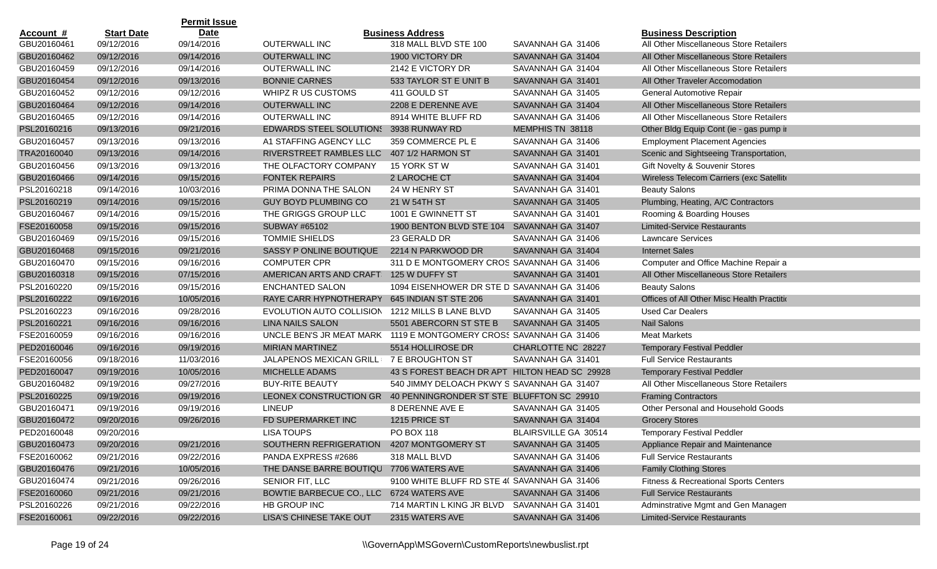| <b>Date</b><br><b>Start Date</b><br><b>Business Address</b><br><b>Business Description</b><br>Account #<br>GBU20160461<br>09/12/2016<br>09/14/2016<br><b>OUTERWALL INC</b><br>318 MALL BLVD STE 100<br>All Other Miscellaneous Store Retailers<br>SAVANNAH GA 31406<br>09/12/2016<br>09/14/2016<br><b>OUTERWALL INC</b><br>1900 VICTORY DR<br>SAVANNAH GA 31404<br>All Other Miscellaneous Store Retailers<br>09/12/2016<br>09/14/2016<br><b>OUTERWALL INC</b><br>2142 E VICTORY DR<br>SAVANNAH GA 31404<br>All Other Miscellaneous Store Retailers<br>09/13/2016<br><b>BONNIE CARNES</b><br>All Other Traveler Accomodation<br>09/12/2016<br>533 TAYLOR ST E UNIT B<br>SAVANNAH GA 31401<br>09/12/2016<br>09/12/2016<br>411 GOULD ST<br>WHIPZ R US CUSTOMS<br>SAVANNAH GA 31405<br>General Automotive Repair<br><b>OUTERWALL INC</b><br>2208 E DERENNE AVE<br>09/12/2016<br>09/14/2016<br>SAVANNAH GA 31404<br>All Other Miscellaneous Store Retailers<br>GBU20160465<br>09/12/2016<br>09/14/2016<br><b>OUTERWALL INC</b><br>8914 WHITE BLUFF RD<br>SAVANNAH GA 31406<br>All Other Miscellaneous Store Retailers<br>PSL20160216<br>MEMPHIS TN 38118<br>Other Bldg Equip Cont (ie - gas pump in<br>09/13/2016<br>09/21/2016<br><b>EDWARDS STEEL SOLUTIONS</b><br>3938 RUNWAY RD<br>GBU20160457<br>09/13/2016<br>09/13/2016<br>A1 STAFFING AGENCY LLC<br><b>Employment Placement Agencies</b><br>359 COMMERCE PL E<br>SAVANNAH GA 31406<br>RIVERSTREET RAMBLES LLC<br>407 1/2 HARMON ST<br>SAVANNAH GA 31401<br>Scenic and Sightseeing Transportation,<br>09/13/2016<br>09/14/2016<br>09/13/2016<br>09/13/2016<br>THE OLFACTORY COMPANY<br>SAVANNAH GA 31401<br>Gift Novelty & Souvenir Stores<br>15 YORK ST W<br>09/15/2016<br><b>FONTEK REPAIRS</b><br>2 LAROCHE CT<br>Wireless Telecom Carriers (exc Satellite<br>09/14/2016<br>SAVANNAH GA 31404<br>PSL20160218<br>09/14/2016<br>10/03/2016<br>PRIMA DONNA THE SALON<br>24 W HENRY ST<br>SAVANNAH GA 31401<br><b>Beauty Salons</b><br>PSL20160219<br>09/15/2016<br>Plumbing, Heating, A/C Contractors<br>09/14/2016<br><b>GUY BOYD PLUMBING CO</b><br>21 W 54TH ST<br>SAVANNAH GA 31405<br>GBU20160467<br>09/14/2016<br>09/15/2016<br>1001 E GWINNETT ST<br>SAVANNAH GA 31401<br>Rooming & Boarding Houses<br>THE GRIGGS GROUP LLC<br>FSE20160058<br><b>Limited-Service Restaurants</b><br>09/15/2016<br>09/15/2016<br>SUBWAY #65102<br>1900 BENTON BLVD STE 104 SAVANNAH GA 31407<br>GBU20160469<br>09/15/2016<br>09/15/2016<br><b>TOMMIE SHIELDS</b><br>23 GERALD DR<br>SAVANNAH GA 31406<br><b>Lawncare Services</b><br>09/21/2016<br><b>Internet Sales</b><br>09/15/2016<br>SASSY P ONLINE BOUTIQUE<br>2214 N PARKWOOD DR<br>SAVANNAH GA 31404<br>GBU20160470<br>09/15/2016<br>09/16/2016<br><b>COMPUTER CPR</b><br>311 D E MONTGOMERY CROS SAVANNAH GA 31406<br>Computer and Office Machine Repair a<br>GBU20160318<br>09/15/2016<br>07/15/2016<br>AMERICAN ARTS AND CRAFT<br>125 W DUFFY ST<br>SAVANNAH GA 31401<br>All Other Miscellaneous Store Retailers<br>PSL20160220<br>09/15/2016<br>09/15/2016<br><b>ENCHANTED SALON</b><br>1094 EISENHOWER DR STE D SAVANNAH GA 31406<br><b>Beauty Salons</b><br>PSL20160222<br>RAYE CARR HYPNOTHERAPY<br>645 INDIAN ST STE 206<br>Offices of All Other Misc Health Practitio<br>09/16/2016<br>10/05/2016<br>SAVANNAH GA 31401<br>PSL20160223<br>09/16/2016<br>09/28/2016<br>EVOLUTION AUTO COLLISION<br>1212 MILLS B LANE BLVD<br>SAVANNAH GA 31405<br><b>Used Car Dealers</b><br>PSL20160221<br>09/16/2016<br><b>Nail Salons</b><br>09/16/2016<br>LINA NAILS SALON<br>5501 ABERCORN ST STE B<br>SAVANNAH GA 31405<br>FSE20160059<br>09/16/2016<br>09/16/2016<br>UNCLE BEN'S JR MEAT MARK 1119 E MONTGOMERY CROSS SAVANNAH GA 31406<br><b>Meat Markets</b><br>PED20160046<br>09/16/2016<br>09/19/2016<br><b>MIRIAN MARTINEZ</b><br>5514 HOLLIROSE DR<br>CHARLOTTE NC 28227<br><b>Temporary Festival Peddler</b><br>FSE20160056<br>09/18/2016<br>11/03/2016<br>JALAPENOS MEXICAN GRILL<br>7 E BROUGHTON ST<br>SAVANNAH GA 31401<br><b>Full Service Restaurants</b><br>PED20160047<br>43 S FOREST BEACH DR APT HILTON HEAD SC 29928<br>09/19/2016<br>10/05/2016<br>MICHELLE ADAMS<br><b>Temporary Festival Peddler</b><br>GBU20160482<br>09/27/2016<br>540 JIMMY DELOACH PKWY S SAVANNAH GA 31407<br>All Other Miscellaneous Store Retailers<br>09/19/2016<br><b>BUY-RITE BEAUTY</b><br>PSL20160225<br>09/19/2016<br>40 PENNINGRONDER ST STE BLUFFTON SC 29910<br>09/19/2016<br>LEONEX CONSTRUCTION GR<br><b>Framing Contractors</b><br>GBU20160471<br>09/19/2016<br>09/19/2016<br><b>LINEUP</b><br>8 DERENNE AVE E<br>SAVANNAH GA 31405<br>Other Personal and Household Goods<br>09/20/2016<br>09/26/2016<br>FD SUPERMARKET INC<br>1215 PRICE ST<br>SAVANNAH GA 31404<br><b>Grocery Stores</b><br>PED20160048<br>09/20/2016<br>LISA TOUPS<br>PO BOX 118<br>BLAIRSVILLE GA 30514<br><b>Temporary Festival Peddler</b><br>GBU20160473<br>09/20/2016<br>09/21/2016<br>SOUTHERN REFRIGERATION 4207 MONTGOMERY ST<br>SAVANNAH GA 31405<br>Appliance Repair and Maintenance<br>FSE20160062<br>318 MALL BLVD<br><b>Full Service Restaurants</b><br>09/21/2016<br>09/22/2016<br>PANDA EXPRESS #2686<br>SAVANNAH GA 31406<br>10/05/2016<br>THE DANSE BARRE BOUTIQU 7706 WATERS AVE<br>SAVANNAH GA 31406<br><b>Family Clothing Stores</b><br>09/21/2016<br>Fitness & Recreational Sports Centers<br>09/21/2016<br>09/26/2016<br>SENIOR FIT, LLC<br>9100 WHITE BLUFF RD STE 4( SAVANNAH GA 31406<br>FSE20160060<br><b>Full Service Restaurants</b><br>09/21/2016<br>BOWTIE BARBECUE CO., LLC 6724 WATERS AVE<br>SAVANNAH GA 31406<br>09/21/2016<br>PSL20160226<br>HB GROUP INC<br>714 MARTIN L KING JR BLVD<br>SAVANNAH GA 31401<br>Adminstrative Mgmt and Gen Managen<br>09/21/2016<br>09/22/2016 |             |            | <b>Permit Issue</b> |                                |                 |                   |                                    |
|-------------------------------------------------------------------------------------------------------------------------------------------------------------------------------------------------------------------------------------------------------------------------------------------------------------------------------------------------------------------------------------------------------------------------------------------------------------------------------------------------------------------------------------------------------------------------------------------------------------------------------------------------------------------------------------------------------------------------------------------------------------------------------------------------------------------------------------------------------------------------------------------------------------------------------------------------------------------------------------------------------------------------------------------------------------------------------------------------------------------------------------------------------------------------------------------------------------------------------------------------------------------------------------------------------------------------------------------------------------------------------------------------------------------------------------------------------------------------------------------------------------------------------------------------------------------------------------------------------------------------------------------------------------------------------------------------------------------------------------------------------------------------------------------------------------------------------------------------------------------------------------------------------------------------------------------------------------------------------------------------------------------------------------------------------------------------------------------------------------------------------------------------------------------------------------------------------------------------------------------------------------------------------------------------------------------------------------------------------------------------------------------------------------------------------------------------------------------------------------------------------------------------------------------------------------------------------------------------------------------------------------------------------------------------------------------------------------------------------------------------------------------------------------------------------------------------------------------------------------------------------------------------------------------------------------------------------------------------------------------------------------------------------------------------------------------------------------------------------------------------------------------------------------------------------------------------------------------------------------------------------------------------------------------------------------------------------------------------------------------------------------------------------------------------------------------------------------------------------------------------------------------------------------------------------------------------------------------------------------------------------------------------------------------------------------------------------------------------------------------------------------------------------------------------------------------------------------------------------------------------------------------------------------------------------------------------------------------------------------------------------------------------------------------------------------------------------------------------------------------------------------------------------------------------------------------------------------------------------------------------------------------------------------------------------------------------------------------------------------------------------------------------------------------------------------------------------------------------------------------------------------------------------------------------------------------------------------------------------------------------------------------------------------------------------------------------------------------------------------------------------------------------------------------------------------------------------------------------------------------------------------------------------------------------------------------------------------------------------------------------------------------------------------------------------------------------------------------------------------------------------------------------------------------------------------------------------------------------------------------------------------------------------------------------------------------------------------------------------------------------------------------------------------------------------------------------------------------------------------------------------------------------------------------------------------------------------------------------------------------------------------------------------------------------------------------------------------------------------------------------------------------------------------------|-------------|------------|---------------------|--------------------------------|-----------------|-------------------|------------------------------------|
|                                                                                                                                                                                                                                                                                                                                                                                                                                                                                                                                                                                                                                                                                                                                                                                                                                                                                                                                                                                                                                                                                                                                                                                                                                                                                                                                                                                                                                                                                                                                                                                                                                                                                                                                                                                                                                                                                                                                                                                                                                                                                                                                                                                                                                                                                                                                                                                                                                                                                                                                                                                                                                                                                                                                                                                                                                                                                                                                                                                                                                                                                                                                                                                                                                                                                                                                                                                                                                                                                                                                                                                                                                                                                                                                                                                                                                                                                                                                                                                                                                                                                                                                                                                                                                                                                                                                                                                                                                                                                                                                                                                                                                                                                                                                                                                                                                                                                                                                                                                                                                                                                                                                                                                                                                                                                                                                                                                                                                                                                                                                                                                                                                                                                                                                                                                           |             |            |                     |                                |                 |                   |                                    |
|                                                                                                                                                                                                                                                                                                                                                                                                                                                                                                                                                                                                                                                                                                                                                                                                                                                                                                                                                                                                                                                                                                                                                                                                                                                                                                                                                                                                                                                                                                                                                                                                                                                                                                                                                                                                                                                                                                                                                                                                                                                                                                                                                                                                                                                                                                                                                                                                                                                                                                                                                                                                                                                                                                                                                                                                                                                                                                                                                                                                                                                                                                                                                                                                                                                                                                                                                                                                                                                                                                                                                                                                                                                                                                                                                                                                                                                                                                                                                                                                                                                                                                                                                                                                                                                                                                                                                                                                                                                                                                                                                                                                                                                                                                                                                                                                                                                                                                                                                                                                                                                                                                                                                                                                                                                                                                                                                                                                                                                                                                                                                                                                                                                                                                                                                                                           |             |            |                     |                                |                 |                   |                                    |
|                                                                                                                                                                                                                                                                                                                                                                                                                                                                                                                                                                                                                                                                                                                                                                                                                                                                                                                                                                                                                                                                                                                                                                                                                                                                                                                                                                                                                                                                                                                                                                                                                                                                                                                                                                                                                                                                                                                                                                                                                                                                                                                                                                                                                                                                                                                                                                                                                                                                                                                                                                                                                                                                                                                                                                                                                                                                                                                                                                                                                                                                                                                                                                                                                                                                                                                                                                                                                                                                                                                                                                                                                                                                                                                                                                                                                                                                                                                                                                                                                                                                                                                                                                                                                                                                                                                                                                                                                                                                                                                                                                                                                                                                                                                                                                                                                                                                                                                                                                                                                                                                                                                                                                                                                                                                                                                                                                                                                                                                                                                                                                                                                                                                                                                                                                                           | GBU20160462 |            |                     |                                |                 |                   |                                    |
|                                                                                                                                                                                                                                                                                                                                                                                                                                                                                                                                                                                                                                                                                                                                                                                                                                                                                                                                                                                                                                                                                                                                                                                                                                                                                                                                                                                                                                                                                                                                                                                                                                                                                                                                                                                                                                                                                                                                                                                                                                                                                                                                                                                                                                                                                                                                                                                                                                                                                                                                                                                                                                                                                                                                                                                                                                                                                                                                                                                                                                                                                                                                                                                                                                                                                                                                                                                                                                                                                                                                                                                                                                                                                                                                                                                                                                                                                                                                                                                                                                                                                                                                                                                                                                                                                                                                                                                                                                                                                                                                                                                                                                                                                                                                                                                                                                                                                                                                                                                                                                                                                                                                                                                                                                                                                                                                                                                                                                                                                                                                                                                                                                                                                                                                                                                           | GBU20160459 |            |                     |                                |                 |                   |                                    |
|                                                                                                                                                                                                                                                                                                                                                                                                                                                                                                                                                                                                                                                                                                                                                                                                                                                                                                                                                                                                                                                                                                                                                                                                                                                                                                                                                                                                                                                                                                                                                                                                                                                                                                                                                                                                                                                                                                                                                                                                                                                                                                                                                                                                                                                                                                                                                                                                                                                                                                                                                                                                                                                                                                                                                                                                                                                                                                                                                                                                                                                                                                                                                                                                                                                                                                                                                                                                                                                                                                                                                                                                                                                                                                                                                                                                                                                                                                                                                                                                                                                                                                                                                                                                                                                                                                                                                                                                                                                                                                                                                                                                                                                                                                                                                                                                                                                                                                                                                                                                                                                                                                                                                                                                                                                                                                                                                                                                                                                                                                                                                                                                                                                                                                                                                                                           | GBU20160454 |            |                     |                                |                 |                   |                                    |
|                                                                                                                                                                                                                                                                                                                                                                                                                                                                                                                                                                                                                                                                                                                                                                                                                                                                                                                                                                                                                                                                                                                                                                                                                                                                                                                                                                                                                                                                                                                                                                                                                                                                                                                                                                                                                                                                                                                                                                                                                                                                                                                                                                                                                                                                                                                                                                                                                                                                                                                                                                                                                                                                                                                                                                                                                                                                                                                                                                                                                                                                                                                                                                                                                                                                                                                                                                                                                                                                                                                                                                                                                                                                                                                                                                                                                                                                                                                                                                                                                                                                                                                                                                                                                                                                                                                                                                                                                                                                                                                                                                                                                                                                                                                                                                                                                                                                                                                                                                                                                                                                                                                                                                                                                                                                                                                                                                                                                                                                                                                                                                                                                                                                                                                                                                                           | GBU20160452 |            |                     |                                |                 |                   |                                    |
|                                                                                                                                                                                                                                                                                                                                                                                                                                                                                                                                                                                                                                                                                                                                                                                                                                                                                                                                                                                                                                                                                                                                                                                                                                                                                                                                                                                                                                                                                                                                                                                                                                                                                                                                                                                                                                                                                                                                                                                                                                                                                                                                                                                                                                                                                                                                                                                                                                                                                                                                                                                                                                                                                                                                                                                                                                                                                                                                                                                                                                                                                                                                                                                                                                                                                                                                                                                                                                                                                                                                                                                                                                                                                                                                                                                                                                                                                                                                                                                                                                                                                                                                                                                                                                                                                                                                                                                                                                                                                                                                                                                                                                                                                                                                                                                                                                                                                                                                                                                                                                                                                                                                                                                                                                                                                                                                                                                                                                                                                                                                                                                                                                                                                                                                                                                           | GBU20160464 |            |                     |                                |                 |                   |                                    |
|                                                                                                                                                                                                                                                                                                                                                                                                                                                                                                                                                                                                                                                                                                                                                                                                                                                                                                                                                                                                                                                                                                                                                                                                                                                                                                                                                                                                                                                                                                                                                                                                                                                                                                                                                                                                                                                                                                                                                                                                                                                                                                                                                                                                                                                                                                                                                                                                                                                                                                                                                                                                                                                                                                                                                                                                                                                                                                                                                                                                                                                                                                                                                                                                                                                                                                                                                                                                                                                                                                                                                                                                                                                                                                                                                                                                                                                                                                                                                                                                                                                                                                                                                                                                                                                                                                                                                                                                                                                                                                                                                                                                                                                                                                                                                                                                                                                                                                                                                                                                                                                                                                                                                                                                                                                                                                                                                                                                                                                                                                                                                                                                                                                                                                                                                                                           |             |            |                     |                                |                 |                   |                                    |
|                                                                                                                                                                                                                                                                                                                                                                                                                                                                                                                                                                                                                                                                                                                                                                                                                                                                                                                                                                                                                                                                                                                                                                                                                                                                                                                                                                                                                                                                                                                                                                                                                                                                                                                                                                                                                                                                                                                                                                                                                                                                                                                                                                                                                                                                                                                                                                                                                                                                                                                                                                                                                                                                                                                                                                                                                                                                                                                                                                                                                                                                                                                                                                                                                                                                                                                                                                                                                                                                                                                                                                                                                                                                                                                                                                                                                                                                                                                                                                                                                                                                                                                                                                                                                                                                                                                                                                                                                                                                                                                                                                                                                                                                                                                                                                                                                                                                                                                                                                                                                                                                                                                                                                                                                                                                                                                                                                                                                                                                                                                                                                                                                                                                                                                                                                                           |             |            |                     |                                |                 |                   |                                    |
|                                                                                                                                                                                                                                                                                                                                                                                                                                                                                                                                                                                                                                                                                                                                                                                                                                                                                                                                                                                                                                                                                                                                                                                                                                                                                                                                                                                                                                                                                                                                                                                                                                                                                                                                                                                                                                                                                                                                                                                                                                                                                                                                                                                                                                                                                                                                                                                                                                                                                                                                                                                                                                                                                                                                                                                                                                                                                                                                                                                                                                                                                                                                                                                                                                                                                                                                                                                                                                                                                                                                                                                                                                                                                                                                                                                                                                                                                                                                                                                                                                                                                                                                                                                                                                                                                                                                                                                                                                                                                                                                                                                                                                                                                                                                                                                                                                                                                                                                                                                                                                                                                                                                                                                                                                                                                                                                                                                                                                                                                                                                                                                                                                                                                                                                                                                           |             |            |                     |                                |                 |                   |                                    |
|                                                                                                                                                                                                                                                                                                                                                                                                                                                                                                                                                                                                                                                                                                                                                                                                                                                                                                                                                                                                                                                                                                                                                                                                                                                                                                                                                                                                                                                                                                                                                                                                                                                                                                                                                                                                                                                                                                                                                                                                                                                                                                                                                                                                                                                                                                                                                                                                                                                                                                                                                                                                                                                                                                                                                                                                                                                                                                                                                                                                                                                                                                                                                                                                                                                                                                                                                                                                                                                                                                                                                                                                                                                                                                                                                                                                                                                                                                                                                                                                                                                                                                                                                                                                                                                                                                                                                                                                                                                                                                                                                                                                                                                                                                                                                                                                                                                                                                                                                                                                                                                                                                                                                                                                                                                                                                                                                                                                                                                                                                                                                                                                                                                                                                                                                                                           | TRA20160040 |            |                     |                                |                 |                   |                                    |
|                                                                                                                                                                                                                                                                                                                                                                                                                                                                                                                                                                                                                                                                                                                                                                                                                                                                                                                                                                                                                                                                                                                                                                                                                                                                                                                                                                                                                                                                                                                                                                                                                                                                                                                                                                                                                                                                                                                                                                                                                                                                                                                                                                                                                                                                                                                                                                                                                                                                                                                                                                                                                                                                                                                                                                                                                                                                                                                                                                                                                                                                                                                                                                                                                                                                                                                                                                                                                                                                                                                                                                                                                                                                                                                                                                                                                                                                                                                                                                                                                                                                                                                                                                                                                                                                                                                                                                                                                                                                                                                                                                                                                                                                                                                                                                                                                                                                                                                                                                                                                                                                                                                                                                                                                                                                                                                                                                                                                                                                                                                                                                                                                                                                                                                                                                                           | GBU20160456 |            |                     |                                |                 |                   |                                    |
|                                                                                                                                                                                                                                                                                                                                                                                                                                                                                                                                                                                                                                                                                                                                                                                                                                                                                                                                                                                                                                                                                                                                                                                                                                                                                                                                                                                                                                                                                                                                                                                                                                                                                                                                                                                                                                                                                                                                                                                                                                                                                                                                                                                                                                                                                                                                                                                                                                                                                                                                                                                                                                                                                                                                                                                                                                                                                                                                                                                                                                                                                                                                                                                                                                                                                                                                                                                                                                                                                                                                                                                                                                                                                                                                                                                                                                                                                                                                                                                                                                                                                                                                                                                                                                                                                                                                                                                                                                                                                                                                                                                                                                                                                                                                                                                                                                                                                                                                                                                                                                                                                                                                                                                                                                                                                                                                                                                                                                                                                                                                                                                                                                                                                                                                                                                           | GBU20160466 |            |                     |                                |                 |                   |                                    |
|                                                                                                                                                                                                                                                                                                                                                                                                                                                                                                                                                                                                                                                                                                                                                                                                                                                                                                                                                                                                                                                                                                                                                                                                                                                                                                                                                                                                                                                                                                                                                                                                                                                                                                                                                                                                                                                                                                                                                                                                                                                                                                                                                                                                                                                                                                                                                                                                                                                                                                                                                                                                                                                                                                                                                                                                                                                                                                                                                                                                                                                                                                                                                                                                                                                                                                                                                                                                                                                                                                                                                                                                                                                                                                                                                                                                                                                                                                                                                                                                                                                                                                                                                                                                                                                                                                                                                                                                                                                                                                                                                                                                                                                                                                                                                                                                                                                                                                                                                                                                                                                                                                                                                                                                                                                                                                                                                                                                                                                                                                                                                                                                                                                                                                                                                                                           |             |            |                     |                                |                 |                   |                                    |
|                                                                                                                                                                                                                                                                                                                                                                                                                                                                                                                                                                                                                                                                                                                                                                                                                                                                                                                                                                                                                                                                                                                                                                                                                                                                                                                                                                                                                                                                                                                                                                                                                                                                                                                                                                                                                                                                                                                                                                                                                                                                                                                                                                                                                                                                                                                                                                                                                                                                                                                                                                                                                                                                                                                                                                                                                                                                                                                                                                                                                                                                                                                                                                                                                                                                                                                                                                                                                                                                                                                                                                                                                                                                                                                                                                                                                                                                                                                                                                                                                                                                                                                                                                                                                                                                                                                                                                                                                                                                                                                                                                                                                                                                                                                                                                                                                                                                                                                                                                                                                                                                                                                                                                                                                                                                                                                                                                                                                                                                                                                                                                                                                                                                                                                                                                                           |             |            |                     |                                |                 |                   |                                    |
|                                                                                                                                                                                                                                                                                                                                                                                                                                                                                                                                                                                                                                                                                                                                                                                                                                                                                                                                                                                                                                                                                                                                                                                                                                                                                                                                                                                                                                                                                                                                                                                                                                                                                                                                                                                                                                                                                                                                                                                                                                                                                                                                                                                                                                                                                                                                                                                                                                                                                                                                                                                                                                                                                                                                                                                                                                                                                                                                                                                                                                                                                                                                                                                                                                                                                                                                                                                                                                                                                                                                                                                                                                                                                                                                                                                                                                                                                                                                                                                                                                                                                                                                                                                                                                                                                                                                                                                                                                                                                                                                                                                                                                                                                                                                                                                                                                                                                                                                                                                                                                                                                                                                                                                                                                                                                                                                                                                                                                                                                                                                                                                                                                                                                                                                                                                           |             |            |                     |                                |                 |                   |                                    |
|                                                                                                                                                                                                                                                                                                                                                                                                                                                                                                                                                                                                                                                                                                                                                                                                                                                                                                                                                                                                                                                                                                                                                                                                                                                                                                                                                                                                                                                                                                                                                                                                                                                                                                                                                                                                                                                                                                                                                                                                                                                                                                                                                                                                                                                                                                                                                                                                                                                                                                                                                                                                                                                                                                                                                                                                                                                                                                                                                                                                                                                                                                                                                                                                                                                                                                                                                                                                                                                                                                                                                                                                                                                                                                                                                                                                                                                                                                                                                                                                                                                                                                                                                                                                                                                                                                                                                                                                                                                                                                                                                                                                                                                                                                                                                                                                                                                                                                                                                                                                                                                                                                                                                                                                                                                                                                                                                                                                                                                                                                                                                                                                                                                                                                                                                                                           |             |            |                     |                                |                 |                   |                                    |
|                                                                                                                                                                                                                                                                                                                                                                                                                                                                                                                                                                                                                                                                                                                                                                                                                                                                                                                                                                                                                                                                                                                                                                                                                                                                                                                                                                                                                                                                                                                                                                                                                                                                                                                                                                                                                                                                                                                                                                                                                                                                                                                                                                                                                                                                                                                                                                                                                                                                                                                                                                                                                                                                                                                                                                                                                                                                                                                                                                                                                                                                                                                                                                                                                                                                                                                                                                                                                                                                                                                                                                                                                                                                                                                                                                                                                                                                                                                                                                                                                                                                                                                                                                                                                                                                                                                                                                                                                                                                                                                                                                                                                                                                                                                                                                                                                                                                                                                                                                                                                                                                                                                                                                                                                                                                                                                                                                                                                                                                                                                                                                                                                                                                                                                                                                                           |             |            |                     |                                |                 |                   |                                    |
|                                                                                                                                                                                                                                                                                                                                                                                                                                                                                                                                                                                                                                                                                                                                                                                                                                                                                                                                                                                                                                                                                                                                                                                                                                                                                                                                                                                                                                                                                                                                                                                                                                                                                                                                                                                                                                                                                                                                                                                                                                                                                                                                                                                                                                                                                                                                                                                                                                                                                                                                                                                                                                                                                                                                                                                                                                                                                                                                                                                                                                                                                                                                                                                                                                                                                                                                                                                                                                                                                                                                                                                                                                                                                                                                                                                                                                                                                                                                                                                                                                                                                                                                                                                                                                                                                                                                                                                                                                                                                                                                                                                                                                                                                                                                                                                                                                                                                                                                                                                                                                                                                                                                                                                                                                                                                                                                                                                                                                                                                                                                                                                                                                                                                                                                                                                           | GBU20160468 |            |                     |                                |                 |                   |                                    |
|                                                                                                                                                                                                                                                                                                                                                                                                                                                                                                                                                                                                                                                                                                                                                                                                                                                                                                                                                                                                                                                                                                                                                                                                                                                                                                                                                                                                                                                                                                                                                                                                                                                                                                                                                                                                                                                                                                                                                                                                                                                                                                                                                                                                                                                                                                                                                                                                                                                                                                                                                                                                                                                                                                                                                                                                                                                                                                                                                                                                                                                                                                                                                                                                                                                                                                                                                                                                                                                                                                                                                                                                                                                                                                                                                                                                                                                                                                                                                                                                                                                                                                                                                                                                                                                                                                                                                                                                                                                                                                                                                                                                                                                                                                                                                                                                                                                                                                                                                                                                                                                                                                                                                                                                                                                                                                                                                                                                                                                                                                                                                                                                                                                                                                                                                                                           |             |            |                     |                                |                 |                   |                                    |
|                                                                                                                                                                                                                                                                                                                                                                                                                                                                                                                                                                                                                                                                                                                                                                                                                                                                                                                                                                                                                                                                                                                                                                                                                                                                                                                                                                                                                                                                                                                                                                                                                                                                                                                                                                                                                                                                                                                                                                                                                                                                                                                                                                                                                                                                                                                                                                                                                                                                                                                                                                                                                                                                                                                                                                                                                                                                                                                                                                                                                                                                                                                                                                                                                                                                                                                                                                                                                                                                                                                                                                                                                                                                                                                                                                                                                                                                                                                                                                                                                                                                                                                                                                                                                                                                                                                                                                                                                                                                                                                                                                                                                                                                                                                                                                                                                                                                                                                                                                                                                                                                                                                                                                                                                                                                                                                                                                                                                                                                                                                                                                                                                                                                                                                                                                                           |             |            |                     |                                |                 |                   |                                    |
|                                                                                                                                                                                                                                                                                                                                                                                                                                                                                                                                                                                                                                                                                                                                                                                                                                                                                                                                                                                                                                                                                                                                                                                                                                                                                                                                                                                                                                                                                                                                                                                                                                                                                                                                                                                                                                                                                                                                                                                                                                                                                                                                                                                                                                                                                                                                                                                                                                                                                                                                                                                                                                                                                                                                                                                                                                                                                                                                                                                                                                                                                                                                                                                                                                                                                                                                                                                                                                                                                                                                                                                                                                                                                                                                                                                                                                                                                                                                                                                                                                                                                                                                                                                                                                                                                                                                                                                                                                                                                                                                                                                                                                                                                                                                                                                                                                                                                                                                                                                                                                                                                                                                                                                                                                                                                                                                                                                                                                                                                                                                                                                                                                                                                                                                                                                           |             |            |                     |                                |                 |                   |                                    |
|                                                                                                                                                                                                                                                                                                                                                                                                                                                                                                                                                                                                                                                                                                                                                                                                                                                                                                                                                                                                                                                                                                                                                                                                                                                                                                                                                                                                                                                                                                                                                                                                                                                                                                                                                                                                                                                                                                                                                                                                                                                                                                                                                                                                                                                                                                                                                                                                                                                                                                                                                                                                                                                                                                                                                                                                                                                                                                                                                                                                                                                                                                                                                                                                                                                                                                                                                                                                                                                                                                                                                                                                                                                                                                                                                                                                                                                                                                                                                                                                                                                                                                                                                                                                                                                                                                                                                                                                                                                                                                                                                                                                                                                                                                                                                                                                                                                                                                                                                                                                                                                                                                                                                                                                                                                                                                                                                                                                                                                                                                                                                                                                                                                                                                                                                                                           |             |            |                     |                                |                 |                   |                                    |
|                                                                                                                                                                                                                                                                                                                                                                                                                                                                                                                                                                                                                                                                                                                                                                                                                                                                                                                                                                                                                                                                                                                                                                                                                                                                                                                                                                                                                                                                                                                                                                                                                                                                                                                                                                                                                                                                                                                                                                                                                                                                                                                                                                                                                                                                                                                                                                                                                                                                                                                                                                                                                                                                                                                                                                                                                                                                                                                                                                                                                                                                                                                                                                                                                                                                                                                                                                                                                                                                                                                                                                                                                                                                                                                                                                                                                                                                                                                                                                                                                                                                                                                                                                                                                                                                                                                                                                                                                                                                                                                                                                                                                                                                                                                                                                                                                                                                                                                                                                                                                                                                                                                                                                                                                                                                                                                                                                                                                                                                                                                                                                                                                                                                                                                                                                                           |             |            |                     |                                |                 |                   |                                    |
|                                                                                                                                                                                                                                                                                                                                                                                                                                                                                                                                                                                                                                                                                                                                                                                                                                                                                                                                                                                                                                                                                                                                                                                                                                                                                                                                                                                                                                                                                                                                                                                                                                                                                                                                                                                                                                                                                                                                                                                                                                                                                                                                                                                                                                                                                                                                                                                                                                                                                                                                                                                                                                                                                                                                                                                                                                                                                                                                                                                                                                                                                                                                                                                                                                                                                                                                                                                                                                                                                                                                                                                                                                                                                                                                                                                                                                                                                                                                                                                                                                                                                                                                                                                                                                                                                                                                                                                                                                                                                                                                                                                                                                                                                                                                                                                                                                                                                                                                                                                                                                                                                                                                                                                                                                                                                                                                                                                                                                                                                                                                                                                                                                                                                                                                                                                           |             |            |                     |                                |                 |                   |                                    |
|                                                                                                                                                                                                                                                                                                                                                                                                                                                                                                                                                                                                                                                                                                                                                                                                                                                                                                                                                                                                                                                                                                                                                                                                                                                                                                                                                                                                                                                                                                                                                                                                                                                                                                                                                                                                                                                                                                                                                                                                                                                                                                                                                                                                                                                                                                                                                                                                                                                                                                                                                                                                                                                                                                                                                                                                                                                                                                                                                                                                                                                                                                                                                                                                                                                                                                                                                                                                                                                                                                                                                                                                                                                                                                                                                                                                                                                                                                                                                                                                                                                                                                                                                                                                                                                                                                                                                                                                                                                                                                                                                                                                                                                                                                                                                                                                                                                                                                                                                                                                                                                                                                                                                                                                                                                                                                                                                                                                                                                                                                                                                                                                                                                                                                                                                                                           |             |            |                     |                                |                 |                   |                                    |
|                                                                                                                                                                                                                                                                                                                                                                                                                                                                                                                                                                                                                                                                                                                                                                                                                                                                                                                                                                                                                                                                                                                                                                                                                                                                                                                                                                                                                                                                                                                                                                                                                                                                                                                                                                                                                                                                                                                                                                                                                                                                                                                                                                                                                                                                                                                                                                                                                                                                                                                                                                                                                                                                                                                                                                                                                                                                                                                                                                                                                                                                                                                                                                                                                                                                                                                                                                                                                                                                                                                                                                                                                                                                                                                                                                                                                                                                                                                                                                                                                                                                                                                                                                                                                                                                                                                                                                                                                                                                                                                                                                                                                                                                                                                                                                                                                                                                                                                                                                                                                                                                                                                                                                                                                                                                                                                                                                                                                                                                                                                                                                                                                                                                                                                                                                                           |             |            |                     |                                |                 |                   |                                    |
|                                                                                                                                                                                                                                                                                                                                                                                                                                                                                                                                                                                                                                                                                                                                                                                                                                                                                                                                                                                                                                                                                                                                                                                                                                                                                                                                                                                                                                                                                                                                                                                                                                                                                                                                                                                                                                                                                                                                                                                                                                                                                                                                                                                                                                                                                                                                                                                                                                                                                                                                                                                                                                                                                                                                                                                                                                                                                                                                                                                                                                                                                                                                                                                                                                                                                                                                                                                                                                                                                                                                                                                                                                                                                                                                                                                                                                                                                                                                                                                                                                                                                                                                                                                                                                                                                                                                                                                                                                                                                                                                                                                                                                                                                                                                                                                                                                                                                                                                                                                                                                                                                                                                                                                                                                                                                                                                                                                                                                                                                                                                                                                                                                                                                                                                                                                           |             |            |                     |                                |                 |                   |                                    |
|                                                                                                                                                                                                                                                                                                                                                                                                                                                                                                                                                                                                                                                                                                                                                                                                                                                                                                                                                                                                                                                                                                                                                                                                                                                                                                                                                                                                                                                                                                                                                                                                                                                                                                                                                                                                                                                                                                                                                                                                                                                                                                                                                                                                                                                                                                                                                                                                                                                                                                                                                                                                                                                                                                                                                                                                                                                                                                                                                                                                                                                                                                                                                                                                                                                                                                                                                                                                                                                                                                                                                                                                                                                                                                                                                                                                                                                                                                                                                                                                                                                                                                                                                                                                                                                                                                                                                                                                                                                                                                                                                                                                                                                                                                                                                                                                                                                                                                                                                                                                                                                                                                                                                                                                                                                                                                                                                                                                                                                                                                                                                                                                                                                                                                                                                                                           |             |            |                     |                                |                 |                   |                                    |
|                                                                                                                                                                                                                                                                                                                                                                                                                                                                                                                                                                                                                                                                                                                                                                                                                                                                                                                                                                                                                                                                                                                                                                                                                                                                                                                                                                                                                                                                                                                                                                                                                                                                                                                                                                                                                                                                                                                                                                                                                                                                                                                                                                                                                                                                                                                                                                                                                                                                                                                                                                                                                                                                                                                                                                                                                                                                                                                                                                                                                                                                                                                                                                                                                                                                                                                                                                                                                                                                                                                                                                                                                                                                                                                                                                                                                                                                                                                                                                                                                                                                                                                                                                                                                                                                                                                                                                                                                                                                                                                                                                                                                                                                                                                                                                                                                                                                                                                                                                                                                                                                                                                                                                                                                                                                                                                                                                                                                                                                                                                                                                                                                                                                                                                                                                                           |             |            |                     |                                |                 |                   |                                    |
|                                                                                                                                                                                                                                                                                                                                                                                                                                                                                                                                                                                                                                                                                                                                                                                                                                                                                                                                                                                                                                                                                                                                                                                                                                                                                                                                                                                                                                                                                                                                                                                                                                                                                                                                                                                                                                                                                                                                                                                                                                                                                                                                                                                                                                                                                                                                                                                                                                                                                                                                                                                                                                                                                                                                                                                                                                                                                                                                                                                                                                                                                                                                                                                                                                                                                                                                                                                                                                                                                                                                                                                                                                                                                                                                                                                                                                                                                                                                                                                                                                                                                                                                                                                                                                                                                                                                                                                                                                                                                                                                                                                                                                                                                                                                                                                                                                                                                                                                                                                                                                                                                                                                                                                                                                                                                                                                                                                                                                                                                                                                                                                                                                                                                                                                                                                           |             |            |                     |                                |                 |                   |                                    |
|                                                                                                                                                                                                                                                                                                                                                                                                                                                                                                                                                                                                                                                                                                                                                                                                                                                                                                                                                                                                                                                                                                                                                                                                                                                                                                                                                                                                                                                                                                                                                                                                                                                                                                                                                                                                                                                                                                                                                                                                                                                                                                                                                                                                                                                                                                                                                                                                                                                                                                                                                                                                                                                                                                                                                                                                                                                                                                                                                                                                                                                                                                                                                                                                                                                                                                                                                                                                                                                                                                                                                                                                                                                                                                                                                                                                                                                                                                                                                                                                                                                                                                                                                                                                                                                                                                                                                                                                                                                                                                                                                                                                                                                                                                                                                                                                                                                                                                                                                                                                                                                                                                                                                                                                                                                                                                                                                                                                                                                                                                                                                                                                                                                                                                                                                                                           |             |            |                     |                                |                 |                   |                                    |
|                                                                                                                                                                                                                                                                                                                                                                                                                                                                                                                                                                                                                                                                                                                                                                                                                                                                                                                                                                                                                                                                                                                                                                                                                                                                                                                                                                                                                                                                                                                                                                                                                                                                                                                                                                                                                                                                                                                                                                                                                                                                                                                                                                                                                                                                                                                                                                                                                                                                                                                                                                                                                                                                                                                                                                                                                                                                                                                                                                                                                                                                                                                                                                                                                                                                                                                                                                                                                                                                                                                                                                                                                                                                                                                                                                                                                                                                                                                                                                                                                                                                                                                                                                                                                                                                                                                                                                                                                                                                                                                                                                                                                                                                                                                                                                                                                                                                                                                                                                                                                                                                                                                                                                                                                                                                                                                                                                                                                                                                                                                                                                                                                                                                                                                                                                                           | GBU20160472 |            |                     |                                |                 |                   |                                    |
|                                                                                                                                                                                                                                                                                                                                                                                                                                                                                                                                                                                                                                                                                                                                                                                                                                                                                                                                                                                                                                                                                                                                                                                                                                                                                                                                                                                                                                                                                                                                                                                                                                                                                                                                                                                                                                                                                                                                                                                                                                                                                                                                                                                                                                                                                                                                                                                                                                                                                                                                                                                                                                                                                                                                                                                                                                                                                                                                                                                                                                                                                                                                                                                                                                                                                                                                                                                                                                                                                                                                                                                                                                                                                                                                                                                                                                                                                                                                                                                                                                                                                                                                                                                                                                                                                                                                                                                                                                                                                                                                                                                                                                                                                                                                                                                                                                                                                                                                                                                                                                                                                                                                                                                                                                                                                                                                                                                                                                                                                                                                                                                                                                                                                                                                                                                           |             |            |                     |                                |                 |                   |                                    |
|                                                                                                                                                                                                                                                                                                                                                                                                                                                                                                                                                                                                                                                                                                                                                                                                                                                                                                                                                                                                                                                                                                                                                                                                                                                                                                                                                                                                                                                                                                                                                                                                                                                                                                                                                                                                                                                                                                                                                                                                                                                                                                                                                                                                                                                                                                                                                                                                                                                                                                                                                                                                                                                                                                                                                                                                                                                                                                                                                                                                                                                                                                                                                                                                                                                                                                                                                                                                                                                                                                                                                                                                                                                                                                                                                                                                                                                                                                                                                                                                                                                                                                                                                                                                                                                                                                                                                                                                                                                                                                                                                                                                                                                                                                                                                                                                                                                                                                                                                                                                                                                                                                                                                                                                                                                                                                                                                                                                                                                                                                                                                                                                                                                                                                                                                                                           |             |            |                     |                                |                 |                   |                                    |
|                                                                                                                                                                                                                                                                                                                                                                                                                                                                                                                                                                                                                                                                                                                                                                                                                                                                                                                                                                                                                                                                                                                                                                                                                                                                                                                                                                                                                                                                                                                                                                                                                                                                                                                                                                                                                                                                                                                                                                                                                                                                                                                                                                                                                                                                                                                                                                                                                                                                                                                                                                                                                                                                                                                                                                                                                                                                                                                                                                                                                                                                                                                                                                                                                                                                                                                                                                                                                                                                                                                                                                                                                                                                                                                                                                                                                                                                                                                                                                                                                                                                                                                                                                                                                                                                                                                                                                                                                                                                                                                                                                                                                                                                                                                                                                                                                                                                                                                                                                                                                                                                                                                                                                                                                                                                                                                                                                                                                                                                                                                                                                                                                                                                                                                                                                                           |             |            |                     |                                |                 |                   |                                    |
|                                                                                                                                                                                                                                                                                                                                                                                                                                                                                                                                                                                                                                                                                                                                                                                                                                                                                                                                                                                                                                                                                                                                                                                                                                                                                                                                                                                                                                                                                                                                                                                                                                                                                                                                                                                                                                                                                                                                                                                                                                                                                                                                                                                                                                                                                                                                                                                                                                                                                                                                                                                                                                                                                                                                                                                                                                                                                                                                                                                                                                                                                                                                                                                                                                                                                                                                                                                                                                                                                                                                                                                                                                                                                                                                                                                                                                                                                                                                                                                                                                                                                                                                                                                                                                                                                                                                                                                                                                                                                                                                                                                                                                                                                                                                                                                                                                                                                                                                                                                                                                                                                                                                                                                                                                                                                                                                                                                                                                                                                                                                                                                                                                                                                                                                                                                           | GBU20160476 |            |                     |                                |                 |                   |                                    |
|                                                                                                                                                                                                                                                                                                                                                                                                                                                                                                                                                                                                                                                                                                                                                                                                                                                                                                                                                                                                                                                                                                                                                                                                                                                                                                                                                                                                                                                                                                                                                                                                                                                                                                                                                                                                                                                                                                                                                                                                                                                                                                                                                                                                                                                                                                                                                                                                                                                                                                                                                                                                                                                                                                                                                                                                                                                                                                                                                                                                                                                                                                                                                                                                                                                                                                                                                                                                                                                                                                                                                                                                                                                                                                                                                                                                                                                                                                                                                                                                                                                                                                                                                                                                                                                                                                                                                                                                                                                                                                                                                                                                                                                                                                                                                                                                                                                                                                                                                                                                                                                                                                                                                                                                                                                                                                                                                                                                                                                                                                                                                                                                                                                                                                                                                                                           | GBU20160474 |            |                     |                                |                 |                   |                                    |
|                                                                                                                                                                                                                                                                                                                                                                                                                                                                                                                                                                                                                                                                                                                                                                                                                                                                                                                                                                                                                                                                                                                                                                                                                                                                                                                                                                                                                                                                                                                                                                                                                                                                                                                                                                                                                                                                                                                                                                                                                                                                                                                                                                                                                                                                                                                                                                                                                                                                                                                                                                                                                                                                                                                                                                                                                                                                                                                                                                                                                                                                                                                                                                                                                                                                                                                                                                                                                                                                                                                                                                                                                                                                                                                                                                                                                                                                                                                                                                                                                                                                                                                                                                                                                                                                                                                                                                                                                                                                                                                                                                                                                                                                                                                                                                                                                                                                                                                                                                                                                                                                                                                                                                                                                                                                                                                                                                                                                                                                                                                                                                                                                                                                                                                                                                                           |             |            |                     |                                |                 |                   |                                    |
|                                                                                                                                                                                                                                                                                                                                                                                                                                                                                                                                                                                                                                                                                                                                                                                                                                                                                                                                                                                                                                                                                                                                                                                                                                                                                                                                                                                                                                                                                                                                                                                                                                                                                                                                                                                                                                                                                                                                                                                                                                                                                                                                                                                                                                                                                                                                                                                                                                                                                                                                                                                                                                                                                                                                                                                                                                                                                                                                                                                                                                                                                                                                                                                                                                                                                                                                                                                                                                                                                                                                                                                                                                                                                                                                                                                                                                                                                                                                                                                                                                                                                                                                                                                                                                                                                                                                                                                                                                                                                                                                                                                                                                                                                                                                                                                                                                                                                                                                                                                                                                                                                                                                                                                                                                                                                                                                                                                                                                                                                                                                                                                                                                                                                                                                                                                           |             |            |                     |                                |                 |                   |                                    |
|                                                                                                                                                                                                                                                                                                                                                                                                                                                                                                                                                                                                                                                                                                                                                                                                                                                                                                                                                                                                                                                                                                                                                                                                                                                                                                                                                                                                                                                                                                                                                                                                                                                                                                                                                                                                                                                                                                                                                                                                                                                                                                                                                                                                                                                                                                                                                                                                                                                                                                                                                                                                                                                                                                                                                                                                                                                                                                                                                                                                                                                                                                                                                                                                                                                                                                                                                                                                                                                                                                                                                                                                                                                                                                                                                                                                                                                                                                                                                                                                                                                                                                                                                                                                                                                                                                                                                                                                                                                                                                                                                                                                                                                                                                                                                                                                                                                                                                                                                                                                                                                                                                                                                                                                                                                                                                                                                                                                                                                                                                                                                                                                                                                                                                                                                                                           | FSE20160061 | 09/22/2016 | 09/22/2016          | <b>LISA'S CHINESE TAKE OUT</b> | 2315 WATERS AVE | SAVANNAH GA 31406 | <b>Limited-Service Restaurants</b> |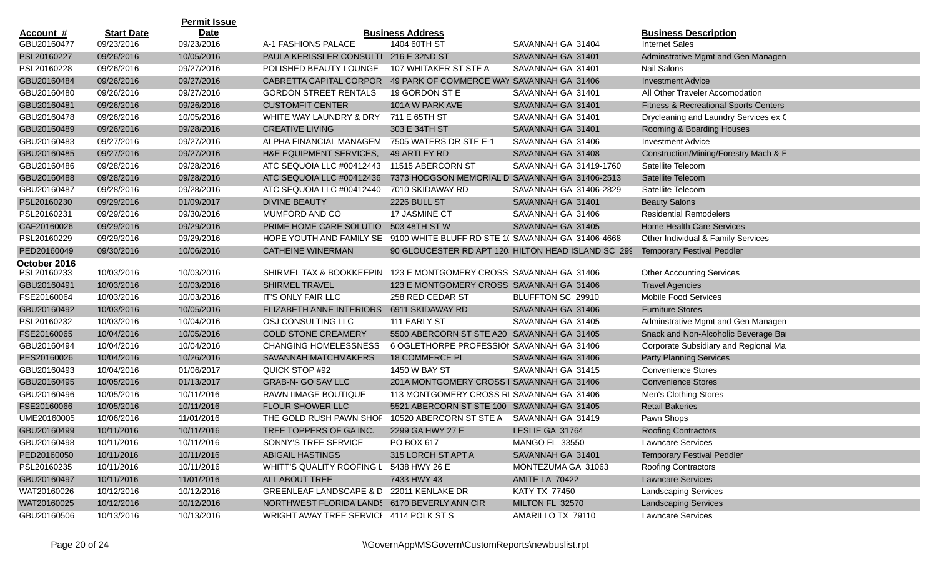|                  |                   | <b>Permit Issue</b> |                                                                            |                                                |                                                    |                                                  |
|------------------|-------------------|---------------------|----------------------------------------------------------------------------|------------------------------------------------|----------------------------------------------------|--------------------------------------------------|
| <u>Account #</u> | <b>Start Date</b> | <b>Date</b>         |                                                                            | <b>Business Address</b>                        |                                                    | <b>Business Description</b>                      |
| GBU20160477      | 09/23/2016        | 09/23/2016          | A-1 FASHIONS PALACE                                                        | 1404 60TH ST                                   | SAVANNAH GA 31404                                  | <b>Internet Sales</b>                            |
| PSL20160227      | 09/26/2016        | 10/05/2016          | PAULA KERISSLER CONSULTI 216 E 32ND ST                                     |                                                | SAVANNAH GA 31401                                  | Adminstrative Mgmt and Gen Managen               |
| PSL20160228      | 09/26/2016        | 09/27/2016          | POLISHED BEAUTY LOUNGE                                                     | 107 WHITAKER ST STE A                          | SAVANNAH GA 31401                                  | Nail Salons                                      |
| GBU20160484      | 09/26/2016        | 09/27/2016          | CABRETTA CAPITAL CORPOR                                                    | 49 PARK OF COMMERCE WAY SAVANNAH GA 31406      |                                                    | <b>Investment Advice</b>                         |
| GBU20160480      | 09/26/2016        | 09/27/2016          | <b>GORDON STREET RENTALS</b>                                               | 19 GORDON ST E                                 | SAVANNAH GA 31401                                  | All Other Traveler Accomodation                  |
| GBU20160481      | 09/26/2016        | 09/26/2016          | <b>CUSTOMFIT CENTER</b>                                                    | 101A W PARK AVE                                | SAVANNAH GA 31401                                  | <b>Fitness &amp; Recreational Sports Centers</b> |
| GBU20160478      | 09/26/2016        | 10/05/2016          | WHITE WAY LAUNDRY & DRY                                                    | 711 E 65TH ST                                  | SAVANNAH GA 31401                                  | Drycleaning and Laundry Services ex C            |
| GBU20160489      | 09/26/2016        | 09/28/2016          | <b>CREATIVE LIVING</b>                                                     | 303 E 34TH ST                                  | SAVANNAH GA 31401                                  | Rooming & Boarding Houses                        |
| GBU20160483      | 09/27/2016        | 09/27/2016          | ALPHA FINANCIAL MANAGEM                                                    | 7505 WATERS DR STE E-1                         | SAVANNAH GA 31406                                  | <b>Investment Advice</b>                         |
| GBU20160485      | 09/27/2016        | 09/27/2016          | H&E EQUIPMENT SERVICES,                                                    | 49 ARTLEY RD                                   | SAVANNAH GA 31408                                  | Construction/Mining/Forestry Mach & E            |
| GBU20160486      | 09/28/2016        | 09/28/2016          | ATC SEQUOIA LLC #00412443                                                  | 11515 ABERCORN ST                              | SAVANNAH GA 31419-1760                             | Satellite Telecom                                |
| GBU20160488      | 09/28/2016        | 09/28/2016          | ATC SEQUOIA LLC #00412436                                                  | 7373 HODGSON MEMORIAL D SAVANNAH GA 31406-2513 |                                                    | Satellite Telecom                                |
| GBU20160487      | 09/28/2016        | 09/28/2016          | ATC SEQUOIA LLC #00412440                                                  | 7010 SKIDAWAY RD                               | SAVANNAH GA 31406-2829                             | Satellite Telecom                                |
| PSL20160230      | 09/29/2016        | 01/09/2017          | <b>DIVINE BEAUTY</b>                                                       | 2226 BULL ST                                   | SAVANNAH GA 31401                                  | <b>Beauty Salons</b>                             |
| PSL20160231      | 09/29/2016        | 09/30/2016          | MUMFORD AND CO                                                             | 17 JASMINE CT                                  | SAVANNAH GA 31406                                  | <b>Residential Remodelers</b>                    |
| CAF20160026      | 09/29/2016        | 09/29/2016          | PRIME HOME CARE SOLUTIO                                                    | 503 48TH ST W                                  | SAVANNAH GA 31405                                  | <b>Home Health Care Services</b>                 |
| PSL20160229      | 09/29/2016        | 09/29/2016          | HOPE YOUTH AND FAMILY SE 9100 WHITE BLUFF RD STE 1( SAVANNAH GA 31406-4668 |                                                |                                                    | Other Individual & Family Services               |
| PED20160049      | 09/30/2016        | 10/06/2016          | <b>CATHEINE WINERMAN</b>                                                   |                                                | 90 GLOUCESTER RD APT 120 HILTON HEAD ISLAND SC 299 | <b>Temporary Festival Peddler</b>                |
| October 2016     |                   |                     |                                                                            |                                                |                                                    |                                                  |
| PSL20160233      | 10/03/2016        | 10/03/2016          | SHIRMEL TAX & BOOKKEEPIN 123 E MONTGOMERY CROSS SAVANNAH GA 31406          |                                                |                                                    | <b>Other Accounting Services</b>                 |
| GBU20160491      | 10/03/2016        | 10/03/2016          | <b>SHIRMEL TRAVEL</b>                                                      | 123 E MONTGOMERY CROSS SAVANNAH GA 31406       |                                                    | <b>Travel Agencies</b>                           |
| FSE20160064      | 10/03/2016        | 10/03/2016          | IT'S ONLY FAIR LLC                                                         | 258 RED CEDAR ST                               | BLUFFTON SC 29910                                  | <b>Mobile Food Services</b>                      |
| GBU20160492      | 10/03/2016        | 10/05/2016          | ELIZABETH ANNE INTERIORS                                                   | 6911 SKIDAWAY RD                               | SAVANNAH GA 31406                                  | <b>Furniture Stores</b>                          |
| PSL20160232      | 10/03/2016        | 10/04/2016          | OSJ CONSULTING LLC                                                         | 111 EARLY ST                                   | SAVANNAH GA 31405                                  | Adminstrative Mgmt and Gen Managen               |
| FSE20160065      | 10/04/2016        | 10/05/2016          | <b>COLD STONE CREAMERY</b>                                                 | 5500 ABERCORN ST STE A20 SAVANNAH GA 31405     |                                                    | Snack and Non-Alcoholic Beverage Bar             |
| GBU20160494      | 10/04/2016        | 10/04/2016          | <b>CHANGING HOMELESSNESS</b>                                               | 6 OGLETHORPE PROFESSIOI SAVANNAH GA 31406      |                                                    | Corporate Subsidiary and Regional Mar            |
| PES20160026      | 10/04/2016        | 10/26/2016          | SAVANNAH MATCHMAKERS                                                       | <b>18 COMMERCE PL</b>                          | SAVANNAH GA 31406                                  | <b>Party Planning Services</b>                   |
| GBU20160493      | 10/04/2016        | 01/06/2017          | QUICK STOP #92                                                             | 1450 W BAY ST                                  | SAVANNAH GA 31415                                  | <b>Convenience Stores</b>                        |
| GBU20160495      | 10/05/2016        | 01/13/2017          | GRAB-N- GO SAV LLC                                                         | 201A MONTGOMERY CROSS I SAVANNAH GA 31406      |                                                    | <b>Convenience Stores</b>                        |
| GBU20160496      | 10/05/2016        | 10/11/2016          | RAWN IIMAGE BOUTIQUE                                                       | 113 MONTGOMERY CROSS RI SAVANNAH GA 31406      |                                                    | Men's Clothing Stores                            |
| FSE20160066      | 10/05/2016        | 10/11/2016          | FLOUR SHOWER LLC                                                           | 5521 ABERCORN ST STE 100 SAVANNAH GA 31405     |                                                    | <b>Retail Bakeries</b>                           |
| UME20160005      | 10/06/2016        | 11/01/2016          | THE GOLD RUSH PAWN SHOF                                                    | 10520 ABERCORN ST STE A                        | SAVANNAH GA 31419                                  | Pawn Shops                                       |
| GBU20160499      | 10/11/2016        | 10/11/2016          | TREE TOPPERS OF GA INC.                                                    | 2299 GA HWY 27 E                               | LESLIE GA 31764                                    | <b>Roofing Contractors</b>                       |
| GBU20160498      | 10/11/2016        | 10/11/2016          | SONNY'S TREE SERVICE                                                       | PO BOX 617                                     | <b>MANGO FL 33550</b>                              | Lawncare Services                                |
| PED20160050      | 10/11/2016        | 10/11/2016          | ABIGAIL HASTINGS                                                           | 315 LORCH ST APT A                             | SAVANNAH GA 31401                                  | <b>Temporary Festival Peddler</b>                |
| PSL20160235      | 10/11/2016        | 10/11/2016          | WHITT'S QUALITY ROOFING L 5438 HWY 26 E                                    |                                                | MONTEZUMA GA 31063                                 | <b>Roofing Contractors</b>                       |
| GBU20160497      | 10/11/2016        | 11/01/2016          | ALL ABOUT TREE                                                             | 7433 HWY 43                                    | <b>AMITE LA 70422</b>                              | <b>Lawncare Services</b>                         |
| WAT20160026      | 10/12/2016        | 10/12/2016          | GREENLEAF LANDSCAPE & D 22011 KENLAKE DR                                   |                                                | <b>KATY TX 77450</b>                               | <b>Landscaping Services</b>                      |
| WAT20160025      | 10/12/2016        | 10/12/2016          | NORTHWEST FLORIDA LAND: 6170 BEVERLY ANN CIR                               |                                                | MILTON FL 32570                                    | <b>Landscaping Services</b>                      |
| GBU20160506      | 10/13/2016        | 10/13/2016          | WRIGHT AWAY TREE SERVICI 4114 POLK ST S                                    |                                                | AMARILLO TX 79110                                  | <b>Lawncare Services</b>                         |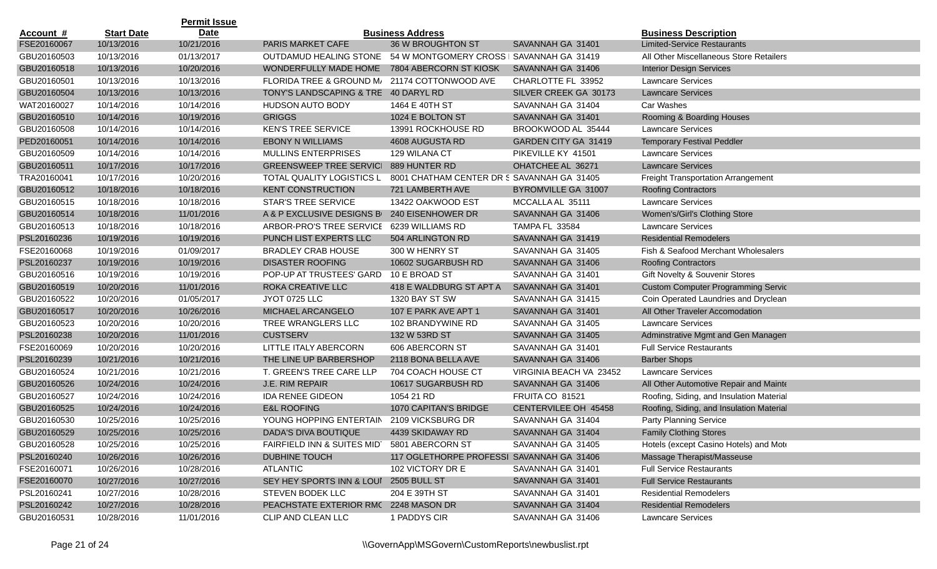|                  |                   | <b>Permit Issue</b> |                                        |                                            |                         |                                           |
|------------------|-------------------|---------------------|----------------------------------------|--------------------------------------------|-------------------------|-------------------------------------------|
| <u>Account #</u> | <b>Start Date</b> | <b>Date</b>         |                                        | <b>Business Address</b>                    |                         | <b>Business Description</b>               |
| FSE20160067      | 10/13/2016        | 10/21/2016          | PARIS MARKET CAFE                      | 36 W BROUGHTON ST                          | SAVANNAH GA 31401       | <b>Limited-Service Restaurants</b>        |
| GBU20160503      | 10/13/2016        | 01/13/2017          | <b>OUTDAMUD HEALING STONE</b>          | 54 W MONTGOMERY CROSS   SAVANNAH GA 31419  |                         | All Other Miscellaneous Store Retailers   |
| GBU20160518      | 10/13/2016        | 10/20/2016          | WONDERFULLY MADE HOME                  | 7804 ABERCORN ST KIOSK                     | SAVANNAH GA 31406       | <b>Interior Design Services</b>           |
| GBU20160501      | 10/13/2016        | 10/13/2016          | FLORIDA TREE & GROUND M/               | 21174 COTTONWOOD AVE                       | CHARLOTTE FL 33952      | Lawncare Services                         |
| GBU20160504      | 10/13/2016        | 10/13/2016          | TONY'S LANDSCAPING & TRE 40 DARYL RD   |                                            | SILVER CREEK GA 30173   | <b>Lawncare Services</b>                  |
| WAT20160027      | 10/14/2016        | 10/14/2016          | <b>HUDSON AUTO BODY</b>                | 1464 E 40TH ST                             | SAVANNAH GA 31404       | Car Washes                                |
| GBU20160510      | 10/14/2016        | 10/19/2016          | <b>GRIGGS</b>                          | 1024 E BOLTON ST                           | SAVANNAH GA 31401       | Rooming & Boarding Houses                 |
| GBU20160508      | 10/14/2016        | 10/14/2016          | <b>KEN'S TREE SERVICE</b>              | 13991 ROCKHOUSE RD                         | BROOKWOOD AL 35444      | <b>Lawncare Services</b>                  |
| PED20160051      | 10/14/2016        | 10/14/2016          | <b>EBONY N WILLIAMS</b>                | 4608 AUGUSTA RD                            | GARDEN CITY GA 31419    | <b>Temporary Festival Peddler</b>         |
| GBU20160509      | 10/14/2016        | 10/14/2016          | <b>MULLINS ENTERPRISES</b>             | 129 WILANA CT                              | PIKEVILLE KY 41501      | <b>Lawncare Services</b>                  |
| GBU20160511      | 10/17/2016        | 10/17/2016          | <b>GREENSWEEP TREE SERVICI</b>         | 889 HUNTER RD                              | OHATCHEE AL 36271       | <b>Lawncare Services</b>                  |
| TRA20160041      | 10/17/2016        | 10/20/2016          | TOTAL QUALITY LOGISTICS LI             | 8001 CHATHAM CENTER DR S SAVANNAH GA 31405 |                         | <b>Freight Transportation Arrangement</b> |
| GBU20160512      | 10/18/2016        | 10/18/2016          | <b>KENT CONSTRUCTION</b>               | 721 LAMBERTH AVE                           | BYROMVILLE GA 31007     | <b>Roofing Contractors</b>                |
| GBU20160515      | 10/18/2016        | 10/18/2016          | STAR'S TREE SERVICE                    | 13422 OAKWOOD EST                          | MCCALLA AL 35111        | Lawncare Services                         |
| GBU20160514      | 10/18/2016        | 11/01/2016          | A & P EXCLUSIVE DESIGNS B              | 240 EISENHOWER DR                          | SAVANNAH GA 31406       | Women's/Girl's Clothing Store             |
| GBU20160513      | 10/18/2016        | 10/18/2016          | ARBOR-PRO'S TREE SERVICE               | 6239 WILLIAMS RD                           | TAMPA FL 33584          | <b>Lawncare Services</b>                  |
| PSL20160236      | 10/19/2016        | 10/19/2016          | PUNCH LIST EXPERTS LLC                 | 504 ARLINGTON RD                           | SAVANNAH GA 31419       | <b>Residential Remodelers</b>             |
| FSE20160068      | 10/19/2016        | 01/09/2017          | <b>BRADLEY CRAB HOUSE</b>              | 300 W HENRY ST                             | SAVANNAH GA 31405       | Fish & Seafood Merchant Wholesalers       |
| PSL20160237      | 10/19/2016        | 10/19/2016          | <b>DISASTER ROOFING</b>                | 10602 SUGARBUSH RD                         | SAVANNAH GA 31406       | <b>Roofing Contractors</b>                |
| GBU20160516      | 10/19/2016        | 10/19/2016          | POP-UP AT TRUSTEES' GARD               | 10 E BROAD ST                              | SAVANNAH GA 31401       | Gift Novelty & Souvenir Stores            |
| GBU20160519      | 10/20/2016        | 11/01/2016          | ROKA CREATIVE LLC                      | 418 E WALDBURG ST APT A                    | SAVANNAH GA 31401       | <b>Custom Computer Programming Servic</b> |
| GBU20160522      | 10/20/2016        | 01/05/2017          | <b>JYOT 0725 LLC</b>                   | 1320 BAY ST SW                             | SAVANNAH GA 31415       | Coin Operated Laundries and Dryclean      |
| GBU20160517      | 10/20/2016        | 10/26/2016          | MICHAEL ARCANGELO                      | 107 E PARK AVE APT 1                       | SAVANNAH GA 31401       | All Other Traveler Accomodation           |
| GBU20160523      | 10/20/2016        | 10/20/2016          | TREE WRANGLERS LLC                     | 102 BRANDYWINE RD                          | SAVANNAH GA 31405       | <b>Lawncare Services</b>                  |
| PSL20160238      | 10/20/2016        | 11/01/2016          | <b>CUSTSERV</b>                        | 132 W 53RD ST                              | SAVANNAH GA 31405       | Adminstrative Mgmt and Gen Managen        |
| FSE20160069      | 10/20/2016        | 10/20/2016          | LITTLE ITALY ABERCORN                  | 606 ABERCORN ST                            | SAVANNAH GA 31401       | <b>Full Service Restaurants</b>           |
| PSL20160239      | 10/21/2016        | 10/21/2016          | THE LINE UP BARBERSHOP                 | 2118 BONA BELLA AVE                        | SAVANNAH GA 31406       | <b>Barber Shops</b>                       |
| GBU20160524      | 10/21/2016        | 10/21/2016          | T. GREEN'S TREE CARE LLP               | 704 COACH HOUSE CT                         | VIRGINIA BEACH VA 23452 | <b>Lawncare Services</b>                  |
| GBU20160526      | 10/24/2016        | 10/24/2016          | J.E. RIM REPAIR                        | 10617 SUGARBUSH RD                         | SAVANNAH GA 31406       | All Other Automotive Repair and Mainte    |
| GBU20160527      | 10/24/2016        | 10/24/2016          | <b>IDA RENEE GIDEON</b>                | 1054 21 RD                                 | FRUITA CO 81521         | Roofing, Siding, and Insulation Material  |
| GBU20160525      | 10/24/2016        | 10/24/2016          | <b>E&amp;L ROOFING</b>                 | 1070 CAPITAN'S BRIDGE                      | CENTERVILEE OH 45458    | Roofing, Siding, and Insulation Material  |
| GBU20160530      | 10/25/2016        | 10/25/2016          | YOUNG HOPPING ENTERTAIN                | 2109 VICKSBURG DR                          | SAVANNAH GA 31404       | Party Planning Service                    |
| GBU20160529      | 10/25/2016        | 10/25/2016          | DADA'S DIVA BOUTIQUE                   | 4439 SKIDAWAY RD                           | SAVANNAH GA 31404       | <b>Family Clothing Stores</b>             |
| GBU20160528      | 10/25/2016        | 10/25/2016          | FAIRFIELD INN & SUITES MIDT            | 5801 ABERCORN ST                           | SAVANNAH GA 31405       | Hotels (except Casino Hotels) and Mote    |
| PSL20160240      | 10/26/2016        | 10/26/2016          | <b>DUBHINE TOUCH</b>                   | 117 OGLETHORPE PROFESSI SAVANNAH GA 31406  |                         | Massage Therapist/Masseuse                |
| FSE20160071      | 10/26/2016        | 10/28/2016          | <b>ATLANTIC</b>                        | 102 VICTORY DR E                           | SAVANNAH GA 31401       | <b>Full Service Restaurants</b>           |
| FSE20160070      | 10/27/2016        | 10/27/2016          | SEY HEY SPORTS INN & LOUI 2505 BULL ST |                                            | SAVANNAH GA 31401       | <b>Full Service Restaurants</b>           |
| PSL20160241      | 10/27/2016        | 10/28/2016          | STEVEN BODEK LLC                       | 204 E 39TH ST                              | SAVANNAH GA 31401       | <b>Residential Remodelers</b>             |
| PSL20160242      | 10/27/2016        | 10/28/2016          | PEACHSTATE EXTERIOR RMC 2248 MASON DR  |                                            | SAVANNAH GA 31404       | <b>Residential Remodelers</b>             |
| GBU20160531      | 10/28/2016        | 11/01/2016          | CLIP AND CLEAN LLC                     | 1 PADDYS CIR                               | SAVANNAH GA 31406       | <b>Lawncare Services</b>                  |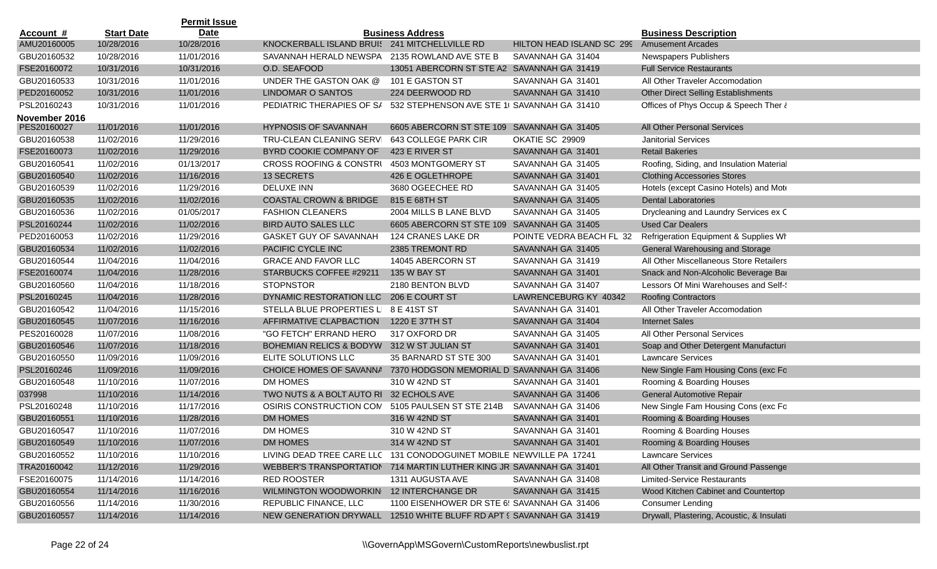|                  |                   | <b>Permit Issue</b> |                                                                     |                                             |                                             |                                            |
|------------------|-------------------|---------------------|---------------------------------------------------------------------|---------------------------------------------|---------------------------------------------|--------------------------------------------|
| <u>Account #</u> | <b>Start Date</b> | <b>Date</b>         |                                                                     | <b>Business Address</b>                     |                                             | <b>Business Description</b>                |
| AMU20160005      | 10/28/2016        | 10/28/2016          | KNOCKERBALL ISLAND BRUIS 241 MITCHELLVILLE RD                       |                                             | HILTON HEAD ISLAND SC 299 Amusement Arcades |                                            |
| GBU20160532      | 10/28/2016        | 11/01/2016          | SAVANNAH HERALD NEWSPA 2135 ROWLAND AVE STE B                       |                                             | SAVANNAH GA 31404                           | <b>Newspapers Publishers</b>               |
| FSE20160072      | 10/31/2016        | 10/31/2016          | O.D. SEAFOOD                                                        | 13051 ABERCORN ST STE A2 SAVANNAH GA 31419  |                                             | <b>Full Service Restaurants</b>            |
| GBU20160533      | 10/31/2016        | 11/01/2016          | UNDER THE GASTON OAK @                                              | 101 E GASTON ST                             | SAVANNAH GA 31401                           | All Other Traveler Accomodation            |
| PED20160052      | 10/31/2016        | 11/01/2016          | LINDOMAR O SANTOS                                                   | 224 DEERWOOD RD                             | SAVANNAH GA 31410                           | <b>Other Direct Selling Establishments</b> |
| PSL20160243      | 10/31/2016        | 11/01/2016          | PEDIATRIC THERAPIES OF S/                                           | 532 STEPHENSON AVE STE 1( SAVANNAH GA 31410 |                                             | Offices of Phys Occup & Speech Ther &      |
| November 2016    |                   |                     |                                                                     |                                             |                                             |                                            |
| PES20160027      | 11/01/2016        | 11/01/2016          | <b>HYPNOSIS OF SAVANNAH</b>                                         | 6605 ABERCORN ST STE 109 SAVANNAH GA 31405  |                                             | All Other Personal Services                |
| GBU20160538      | 11/02/2016        | 11/29/2016          | TRU-CLEAN CLEANING SERVI                                            | 643 COLLEGE PARK CIR                        | OKATIE SC 29909                             | <b>Janitorial Services</b>                 |
| FSE20160073      | 11/02/2016        | 11/29/2016          | BYRD COOKIE COMPANY OF                                              | 423 E RIVER ST                              | SAVANNAH GA 31401                           | <b>Retail Bakeries</b>                     |
| GBU20160541      | 11/02/2016        | 01/13/2017          | <b>CROSS ROOFING &amp; CONSTRI</b>                                  | 4503 MONTGOMERY ST                          | SAVANNAH GA 31405                           | Roofing, Siding, and Insulation Material   |
| GBU20160540      | 11/02/2016        | 11/16/2016          | 13 SECRETS                                                          | 426 E OGLETHROPE                            | SAVANNAH GA 31401                           | <b>Clothing Accessories Stores</b>         |
| GBU20160539      | 11/02/2016        | 11/29/2016          | DELUXE INN                                                          | 3680 OGEECHEE RD                            | SAVANNAH GA 31405                           | Hotels (except Casino Hotels) and Mote     |
| GBU20160535      | 11/02/2016        | 11/02/2016          | <b>COASTAL CROWN &amp; BRIDGE</b>                                   | 815 E 68TH ST                               | SAVANNAH GA 31405                           | <b>Dental Laboratories</b>                 |
| GBU20160536      | 11/02/2016        | 01/05/2017          | <b>FASHION CLEANERS</b>                                             | 2004 MILLS B LANE BLVD                      | SAVANNAH GA 31405                           | Drycleaning and Laundry Services ex C      |
| PSL20160244      | 11/02/2016        | 11/02/2016          | <b>BIRD AUTO SALES LLC</b>                                          | 6605 ABERCORN ST STE 109 SAVANNAH GA 31405  |                                             | <b>Used Car Dealers</b>                    |
| PED20160053      | 11/02/2016        | 11/29/2016          | <b>GASKET GUY OF SAVANNAH</b>                                       | 124 CRANES LAKE DR                          | POINTE VEDRA BEACH FL 32                    | Refrigeration Equipment & Supplies Wr      |
| GBU20160534      | 11/02/2016        | 11/02/2016          | PACIFIC CYCLE INC                                                   | 2385 TREMONT RD                             | SAVANNAH GA 31405                           | General Warehousing and Storage            |
| GBU20160544      | 11/04/2016        | 11/04/2016          | <b>GRACE AND FAVOR LLC</b>                                          | 14045 ABERCORN ST                           | SAVANNAH GA 31419                           | All Other Miscellaneous Store Retailers    |
| FSE20160074      | 11/04/2016        | 11/28/2016          | STARBUCKS COFFEE #29211                                             | 135 W BAY ST                                | SAVANNAH GA 31401                           | Snack and Non-Alcoholic Beverage Bar       |
| GBU20160560      | 11/04/2016        | 11/18/2016          | <b>STOPNSTOR</b>                                                    | 2180 BENTON BLVD                            | SAVANNAH GA 31407                           | Lessors Of Mini Warehouses and Self-       |
| PSL20160245      | 11/04/2016        | 11/28/2016          | DYNAMIC RESTORATION LLC                                             | 206 E COURT ST                              | LAWRENCEBURG KY 40342                       | <b>Roofing Contractors</b>                 |
| GBU20160542      | 11/04/2016        | 11/15/2016          | STELLA BLUE PROPERTIES LI                                           | 8 E 41ST ST                                 | SAVANNAH GA 31401                           | All Other Traveler Accomodation            |
| GBU20160545      | 11/07/2016        | 11/16/2016          | AFFIRMATIVE CLAPBACTION                                             | 1220 E 37TH ST                              | SAVANNAH GA 31404                           | <b>Internet Sales</b>                      |
| PES20160028      | 11/07/2016        | 11/08/2016          | "GO FETCH" ERRAND HERO                                              | 317 OXFORD DR                               | SAVANNAH GA 31405                           | All Other Personal Services                |
| GBU20160546      | 11/07/2016        | 11/18/2016          | <b>BOHEMIAN RELICS &amp; BODYW</b>                                  | 312 W ST JULIAN ST                          | SAVANNAH GA 31401                           | Soap and Other Detergent Manufacturi       |
| GBU20160550      | 11/09/2016        | 11/09/2016          | ELITE SOLUTIONS LLC                                                 | 35 BARNARD ST STE 300                       | SAVANNAH GA 31401                           | <b>Lawncare Services</b>                   |
| PSL20160246      | 11/09/2016        | 11/09/2016          | CHOICE HOMES OF SAVANNA                                             | 7370 HODGSON MEMORIAL D SAVANNAH GA 31406   |                                             | New Single Fam Housing Cons (exc Fo        |
| GBU20160548      | 11/10/2016        | 11/07/2016          | DM HOMES                                                            | 310 W 42ND ST                               | SAVANNAH GA 31401                           | Rooming & Boarding Houses                  |
| 037998           | 11/10/2016        | 11/14/2016          | TWO NUTS & A BOLT AUTO RI 32 ECHOLS AVE                             |                                             | SAVANNAH GA 31406                           | <b>General Automotive Repair</b>           |
| PSL20160248      | 11/10/2016        | 11/17/2016          | OSIRIS CONSTRUCTION COM                                             | 5105 PAULSEN ST STE 214B                    | SAVANNAH GA 31406                           | New Single Fam Housing Cons (exc Fo        |
| GBU20160551      | 11/10/2016        | 11/28/2016          | DM HOMES                                                            | 316 W 42ND ST                               | SAVANNAH GA 31401                           | Rooming & Boarding Houses                  |
| GBU20160547      | 11/10/2016        | 11/07/2016          | <b>DM HOMES</b>                                                     | 310 W 42ND ST                               | SAVANNAH GA 31401                           | Rooming & Boarding Houses                  |
| GBU20160549      | 11/10/2016        | 11/07/2016          | DM HOMES                                                            | 314 W 42ND ST                               | SAVANNAH GA 31401                           | Rooming & Boarding Houses                  |
| GBU20160552      | 11/10/2016        | 11/10/2016          | LIVING DEAD TREE CARE LLC 131 CONODOGUINET MOBILE NEWVILLE PA 17241 |                                             |                                             | Lawncare Services                          |
| TRA20160042      | 11/12/2016        | 11/29/2016          | WEBBER'S TRANSPORTATION 714 MARTIN LUTHER KING JR SAVANNAH GA 31401 |                                             |                                             | All Other Transit and Ground Passenge      |
| FSE20160075      | 11/14/2016        | 11/14/2016          | <b>RED ROOSTER</b>                                                  | 1311 AUGUSTA AVE                            | SAVANNAH GA 31408                           | <b>Limited-Service Restaurants</b>         |
| GBU20160554      | 11/14/2016        | 11/16/2016          | WILMINGTON WOODWORKIN 12 INTERCHANGE DR                             |                                             | SAVANNAH GA 31415                           | Wood Kitchen Cabinet and Countertop        |
| GBU20160556      | 11/14/2016        | 11/30/2016          | REPUBLIC FINANCE, LLC                                               | 1100 EISENHOWER DR STE 6! SAVANNAH GA 31406 |                                             | <b>Consumer Lending</b>                    |
| GBU20160557      | 11/14/2016        | 11/14/2016          | NEW GENERATION DRYWALL 12510 WHITE BLUFF RD APT § SAVANNAH GA 31419 |                                             |                                             | Drywall, Plastering, Acoustic, & Insulati  |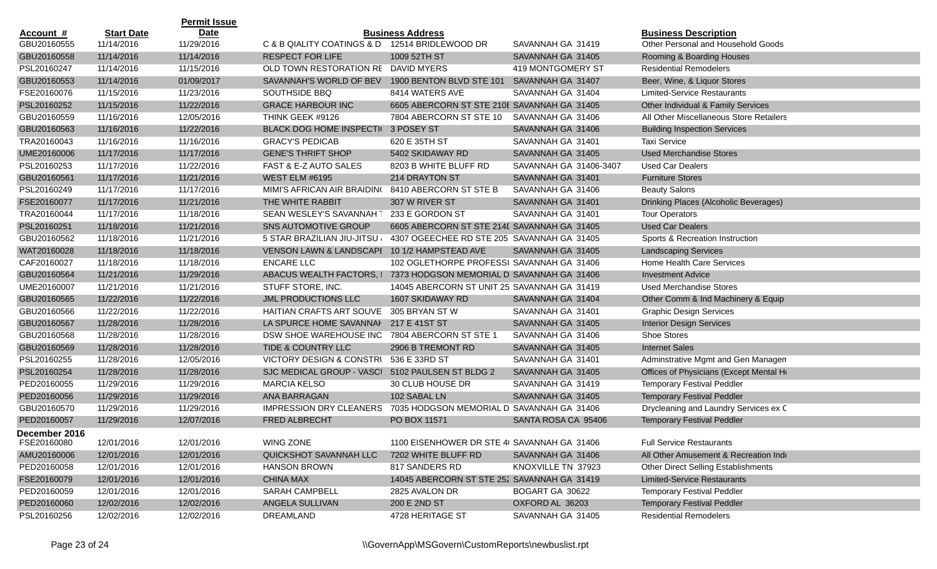|               |                   | <b>Permit Issue</b> |                                                 |                                             |                        |                                            |
|---------------|-------------------|---------------------|-------------------------------------------------|---------------------------------------------|------------------------|--------------------------------------------|
| Account #     | <b>Start Date</b> | <b>Date</b>         |                                                 | <b>Business Address</b>                     |                        | <b>Business Description</b>                |
| GBU20160555   | 11/14/2016        | 11/29/2016          | C & B QIALITY COATINGS & D  12514 BRIDLEWOOD DR |                                             | SAVANNAH GA 31419      | Other Personal and Household Goods         |
| GBU20160558   | 11/14/2016        | 11/14/2016          | <b>RESPECT FOR LIFE</b>                         | 1009 52TH ST                                | SAVANNAH GA 31405      | Rooming & Boarding Houses                  |
| PSL20160247   | 11/14/2016        | 11/15/2016          | OLD TOWN RESTORATION RE DAVID MYERS             |                                             | 419 MONTGOMERY ST      | <b>Residential Remodelers</b>              |
| GBU20160553   | 11/14/2016        | 01/09/2017          | SAVANNAH'S WORLD OF BEV                         | 1900 BENTON BLVD STE 101                    | SAVANNAH GA 31407      | Beer, Wine, & Liquor Stores                |
| FSE20160076   | 11/15/2016        | 11/23/2016          | SOUTHSIDE BBQ                                   | 8414 WATERS AVE                             | SAVANNAH GA 31404      | <b>Limited-Service Restaurants</b>         |
| PSL20160252   | 11/15/2016        | 11/22/2016          | <b>GRACE HARBOUR INC</b>                        | 6605 ABERCORN ST STE 210E SAVANNAH GA 31405 |                        | Other Individual & Family Services         |
| GBU20160559   | 11/16/2016        | 12/05/2016          | THINK GEEK #9126                                | 7804 ABERCORN ST STE 10                     | SAVANNAH GA 31406      | All Other Miscellaneous Store Retailers    |
| GBU20160563   | 11/16/2016        | 11/22/2016          | BLACK DOG HOME INSPECTI(                        | 3 POSEY ST                                  | SAVANNAH GA 31406      | <b>Building Inspection Services</b>        |
| TRA20160043   | 11/16/2016        | 11/16/2016          | <b>GRACY'S PEDICAB</b>                          | 620 E 35TH ST                               | SAVANNAH GA 31401      | <b>Taxi Service</b>                        |
| UME20160006   | 11/17/2016        | 11/17/2016          | <b>GENE'S THRIFT SHOP</b>                       | 5402 SKIDAWAY RD                            | SAVANNAH GA 31405      | <b>Used Merchandise Stores</b>             |
| PSL20160253   | 11/17/2016        | 11/22/2016          | FAST & E-Z AUTO SALES                           | 8203 B WHITE BLUFF RD                       | SAVANNAH GA 31406-3407 | <b>Used Car Dealers</b>                    |
| GBU20160561   | 11/17/2016        | 11/21/2016          | <b>WEST ELM #6195</b>                           | 214 DRAYTON ST                              | SAVANNAH GA 31401      | <b>Furniture Stores</b>                    |
| PSL20160249   | 11/17/2016        | 11/17/2016          | MIMI'S AFRICAN AIR BRAIDING                     | 8410 ABERCORN ST STE B                      | SAVANNAH GA 31406      | <b>Beauty Salons</b>                       |
| FSE20160077   | 11/17/2016        | 11/21/2016          | THE WHITE RABBIT                                | 307 W RIVER ST                              | SAVANNAH GA 31401      | Drinking Places (Alcoholic Beverages)      |
| TRA20160044   | 11/17/2016        | 11/18/2016          | SEAN WESLEY'S SAVANNAH 1                        | 233 E GORDON ST                             | SAVANNAH GA 31401      | <b>Tour Operators</b>                      |
| PSL20160251   | 11/18/2016        | 11/21/2016          | <b>SNS AUTOMOTIVE GROUP</b>                     | 6605 ABERCORN ST STE 214I SAVANNAH GA 31405 |                        | <b>Used Car Dealers</b>                    |
| GBU20160562   | 11/18/2016        | 11/21/2016          | 5 STAR BRAZILIAN JIU-JITSU                      | 4307 OGEECHEE RD STE 205 SAVANNAH GA 31405  |                        | Sports & Recreation Instruction            |
| WAT20160028   | 11/18/2016        | 11/18/2016          | VENSON LAWN & LANDSCAPI 10 1/2 HAMPSTEAD AVE    |                                             | SAVANNAH GA 31405      | <b>Landscaping Services</b>                |
| CAF20160027   | 11/18/2016        | 11/18/2016          | <b>ENCARE LLC</b>                               | 102 OGLETHORPE PROFESSI SAVANNAH GA 31406   |                        | Home Health Care Services                  |
| GBU20160564   | 11/21/2016        | 11/29/2016          | ABACUS WEALTH FACTORS, I                        | 7373 HODGSON MEMORIAL D SAVANNAH GA 31406   |                        | <b>Investment Advice</b>                   |
| UME20160007   | 11/21/2016        | 11/21/2016          | STUFF STORE, INC.                               | 14045 ABERCORN ST UNIT 25 SAVANNAH GA 31419 |                        | <b>Used Merchandise Stores</b>             |
| GBU20160565   | 11/22/2016        | 11/22/2016          | <b>JML PRODUCTIONS LLC</b>                      | 1607 SKIDAWAY RD                            | SAVANNAH GA 31404      | Other Comm & Ind Machinery & Equip         |
| GBU20160566   | 11/22/2016        | 11/22/2016          | HAITIAN CRAFTS ART SOUVE                        | 305 BRYAN STW                               | SAVANNAH GA 31401      | <b>Graphic Design Services</b>             |
| GBU20160567   | 11/28/2016        | 11/28/2016          | LA SPURCE HOME SAVANNAI 217 E 41ST ST           |                                             | SAVANNAH GA 31405      | <b>Interior Design Services</b>            |
| GBU20160568   | 11/28/2016        | 11/28/2016          | DSW SHOE WAREHOUSE INC                          | 7804 ABERCORN ST STE 1                      | SAVANNAH GA 31406      | Shoe Stores                                |
| GBU20160569   | 11/28/2016        | 11/28/2016          | TIDE & COUNTRY LLC                              | 2906 B TREMONT RD                           | SAVANNAH GA 31405      | <b>Internet Sales</b>                      |
| PSL20160255   | 11/28/2016        | 12/05/2016          | <b>VICTORY DESIGN &amp; CONSTRI</b>             | 536 E 33RD ST                               | SAVANNAH GA 31401      | Adminstrative Mgmt and Gen Managen         |
| PSL20160254   | 11/28/2016        | 11/28/2016          | SJC MEDICAL GROUP - VASCI                       | 5102 PAULSEN ST BLDG 2                      | SAVANNAH GA 31405      | Offices of Physicians (Except Mental He    |
| PED20160055   | 11/29/2016        | 11/29/2016          | <b>MARCIA KELSO</b>                             | 30 CLUB HOUSE DR                            | SAVANNAH GA 31419      | <b>Temporary Festival Peddler</b>          |
| PED20160056   | 11/29/2016        | 11/29/2016          | ANA BARRAGAN                                    | 102 SABAL LN                                | SAVANNAH GA 31405      | <b>Temporary Festival Peddler</b>          |
| GBU20160570   | 11/29/2016        | 11/29/2016          | <b>IMPRESSION DRY CLEANERS</b>                  | 7035 HODGSON MEMORIAL D SAVANNAH GA 31406   |                        | Drycleaning and Laundry Services ex C      |
| PED20160057   | 11/29/2016        | 12/07/2016          | <b>FRED ALBRECHT</b>                            | PO BOX 11571                                | SANTA ROSA CA 95406    | <b>Temporary Festival Peddler</b>          |
| December 2016 |                   |                     |                                                 |                                             |                        |                                            |
| FSE20160080   | 12/01/2016        | 12/01/2016          | <b>WING ZONE</b>                                | 1100 EISENHOWER DR STE 4( SAVANNAH GA 31406 |                        | <b>Full Service Restaurants</b>            |
| AMU20160006   | 12/01/2016        | 12/01/2016          | QUICKSHOT SAVANNAH LLC                          | 7202 WHITE BLUFF RD                         | SAVANNAH GA 31406      | All Other Amusement & Recreation Indu      |
| PED20160058   | 12/01/2016        | 12/01/2016          | <b>HANSON BROWN</b>                             | 817 SANDERS RD                              | KNOXVILLE TN 37923     | <b>Other Direct Selling Establishments</b> |
| FSE20160079   | 12/01/2016        | 12/01/2016          | <b>CHINA MAX</b>                                | 14045 ABERCORN ST STE 252 SAVANNAH GA 31419 |                        | <b>Limited-Service Restaurants</b>         |
| PED20160059   | 12/01/2016        | 12/01/2016          | SARAH CAMPBELL                                  | 2825 AVALON DR                              | BOGART GA 30622        | <b>Temporary Festival Peddler</b>          |
| PED20160060   | 12/02/2016        | 12/02/2016          | ANGELA SULLIVAN                                 | 200 E 2ND ST                                | OXFORD AL 36203        | <b>Temporary Festival Peddler</b>          |
| PSL20160256   | 12/02/2016        | 12/02/2016          | DREAMLAND                                       | 4728 HERITAGE ST                            | SAVANNAH GA 31405      | <b>Residential Remodelers</b>              |